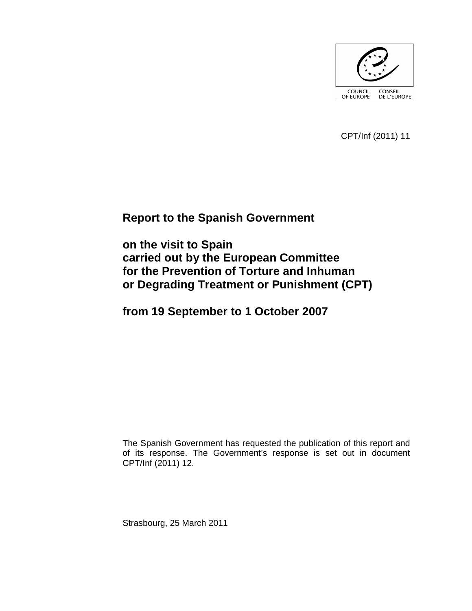

CPT/Inf (2011) 11

# **Report to the Spanish Government**

**on the visit to Spain carried out by the European Committee for the Prevention of Torture and Inhuman or Degrading Treatment or Punishment (CPT)** 

**from 19 September to 1 October 2007** 

The Spanish Government has requested the publication of this report and of its response. The Government's response is set out in document CPT/Inf (2011) 12.

Strasbourg, 25 March 2011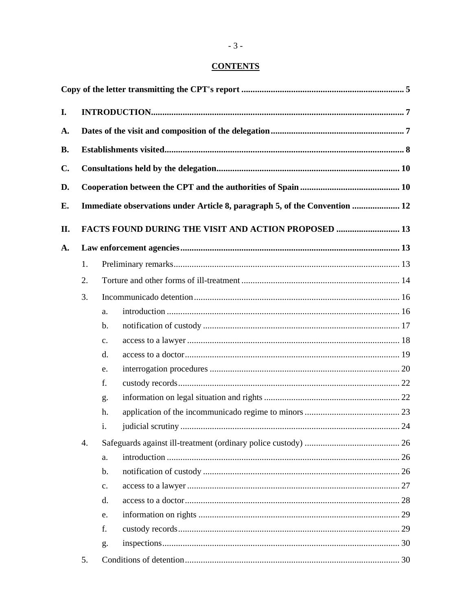## **CONTENTS**

| I.        |    |                                                                            |  |
|-----------|----|----------------------------------------------------------------------------|--|
| A.        |    |                                                                            |  |
| <b>B.</b> |    |                                                                            |  |
|           |    |                                                                            |  |
| C.        |    |                                                                            |  |
| D.        |    |                                                                            |  |
| E.        |    | Immediate observations under Article 8, paragraph 5, of the Convention  12 |  |
| II.       |    | FACTS FOUND DURING THE VISIT AND ACTION PROPOSED  13                       |  |
| A.        |    |                                                                            |  |
|           |    |                                                                            |  |
|           | 1. |                                                                            |  |
|           | 2. |                                                                            |  |
|           | 3. |                                                                            |  |
|           |    | a.                                                                         |  |
|           |    | b.                                                                         |  |
|           |    | $\mathbf{c}$ .                                                             |  |
|           |    | d.                                                                         |  |
|           |    | e.                                                                         |  |
|           |    | f.                                                                         |  |
|           |    | g.                                                                         |  |
|           |    | h.                                                                         |  |
|           |    | i.                                                                         |  |
|           | 4. |                                                                            |  |
|           |    | a.                                                                         |  |
|           |    | $b$ .                                                                      |  |
|           |    | C.                                                                         |  |
|           |    | d.                                                                         |  |
|           |    | e.                                                                         |  |
|           |    | f.                                                                         |  |
|           |    | g.                                                                         |  |
|           | 5. |                                                                            |  |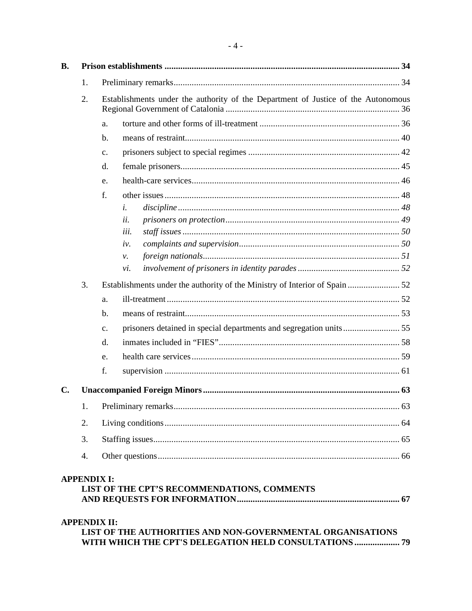| Establishments under the authority of the Department of Justice of the Autonomous<br>a.<br>$b$ .<br>$\mathbf{c}$ .<br>d.<br>e.<br>f.<br>i. |                                                                                                                                                                  |  |
|--------------------------------------------------------------------------------------------------------------------------------------------|------------------------------------------------------------------------------------------------------------------------------------------------------------------|--|
|                                                                                                                                            |                                                                                                                                                                  |  |
|                                                                                                                                            |                                                                                                                                                                  |  |
|                                                                                                                                            |                                                                                                                                                                  |  |
|                                                                                                                                            |                                                                                                                                                                  |  |
|                                                                                                                                            |                                                                                                                                                                  |  |
|                                                                                                                                            |                                                                                                                                                                  |  |
|                                                                                                                                            |                                                                                                                                                                  |  |
|                                                                                                                                            |                                                                                                                                                                  |  |
|                                                                                                                                            |                                                                                                                                                                  |  |
| ii.                                                                                                                                        |                                                                                                                                                                  |  |
|                                                                                                                                            |                                                                                                                                                                  |  |
|                                                                                                                                            |                                                                                                                                                                  |  |
| vi.                                                                                                                                        |                                                                                                                                                                  |  |
| Establishments under the authority of the Ministry of Interior of Spain  52                                                                |                                                                                                                                                                  |  |
| a.                                                                                                                                         |                                                                                                                                                                  |  |
| b.                                                                                                                                         |                                                                                                                                                                  |  |
| prisoners detained in special departments and segregation units 55<br>$\mathbf{c}$ .                                                       |                                                                                                                                                                  |  |
| d.                                                                                                                                         |                                                                                                                                                                  |  |
| e.                                                                                                                                         |                                                                                                                                                                  |  |
| f.                                                                                                                                         |                                                                                                                                                                  |  |
|                                                                                                                                            |                                                                                                                                                                  |  |
| Preliminary remarks                                                                                                                        | 63                                                                                                                                                               |  |
|                                                                                                                                            |                                                                                                                                                                  |  |
|                                                                                                                                            |                                                                                                                                                                  |  |
|                                                                                                                                            |                                                                                                                                                                  |  |
| <b>APPENDIX I:</b><br>LIST OF THE CPT'S RECOMMENDATIONS, COMMENTS                                                                          |                                                                                                                                                                  |  |
|                                                                                                                                            | iii.<br>iv.<br>ν.<br><b>APPENDIX II:</b><br>LIST OF THE AUTHORITIES AND NON-GOVERNMENTAL ORGANISATIONS<br>WITH WHICH THE CPT'S DELEGATION HELD CONSULTATIONS  79 |  |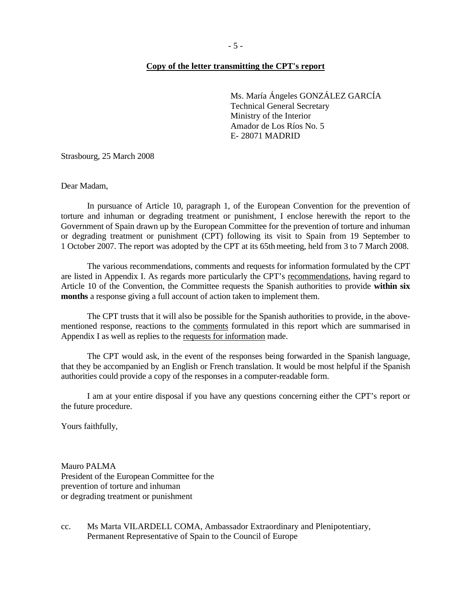#### **Copy of the letter transmitting the CPT's report**

Ms. María Ángeles GONZÁLEZ GARCÍA Technical General Secretary Ministry of the Interior Amador de Los Ríos No. 5 E- 28071 MADRID

Strasbourg, 25 March 2008

Dear Madam,

 In pursuance of Article 10, paragraph 1, of the European Convention for the prevention of torture and inhuman or degrading treatment or punishment, I enclose herewith the report to the Government of Spain drawn up by the European Committee for the prevention of torture and inhuman or degrading treatment or punishment (CPT) following its visit to Spain from 19 September to 1 October 2007. The report was adopted by the CPT at its 65thmeeting, held from 3 to 7 March 2008.

 The various recommendations, comments and requests for information formulated by the CPT are listed in Appendix I. As regards more particularly the CPT's recommendations, having regard to Article 10 of the Convention, the Committee requests the Spanish authorities to provide **within six months** a response giving a full account of action taken to implement them.

 The CPT trusts that it will also be possible for the Spanish authorities to provide, in the abovementioned response, reactions to the comments formulated in this report which are summarised in Appendix I as well as replies to the requests for information made.

 The CPT would ask, in the event of the responses being forwarded in the Spanish language, that they be accompanied by an English or French translation. It would be most helpful if the Spanish authorities could provide a copy of the responses in a computer-readable form.

 I am at your entire disposal if you have any questions concerning either the CPT's report or the future procedure.

Yours faithfully,

Mauro PALMA President of the European Committee for the prevention of torture and inhuman or degrading treatment or punishment

cc. Ms Marta VILARDELL COMA, Ambassador Extraordinary and Plenipotentiary, Permanent Representative of Spain to the Council of Europe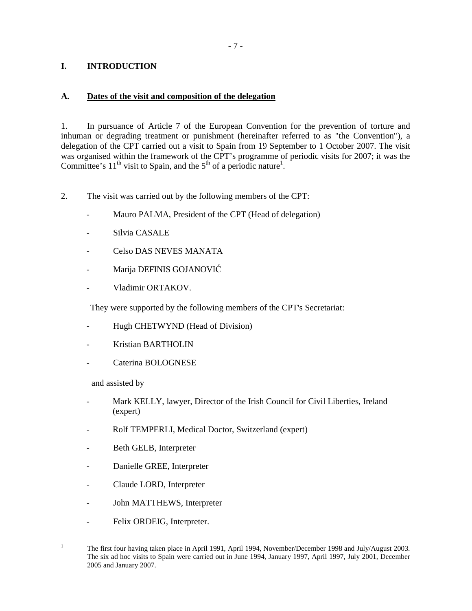### **I. INTRODUCTION**

#### **A. Dates of the visit and composition of the delegation**

1. In pursuance of Article 7 of the European Convention for the prevention of torture and inhuman or degrading treatment or punishment (hereinafter referred to as "the Convention"), a delegation of the CPT carried out a visit to Spain from 19 September to 1 October 2007. The visit was organised within the framework of the CPT's programme of periodic visits for 2007; it was the Committee's  $11^{\text{th}}$  visit to Spain, and the 5<sup>th</sup> of a periodic nature<sup>1</sup>.

- 2. The visit was carried out by the following members of the CPT:
	- Mauro PALMA, President of the CPT (Head of delegation)
	- Silvia CASALE
	- Celso DAS NEVES MANATA
	- Marija DEFINIS GOJANOVIĆ
	- Vladimir ORTAKOV.

They were supported by the following members of the CPT's Secretariat:

- Hugh CHETWYND (Head of Division)
- Kristian BARTHOLIN
- Caterina BOLOGNESE

and assisted by

- Mark KELLY, lawyer, Director of the Irish Council for Civil Liberties, Ireland (expert)
- Rolf TEMPERLI, Medical Doctor, Switzerland (expert)
- Beth GELB, Interpreter
- Danielle GREE, Interpreter
- Claude LORD, Interpreter
- John MATTHEWS, Interpreter
- Felix ORDEIG, Interpreter.

 $\frac{1}{1}$  The first four having taken place in April 1991, April 1994, November/December 1998 and July/August 2003. The six ad hoc visits to Spain were carried out in June 1994, January 1997, April 1997, July 2001, December 2005 and January 2007.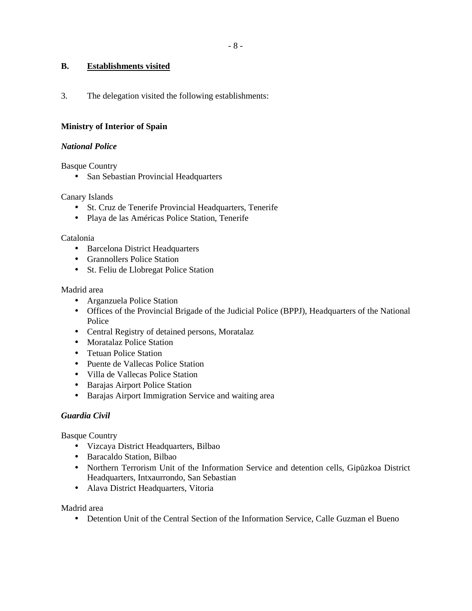## **B. Establishments visited**

## 3. The delegation visited the following establishments:

### **Ministry of Interior of Spain**

### *National Police*

Basque Country

• San Sebastian Provincial Headquarters

## Canary Islands

- St. Cruz de Tenerife Provincial Headquarters, Tenerife
- Playa de las Américas Police Station, Tenerife

## Catalonia

- Barcelona District Headquarters
- Grannollers Police Station
- St. Feliu de Llobregat Police Station

## Madrid area

- Arganzuela Police Station
- Offices of the Provincial Brigade of the Judicial Police (BPPJ), Headquarters of the National Police
- Central Registry of detained persons, Moratalaz
- Moratalaz Police Station
- Tetuan Police Station
- Puente de Vallecas Police Station
- Villa de Vallecas Police Station
- Barajas Airport Police Station
- Barajas Airport Immigration Service and waiting area

## *Guardia Civil*

Basque Country

- Vizcaya District Headquarters, Bilbao
- Baracaldo Station, Bilbao
- Northern Terrorism Unit of the Information Service and detention cells, Gipǔzkoa District Headquarters, Intxaurrondo, San Sebastian
- Alava District Headquarters, Vitoria

## Madrid area

• Detention Unit of the Central Section of the Information Service, Calle Guzman el Bueno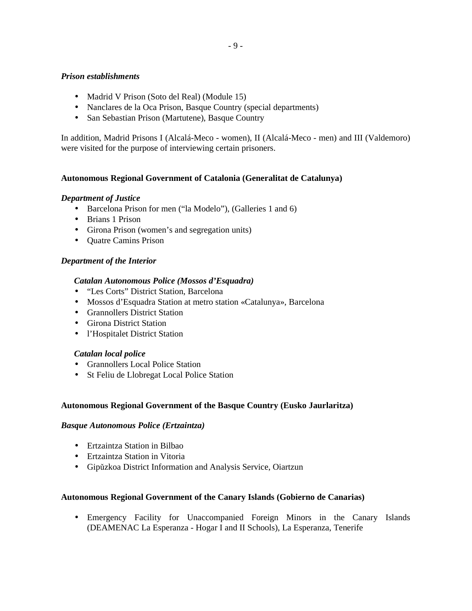#### *Prison establishments*

- Madrid V Prison (Soto del Real) (Module 15)
- Nanclares de la Oca Prison, Basque Country (special departments)
- San Sebastian Prison (Martutene), Basque Country

In addition, Madrid Prisons I (Alcalá-Meco - women), II (Alcalá-Meco - men) and III (Valdemoro) were visited for the purpose of interviewing certain prisoners.

### **Autonomous Regional Government of Catalonia (Generalitat de Catalunya)**

#### *Department of Justice*

- Barcelona Prison for men ("la Modelo"), (Galleries 1 and 6)
- Brians 1 Prison
- Girona Prison (women's and segregation units)
- Quatre Camins Prison

#### *Department of the Interior*

#### *Catalan Autonomous Police (Mossos d'Esquadra)*

- "Les Corts" District Station, Barcelona
- Mossos d'Esquadra Station at metro station «Catalunya», Barcelona
- Grannollers District Station
- Girona District Station
- l'Hospitalet District Station

#### *Catalan local police*

- Grannollers Local Police Station
- St Feliu de Llobregat Local Police Station

#### **Autonomous Regional Government of the Basque Country (Eusko Jaurlaritza)**

#### *Basque Autonomous Police (Ertzaintza)*

- Ertzaintza Station in Bilbao
- Ertzaintza Station in Vitoria
- Gipǔzkoa District Information and Analysis Service, Oiartzun

#### **Autonomous Regional Government of the Canary Islands (Gobierno de Canarias)**

• Emergency Facility for Unaccompanied Foreign Minors in the Canary Islands (DEAMENAC La Esperanza - Hogar I and II Schools), La Esperanza, Tenerife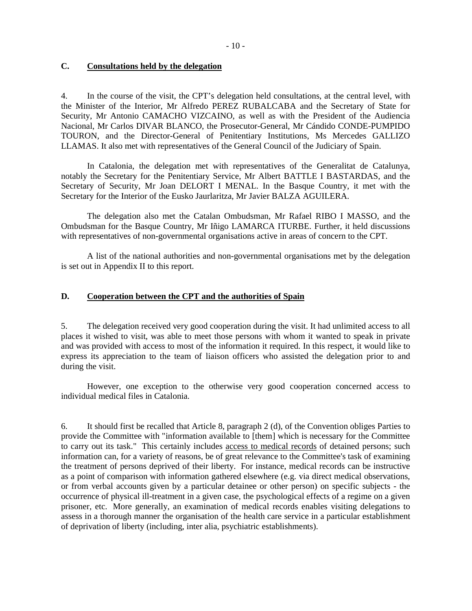#### **C. Consultations held by the delegation**

4. In the course of the visit, the CPT's delegation held consultations, at the central level, with the Minister of the Interior, Mr Alfredo PEREZ RUBALCABA and the Secretary of State for Security, Mr Antonio CAMACHO VIZCAINO, as well as with the President of the Audiencia Nacional, Mr Carlos DIVAR BLANCO, the Prosecutor-General, Mr Cándido CONDE-PUMPIDO TOURON, and the Director-General of Penitentiary Institutions, Ms Mercedes GALLIZO LLAMAS. It also met with representatives of the General Council of the Judiciary of Spain.

In Catalonia, the delegation met with representatives of the Generalitat de Catalunya, notably the Secretary for the Penitentiary Service, Mr Albert BATTLE I BASTARDAS, and the Secretary of Security, Mr Joan DELORT I MENAL. In the Basque Country, it met with the Secretary for the Interior of the Eusko Jaurlaritza, Mr Javier BALZA AGUILERA.

The delegation also met the Catalan Ombudsman, Mr Rafael RIBO I MASSO, and the Ombudsman for the Basque Country, Mr Iñigo LAMARCA ITURBE. Further, it held discussions with representatives of non-governmental organisations active in areas of concern to the CPT.

 A list of the national authorities and non-governmental organisations met by the delegation is set out in Appendix II to this report.

#### **D. Cooperation between the CPT and the authorities of Spain**

5. The delegation received very good cooperation during the visit. It had unlimited access to all places it wished to visit, was able to meet those persons with whom it wanted to speak in private and was provided with access to most of the information it required. In this respect, it would like to express its appreciation to the team of liaison officers who assisted the delegation prior to and during the visit.

However, one exception to the otherwise very good cooperation concerned access to individual medical files in Catalonia.

6. It should first be recalled that Article 8, paragraph 2 (d), of the Convention obliges Parties to provide the Committee with "information available to [them] which is necessary for the Committee to carry out its task." This certainly includes access to medical records of detained persons; such information can, for a variety of reasons, be of great relevance to the Committee's task of examining the treatment of persons deprived of their liberty. For instance, medical records can be instructive as a point of comparison with information gathered elsewhere (e.g. via direct medical observations, or from verbal accounts given by a particular detainee or other person) on specific subjects - the occurrence of physical ill-treatment in a given case, the psychological effects of a regime on a given prisoner, etc. More generally, an examination of medical records enables visiting delegations to assess in a thorough manner the organisation of the health care service in a particular establishment of deprivation of liberty (including, inter alia, psychiatric establishments).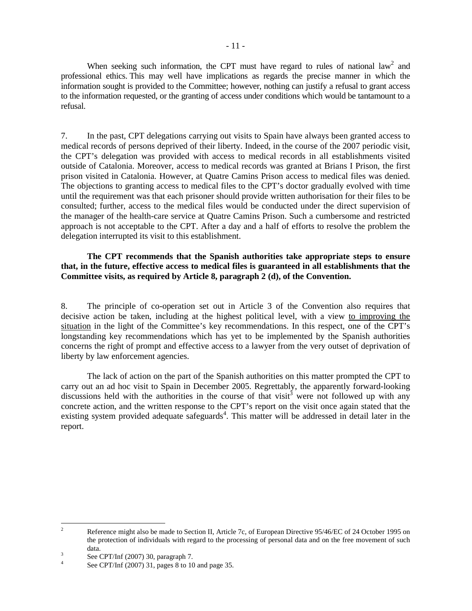When seeking such information, the CPT must have regard to rules of national law<sup>2</sup> and professional ethics. This may well have implications as regards the precise manner in which the information sought is provided to the Committee; however, nothing can justify a refusal to grant access to the information requested, or the granting of access under conditions which would be tantamount to a refusal.

7. In the past, CPT delegations carrying out visits to Spain have always been granted access to medical records of persons deprived of their liberty. Indeed, in the course of the 2007 periodic visit, the CPT's delegation was provided with access to medical records in all establishments visited outside of Catalonia. Moreover, access to medical records was granted at Brians I Prison, the first prison visited in Catalonia. However, at Quatre Camins Prison access to medical files was denied. The objections to granting access to medical files to the CPT's doctor gradually evolved with time until the requirement was that each prisoner should provide written authorisation for their files to be consulted; further, access to the medical files would be conducted under the direct supervision of the manager of the health-care service at Quatre Camins Prison. Such a cumbersome and restricted approach is not acceptable to the CPT. After a day and a half of efforts to resolve the problem the delegation interrupted its visit to this establishment.

#### **The CPT recommends that the Spanish authorities take appropriate steps to ensure that, in the future, effective access to medical files is guaranteed in all establishments that the Committee visits, as required by Article 8, paragraph 2 (d), of the Convention.**

8. The principle of co-operation set out in Article 3 of the Convention also requires that decisive action be taken, including at the highest political level, with a view to improving the situation in the light of the Committee's key recommendations. In this respect, one of the CPT's longstanding key recommendations which has yet to be implemented by the Spanish authorities concerns the right of prompt and effective access to a lawyer from the very outset of deprivation of liberty by law enforcement agencies.

 The lack of action on the part of the Spanish authorities on this matter prompted the CPT to carry out an ad hoc visit to Spain in December 2005. Regrettably, the apparently forward-looking discussions held with the authorities in the course of that visit<sup>3</sup> were not followed up with any concrete action, and the written response to the CPT's report on the visit once again stated that the existing system provided adequate safeguards<sup>4</sup>. This matter will be addressed in detail later in the report.

 $\frac{1}{2}$  Reference might also be made to Section II, Article 7c, of European Directive 95/46/EC of 24 October 1995 on the protection of individuals with regard to the processing of personal data and on the free movement of such data.

<sup>3</sup> See CPT/Inf (2007) 30, paragraph 7.

<sup>4</sup> See CPT/Inf (2007) 31, pages 8 to 10 and page 35.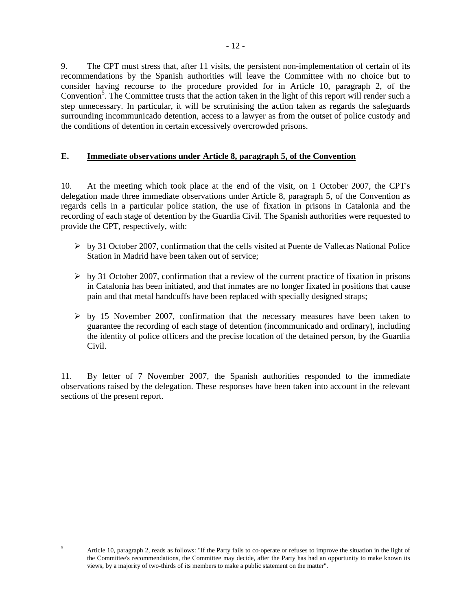9. The CPT must stress that, after 11 visits, the persistent non-implementation of certain of its recommendations by the Spanish authorities will leave the Committee with no choice but to consider having recourse to the procedure provided for in Article 10, paragraph 2, of the Convention<sup>5</sup>. The Committee trusts that the action taken in the light of this report will render such a step unnecessary. In particular, it will be scrutinising the action taken as regards the safeguards surrounding incommunicado detention, access to a lawyer as from the outset of police custody and the conditions of detention in certain excessively overcrowded prisons.

#### **E. Immediate observations under Article 8, paragraph 5, of the Convention**

10. At the meeting which took place at the end of the visit, on 1 October 2007, the CPT's delegation made three immediate observations under Article 8, paragraph 5, of the Convention as regards cells in a particular police station, the use of fixation in prisons in Catalonia and the recording of each stage of detention by the Guardia Civil. The Spanish authorities were requested to provide the CPT, respectively, with:

- $\triangleright$  by 31 October 2007, confirmation that the cells visited at Puente de Vallecas National Police Station in Madrid have been taken out of service;
- $\triangleright$  by 31 October 2007, confirmation that a review of the current practice of fixation in prisons in Catalonia has been initiated, and that inmates are no longer fixated in positions that cause pain and that metal handcuffs have been replaced with specially designed straps;
- $\triangleright$  by 15 November 2007, confirmation that the necessary measures have been taken to guarantee the recording of each stage of detention (incommunicado and ordinary), including the identity of police officers and the precise location of the detained person, by the Guardia Civil.

11. By letter of 7 November 2007, the Spanish authorities responded to the immediate observations raised by the delegation. These responses have been taken into account in the relevant sections of the present report.

5

Article 10, paragraph 2, reads as follows: "If the Party fails to co-operate or refuses to improve the situation in the light of the Committee's recommendations, the Committee may decide, after the Party has had an opportunity to make known its views, by a majority of two-thirds of its members to make a public statement on the matter".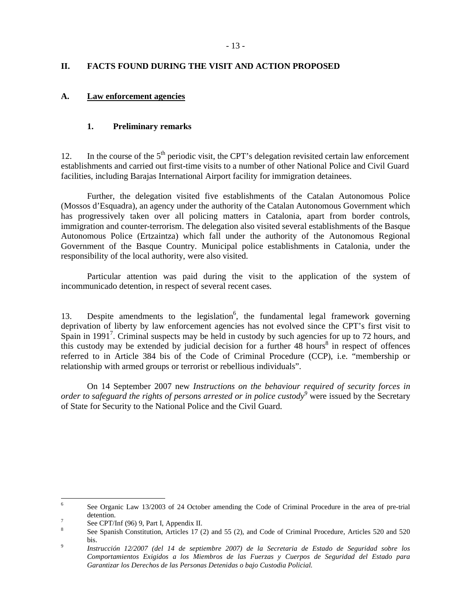### **II. FACTS FOUND DURING THE VISIT AND ACTION PROPOSED**

#### **A. Law enforcement agencies**

#### **1. Preliminary remarks**

12. In the course of the  $5<sup>th</sup>$  periodic visit, the CPT's delegation revisited certain law enforcement establishments and carried out first-time visits to a number of other National Police and Civil Guard facilities, including Barajas International Airport facility for immigration detainees.

 Further, the delegation visited five establishments of the Catalan Autonomous Police (Mossos d'Esquadra), an agency under the authority of the Catalan Autonomous Government which has progressively taken over all policing matters in Catalonia, apart from border controls, immigration and counter-terrorism. The delegation also visited several establishments of the Basque Autonomous Police (Ertzaintza) which fall under the authority of the Autonomous Regional Government of the Basque Country. Municipal police establishments in Catalonia, under the responsibility of the local authority, were also visited.

Particular attention was paid during the visit to the application of the system of incommunicado detention, in respect of several recent cases.

13. Despite amendments to the legislation<sup>6</sup>, the fundamental legal framework governing deprivation of liberty by law enforcement agencies has not evolved since the CPT's first visit to Spain in 1991<sup>7</sup>. Criminal suspects may be held in custody by such agencies for up to 72 hours, and this custody may be extended by judicial decision for a further 48 hours<sup>8</sup> in respect of offences referred to in Article 384 bis of the Code of Criminal Procedure (CCP), i.e. "membership or relationship with armed groups or terrorist or rebellious individuals".

 On 14 September 2007 new *Instructions on the behaviour required of security forces in order to safeguard the rights of persons arrested or in police custody<sup>9</sup> were issued by the Secretary* of State for Security to the National Police and the Civil Guard.

 6 See Organic Law 13/2003 of 24 October amending the Code of Criminal Procedure in the area of pre-trial detention.

<sup>7</sup> See CPT/Inf (96) 9, Part I, Appendix II.

<sup>8</sup> See Spanish Constitution, Articles 17 (2) and 55 (2), and Code of Criminal Procedure, Articles 520 and 520 bis. 9

*Instrucción 12/2007 (del 14 de septiembre 2007) de la Secretaria de Estado de Seguridad sobre los Comportamientos Exigidos a los Miembros de las Fuerzas y Cuerpos de Seguridad del Estado para Garantizar los Derechos de las Personas Detenidas o bajo Custodia Policial.*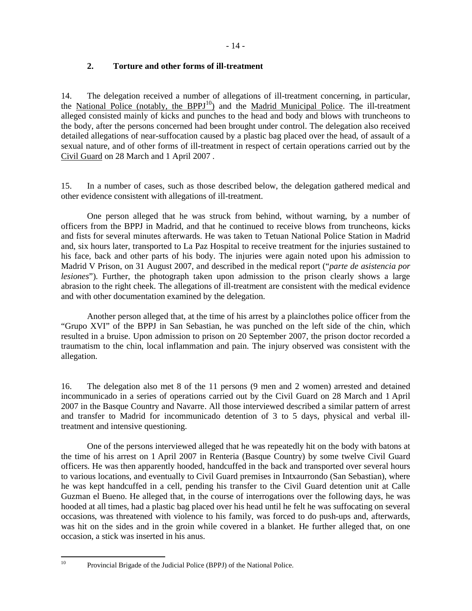### **2. Torture and other forms of ill-treatment**

14. The delegation received a number of allegations of ill-treatment concerning, in particular, the National Police (notably, the BPPJ $10$ ) and the Madrid Municipal Police. The ill-treatment alleged consisted mainly of kicks and punches to the head and body and blows with truncheons to the body, after the persons concerned had been brought under control. The delegation also received detailed allegations of near-suffocation caused by a plastic bag placed over the head, of assault of a sexual nature, and of other forms of ill-treatment in respect of certain operations carried out by the Civil Guard on 28 March and 1 April 2007 .

15. In a number of cases, such as those described below, the delegation gathered medical and other evidence consistent with allegations of ill-treatment.

 One person alleged that he was struck from behind, without warning, by a number of officers from the BPPJ in Madrid, and that he continued to receive blows from truncheons, kicks and fists for several minutes afterwards. He was taken to Tetuan National Police Station in Madrid and, six hours later, transported to La Paz Hospital to receive treatment for the injuries sustained to his face, back and other parts of his body. The injuries were again noted upon his admission to Madrid V Prison, on 31 August 2007, and described in the medical report ("*parte de asistencia por lesiones*"). Further, the photograph taken upon admission to the prison clearly shows a large abrasion to the right cheek. The allegations of ill-treatment are consistent with the medical evidence and with other documentation examined by the delegation.

Another person alleged that, at the time of his arrest by a plainclothes police officer from the "Grupo XVI" of the BPPJ in San Sebastian, he was punched on the left side of the chin, which resulted in a bruise. Upon admission to prison on 20 September 2007, the prison doctor recorded a traumatism to the chin, local inflammation and pain. The injury observed was consistent with the allegation.

16. The delegation also met 8 of the 11 persons (9 men and 2 women) arrested and detained incommunicado in a series of operations carried out by the Civil Guard on 28 March and 1 April 2007 in the Basque Country and Navarre. All those interviewed described a similar pattern of arrest and transfer to Madrid for incommunicado detention of 3 to 5 days, physical and verbal illtreatment and intensive questioning.

One of the persons interviewed alleged that he was repeatedly hit on the body with batons at the time of his arrest on 1 April 2007 in Renteria (Basque Country) by some twelve Civil Guard officers. He was then apparently hooded, handcuffed in the back and transported over several hours to various locations, and eventually to Civil Guard premises in Intxaurrondo (San Sebastian), where he was kept handcuffed in a cell, pending his transfer to the Civil Guard detention unit at Calle Guzman el Bueno. He alleged that, in the course of interrogations over the following days, he was hooded at all times, had a plastic bag placed over his head until he felt he was suffocating on several occasions, was threatened with violence to his family, was forced to do push-ups and, afterwards, was hit on the sides and in the groin while covered in a blanket. He further alleged that, on one occasion, a stick was inserted in his anus.

 $10<sup>10</sup>$ 

<sup>10</sup> Provincial Brigade of the Judicial Police (BPPJ) of the National Police.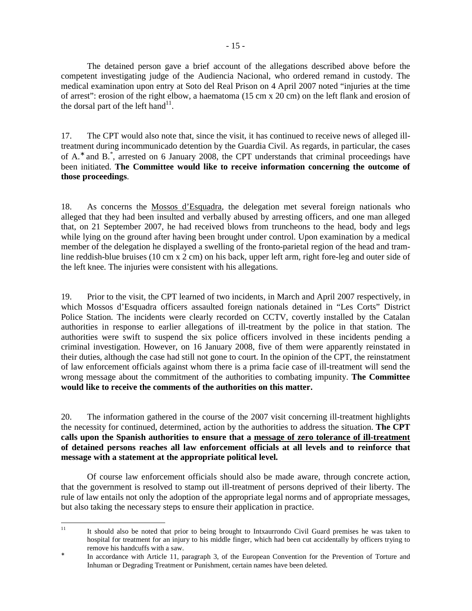The detained person gave a brief account of the allegations described above before the competent investigating judge of the Audiencia Nacional, who ordered remand in custody. The medical examination upon entry at Soto del Real Prison on 4 April 2007 noted "injuries at the time of arrest": erosion of the right elbow, a haematoma (15 cm x 20 cm) on the left flank and erosion of the dorsal part of the left hand<sup>11</sup>.

17. The CPT would also note that, since the visit, it has continued to receive news of alleged illtreatment during incommunicado detention by the Guardia Civil. As regards, in particular, the cases of A.<sup>\*</sup> and B.<sup>\*</sup>, arrested on 6 January 2008, the CPT understands that criminal proceedings have been initiated. **The Committee would like to receive information concerning the outcome of those proceedings**.

18. As concerns the Mossos d'Esquadra, the delegation met several foreign nationals who alleged that they had been insulted and verbally abused by arresting officers, and one man alleged that, on 21 September 2007, he had received blows from truncheons to the head, body and legs while lying on the ground after having been brought under control. Upon examination by a medical member of the delegation he displayed a swelling of the fronto-parietal region of the head and tramline reddish-blue bruises (10 cm x 2 cm) on his back, upper left arm, right fore-leg and outer side of the left knee. The injuries were consistent with his allegations.

19. Prior to the visit, the CPT learned of two incidents, in March and April 2007 respectively, in which Mossos d'Esquadra officers assaulted foreign nationals detained in "Les Corts" District Police Station. The incidents were clearly recorded on CCTV, covertly installed by the Catalan authorities in response to earlier allegations of ill-treatment by the police in that station. The authorities were swift to suspend the six police officers involved in these incidents pending a criminal investigation. However, on 16 January 2008, five of them were apparently reinstated in their duties, although the case had still not gone to court. In the opinion of the CPT, the reinstatment of law enforcement officials against whom there is a prima facie case of ill-treatment will send the wrong message about the commitment of the authorities to combating impunity. **The Committee would like to receive the comments of the authorities on this matter.**

20. The information gathered in the course of the 2007 visit concerning ill-treatment highlights the necessity for continued, determined, action by the authorities to address the situation. **The CPT calls upon the Spanish authorities to ensure that a message of zero tolerance of ill-treatment of detained persons reaches all law enforcement officials at all levels and to reinforce that message with a statement at the appropriate political level.** 

Of course law enforcement officials should also be made aware, through concrete action, that the government is resolved to stamp out ill-treatment of persons deprived of their liberty. The rule of law entails not only the adoption of the appropriate legal norms and of appropriate messages, but also taking the necessary steps to ensure their application in practice.

 $11$ <sup>11</sup> It should also be noted that prior to being brought to Intxaurrondo Civil Guard premises he was taken to hospital for treatment for an injury to his middle finger, which had been cut accidentally by officers trying to remove his handcuffs with a saw.

<sup>∗</sup> In accordance with Article 11, paragraph 3, of the European Convention for the Prevention of Torture and Inhuman or Degrading Treatment or Punishment, certain names have been deleted.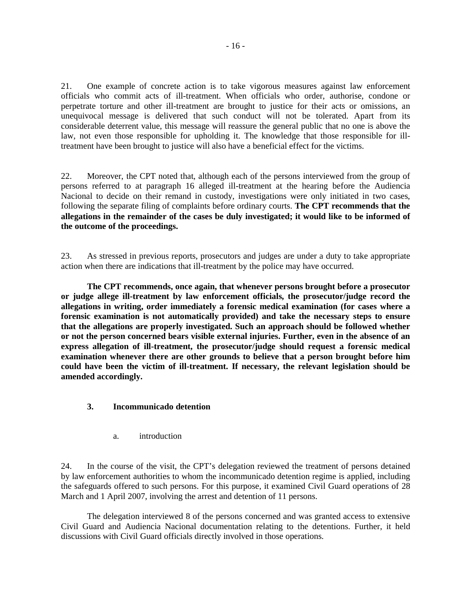21. One example of concrete action is to take vigorous measures against law enforcement officials who commit acts of ill-treatment. When officials who order, authorise, condone or perpetrate torture and other ill-treatment are brought to justice for their acts or omissions, an unequivocal message is delivered that such conduct will not be tolerated. Apart from its considerable deterrent value, this message will reassure the general public that no one is above the law, not even those responsible for upholding it. The knowledge that those responsible for illtreatment have been brought to justice will also have a beneficial effect for the victims.

22. Moreover, the CPT noted that, although each of the persons interviewed from the group of persons referred to at paragraph 16 alleged ill-treatment at the hearing before the Audiencia Nacional to decide on their remand in custody, investigations were only initiated in two cases, following the separate filing of complaints before ordinary courts. **The CPT recommends that the allegations in the remainder of the cases be duly investigated; it would like to be informed of the outcome of the proceedings.**

23. As stressed in previous reports, prosecutors and judges are under a duty to take appropriate action when there are indications that ill-treatment by the police may have occurred.

**The CPT recommends, once again, that whenever persons brought before a prosecutor or judge allege ill-treatment by law enforcement officials, the prosecutor/judge record the allegations in writing, order immediately a forensic medical examination (for cases where a forensic examination is not automatically provided) and take the necessary steps to ensure that the allegations are properly investigated. Such an approach should be followed whether or not the person concerned bears visible external injuries. Further, even in the absence of an express allegation of ill-treatment, the prosecutor/judge should request a forensic medical examination whenever there are other grounds to believe that a person brought before him could have been the victim of ill-treatment. If necessary, the relevant legislation should be amended accordingly.** 

#### **3. Incommunicado detention**

a. introduction

24. In the course of the visit, the CPT's delegation reviewed the treatment of persons detained by law enforcement authorities to whom the incommunicado detention regime is applied, including the safeguards offered to such persons. For this purpose, it examined Civil Guard operations of 28 March and 1 April 2007, involving the arrest and detention of 11 persons.

The delegation interviewed 8 of the persons concerned and was granted access to extensive Civil Guard and Audiencia Nacional documentation relating to the detentions. Further, it held discussions with Civil Guard officials directly involved in those operations.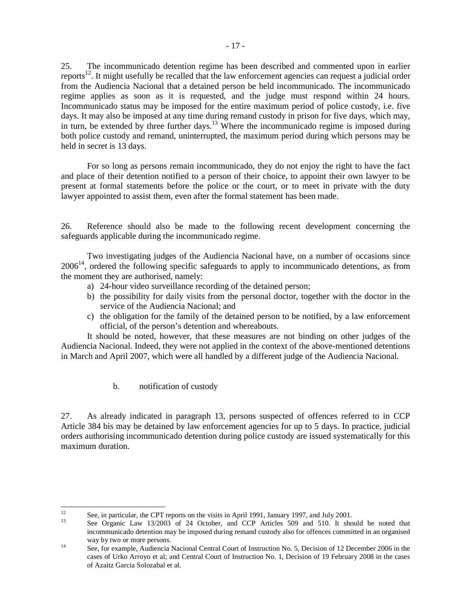25. The incommunicado detention regime has been described and commented upon in earlier reports<sup>12</sup>. It might usefully be recalled that the law enforcement agencies can request a judicial order from the Audiencia Nacional that a detained person be held incommunicado. The incommunicado regime applies as soon as it is requested, and the judge must respond within 24 hours. Incommunicado status may be imposed for the entire maximum period of police custody, i.e. five days. It may also be imposed at any time during remand custody in prison for five days, which may, in turn, be extended by three further days.<sup>13</sup> Where the incommunicado regime is imposed during both police custody and remand, uninterrupted, the maximum period during which persons may be held in secret is 13 days.

For so long as persons remain incommunicado, they do not enjoy the right to have the fact and place of their detention notified to a person of their choice, to appoint their own lawyer to be present at formal statements before the police or the court, or to meet in private with the duty lawyer appointed to assist them, even after the formal statement has been made.

26. Reference should also be made to the following recent development concerning the safeguards applicable during the incommunicado regime.

Two investigating judges of the Audiencia Nacional have, on a number of occasions since 2006<sup>14</sup>, ordered the following specific safeguards to apply to incommunicado detentions, as from the moment they are authorised, namely:

- a) 24-hour video surveillance recording of the detained person;
- b) the possibility for daily visits from the personal doctor, together with the doctor in the service of the Audiencia Nacional; and
- c) the obligation for the family of the detained person to be notified, by a law enforcement official, of the person's detention and whereabouts.

It should be noted, however, that these measures are not binding on other judges of the Audiencia Nacional. Indeed, they were not applied in the context of the above-mentioned detentions in March and April 2007, which were all handled by a different judge of the Audiencia Nacional.

b. notification of custody

27. As already indicated in paragraph 13, persons suspected of offences referred to in CCP Article 384 bis may be detained by law enforcement agencies for up to 5 days. In practice, judicial orders authorising incommunicado detention during police custody are issued systematically for this maximum duration.

<sup>12</sup> <sup>12</sup> See, in particular, the CPT reports on the visits in April 1991, January 1997, and July 2001.

<sup>13</sup> See Organic Law 13/2003 of 24 October, and CCP Articles 509 and 510. It should be noted that incommunicado detention may be imposed during remand custody also for offences committed in an organised way by two or more persons.

<sup>&</sup>lt;sup>14</sup> See, for example, Audiencia Nacional Central Court of Instruction No. 5, Decision of 12 December 2006 in the cases of Urko Arroyo et al; and Central Court of Instruction No. 1, Decision of 19 February 2008 in the cases of Azaitz Garcia Solozabal et al.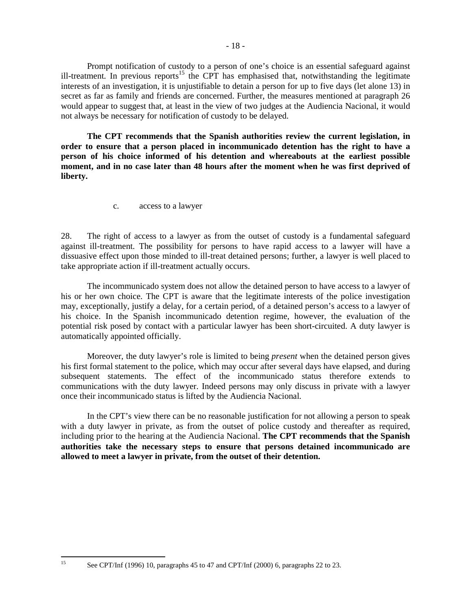Prompt notification of custody to a person of one's choice is an essential safeguard against ill-treatment. In previous reports<sup>15</sup> the CPT has emphasised that, notwithstanding the legitimate interests of an investigation, it is unjustifiable to detain a person for up to five days (let alone 13) in secret as far as family and friends are concerned. Further, the measures mentioned at paragraph 26 would appear to suggest that, at least in the view of two judges at the Audiencia Nacional, it would not always be necessary for notification of custody to be delayed.

**The CPT recommends that the Spanish authorities review the current legislation, in order to ensure that a person placed in incommunicado detention has the right to have a person of his choice informed of his detention and whereabouts at the earliest possible moment, and in no case later than 48 hours after the moment when he was first deprived of liberty.**

c. access to a lawyer

28. The right of access to a lawyer as from the outset of custody is a fundamental safeguard against ill-treatment. The possibility for persons to have rapid access to a lawyer will have a dissuasive effect upon those minded to ill-treat detained persons; further, a lawyer is well placed to take appropriate action if ill-treatment actually occurs.

The incommunicado system does not allow the detained person to have access to a lawyer of his or her own choice. The CPT is aware that the legitimate interests of the police investigation may, exceptionally, justify a delay, for a certain period, of a detained person's access to a lawyer of his choice. In the Spanish incommunicado detention regime, however, the evaluation of the potential risk posed by contact with a particular lawyer has been short-circuited. A duty lawyer is automatically appointed officially.

 Moreover, the duty lawyer's role is limited to being *present* when the detained person gives his first formal statement to the police, which may occur after several days have elapsed, and during subsequent statements. The effect of the incommunicado status therefore extends to communications with the duty lawyer. Indeed persons may only discuss in private with a lawyer once their incommunicado status is lifted by the Audiencia Nacional.

In the CPT's view there can be no reasonable justification for not allowing a person to speak with a duty lawyer in private, as from the outset of police custody and thereafter as required, including prior to the hearing at the Audiencia Nacional. **The CPT recommends that the Spanish authorities take the necessary steps to ensure that persons detained incommunicado are allowed to meet a lawyer in private, from the outset of their detention.** 

15

See CPT/Inf (1996) 10, paragraphs 45 to 47 and CPT/Inf (2000) 6, paragraphs 22 to 23.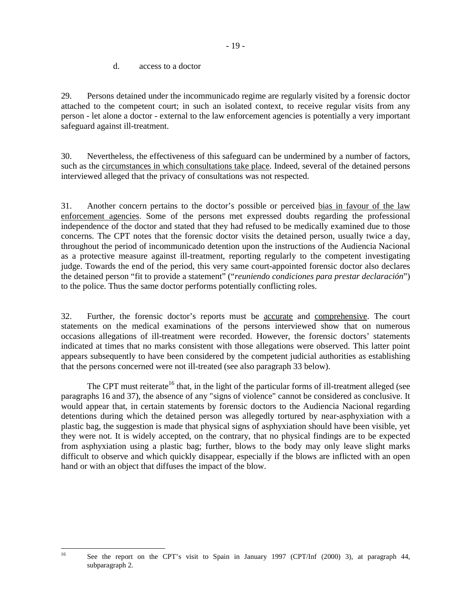d. access to a doctor

29. Persons detained under the incommunicado regime are regularly visited by a forensic doctor attached to the competent court; in such an isolated context, to receive regular visits from any person - let alone a doctor - external to the law enforcement agencies is potentially a very important safeguard against ill-treatment.

30. Nevertheless, the effectiveness of this safeguard can be undermined by a number of factors, such as the circumstances in which consultations take place. Indeed, several of the detained persons interviewed alleged that the privacy of consultations was not respected.

31. Another concern pertains to the doctor's possible or perceived bias in favour of the law enforcement agencies. Some of the persons met expressed doubts regarding the professional independence of the doctor and stated that they had refused to be medically examined due to those concerns. The CPT notes that the forensic doctor visits the detained person, usually twice a day, throughout the period of incommunicado detention upon the instructions of the Audiencia Nacional as a protective measure against ill-treatment, reporting regularly to the competent investigating judge. Towards the end of the period, this very same court-appointed forensic doctor also declares the detained person "fit to provide a statement" ("*reuniendo condiciones para prestar declaración*") to the police. Thus the same doctor performs potentially conflicting roles.

32. Further, the forensic doctor's reports must be accurate and comprehensive. The court statements on the medical examinations of the persons interviewed show that on numerous occasions allegations of ill-treatment were recorded. However, the forensic doctors' statements indicated at times that no marks consistent with those allegations were observed. This latter point appears subsequently to have been considered by the competent judicial authorities as establishing that the persons concerned were not ill-treated (see also paragraph 33 below).

The CPT must reiterate<sup>16</sup> that, in the light of the particular forms of ill-treatment alleged (see paragraphs 16 and 37), the absence of any "signs of violence" cannot be considered as conclusive. It would appear that, in certain statements by forensic doctors to the Audiencia Nacional regarding detentions during which the detained person was allegedly tortured by near-asphyxiation with a plastic bag, the suggestion is made that physical signs of asphyxiation should have been visible, yet they were not. It is widely accepted, on the contrary, that no physical findings are to be expected from asphyxiation using a plastic bag; further, blows to the body may only leave slight marks difficult to observe and which quickly disappear, especially if the blows are inflicted with an open hand or with an object that diffuses the impact of the blow.

See the report on the CPT's visit to Spain in January 1997 (CPT/Inf (2000) 3), at paragraph 44, subparagraph 2.

16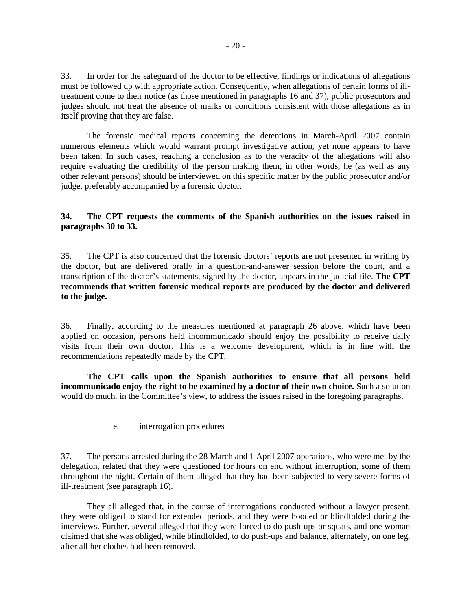33. In order for the safeguard of the doctor to be effective, findings or indications of allegations must be followed up with appropriate action. Consequently, when allegations of certain forms of illtreatment come to their notice (as those mentioned in paragraphs 16 and 37), public prosecutors and judges should not treat the absence of marks or conditions consistent with those allegations as in itself proving that they are false.

The forensic medical reports concerning the detentions in March-April 2007 contain numerous elements which would warrant prompt investigative action, yet none appears to have been taken. In such cases, reaching a conclusion as to the veracity of the allegations will also require evaluating the credibility of the person making them; in other words, he (as well as any other relevant persons) should be interviewed on this specific matter by the public prosecutor and/or judge, preferably accompanied by a forensic doctor.

#### **34. The CPT requests the comments of the Spanish authorities on the issues raised in paragraphs 30 to 33.**

35. The CPT is also concerned that the forensic doctors' reports are not presented in writing by the doctor, but are delivered orally in a question-and-answer session before the court, and a transcription of the doctor's statements, signed by the doctor, appears in the judicial file. **The CPT recommends that written forensic medical reports are produced by the doctor and delivered to the judge.** 

36. Finally, according to the measures mentioned at paragraph 26 above, which have been applied on occasion, persons held incommunicado should enjoy the possibility to receive daily visits from their own doctor. This is a welcome development, which is in line with the recommendations repeatedly made by the CPT.

**The CPT calls upon the Spanish authorities to ensure that all persons held incommunicado enjoy the right to be examined by a doctor of their own choice.** Such a solution would do much, in the Committee's view, to address the issues raised in the foregoing paragraphs.

e. interrogation procedures

37. The persons arrested during the 28 March and 1 April 2007 operations, who were met by the delegation, related that they were questioned for hours on end without interruption, some of them throughout the night. Certain of them alleged that they had been subjected to very severe forms of ill-treatment (see paragraph 16).

They all alleged that, in the course of interrogations conducted without a lawyer present, they were obliged to stand for extended periods, and they were hooded or blindfolded during the interviews. Further, several alleged that they were forced to do push-ups or squats, and one woman claimed that she was obliged, while blindfolded, to do push-ups and balance, alternately, on one leg, after all her clothes had been removed.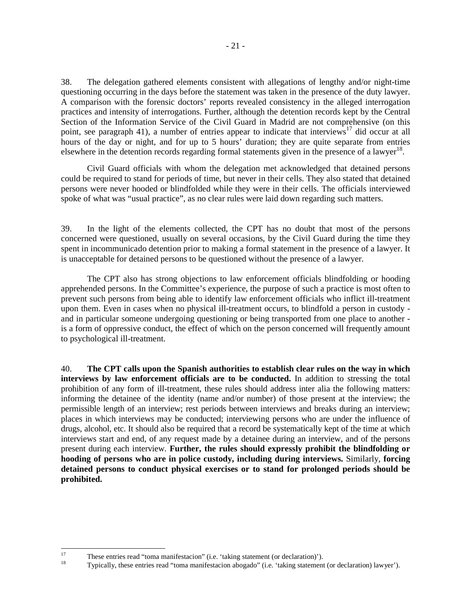38. The delegation gathered elements consistent with allegations of lengthy and/or night-time questioning occurring in the days before the statement was taken in the presence of the duty lawyer. A comparison with the forensic doctors' reports revealed consistency in the alleged interrogation practices and intensity of interrogations. Further, although the detention records kept by the Central Section of the Information Service of the Civil Guard in Madrid are not comprehensive (on this point, see paragraph 41), a number of entries appear to indicate that interviews<sup>17</sup> did occur at all hours of the day or night, and for up to 5 hours' duration; they are quite separate from entries elsewhere in the detention records regarding formal statements given in the presence of a lawyer<sup>18</sup>.

Civil Guard officials with whom the delegation met acknowledged that detained persons could be required to stand for periods of time, but never in their cells. They also stated that detained persons were never hooded or blindfolded while they were in their cells. The officials interviewed spoke of what was "usual practice", as no clear rules were laid down regarding such matters.

39. In the light of the elements collected, the CPT has no doubt that most of the persons concerned were questioned, usually on several occasions, by the Civil Guard during the time they spent in incommunicado detention prior to making a formal statement in the presence of a lawyer. It is unacceptable for detained persons to be questioned without the presence of a lawyer.

The CPT also has strong objections to law enforcement officials blindfolding or hooding apprehended persons. In the Committee's experience, the purpose of such a practice is most often to prevent such persons from being able to identify law enforcement officials who inflict ill-treatment upon them. Even in cases when no physical ill-treatment occurs, to blindfold a person in custody and in particular someone undergoing questioning or being transported from one place to another is a form of oppressive conduct, the effect of which on the person concerned will frequently amount to psychological ill-treatment.

40. **The CPT calls upon the Spanish authorities to establish clear rules on the way in which interviews by law enforcement officials are to be conducted.** In addition to stressing the total prohibition of any form of ill-treatment, these rules should address inter alia the following matters: informing the detainee of the identity (name and/or number) of those present at the interview; the permissible length of an interview; rest periods between interviews and breaks during an interview; places in which interviews may be conducted; interviewing persons who are under the influence of drugs, alcohol, etc. It should also be required that a record be systematically kept of the time at which interviews start and end, of any request made by a detainee during an interview, and of the persons present during each interview. **Further, the rules should expressly prohibit the blindfolding or hooding of persons who are in police custody, including during interviews.** Similarly, **forcing detained persons to conduct physical exercises or to stand for prolonged periods should be prohibited.** 

 $17$ <sup>17</sup> These entries read "toma manifestacion" (i.e. 'taking statement (or declaration)').<br><sup>18</sup> Tunisally, these entries goal "terms manifestacion shoods" (i.e. 'taling at terms of

<sup>18</sup> Typically, these entries read "toma manifestacion abogado" (i.e. 'taking statement (or declaration) lawyer').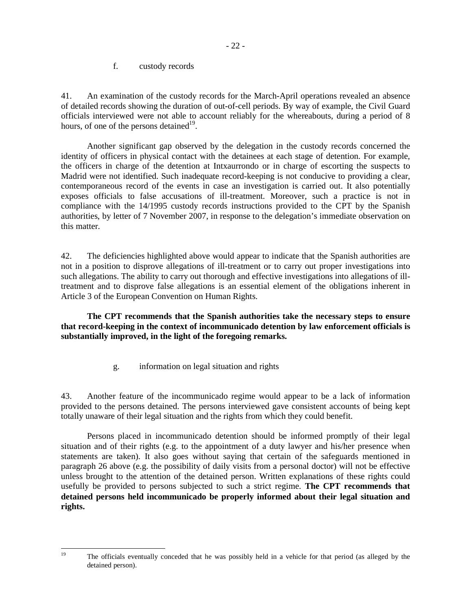f. custody records

41. An examination of the custody records for the March-April operations revealed an absence of detailed records showing the duration of out-of-cell periods. By way of example, the Civil Guard officials interviewed were not able to account reliably for the whereabouts, during a period of 8 hours, of one of the persons detained<sup>19</sup>.

Another significant gap observed by the delegation in the custody records concerned the identity of officers in physical contact with the detainees at each stage of detention. For example, the officers in charge of the detention at Intxaurrondo or in charge of escorting the suspects to Madrid were not identified. Such inadequate record-keeping is not conducive to providing a clear, contemporaneous record of the events in case an investigation is carried out. It also potentially exposes officials to false accusations of ill-treatment. Moreover, such a practice is not in compliance with the 14/1995 custody records instructions provided to the CPT by the Spanish authorities, by letter of 7 November 2007, in response to the delegation's immediate observation on this matter.

42. The deficiencies highlighted above would appear to indicate that the Spanish authorities are not in a position to disprove allegations of ill-treatment or to carry out proper investigations into such allegations. The ability to carry out thorough and effective investigations into allegations of illtreatment and to disprove false allegations is an essential element of the obligations inherent in Article 3 of the European Convention on Human Rights.

**The CPT recommends that the Spanish authorities take the necessary steps to ensure that record-keeping in the context of incommunicado detention by law enforcement officials is substantially improved, in the light of the foregoing remarks.** 

g. information on legal situation and rights

43. Another feature of the incommunicado regime would appear to be a lack of information provided to the persons detained. The persons interviewed gave consistent accounts of being kept totally unaware of their legal situation and the rights from which they could benefit.

Persons placed in incommunicado detention should be informed promptly of their legal situation and of their rights (e.g. to the appointment of a duty lawyer and his/her presence when statements are taken). It also goes without saying that certain of the safeguards mentioned in paragraph 26 above (e.g. the possibility of daily visits from a personal doctor) will not be effective unless brought to the attention of the detained person. Written explanations of these rights could usefully be provided to persons subjected to such a strict regime. **The CPT recommends that detained persons held incommunicado be properly informed about their legal situation and rights.** 

<sup>19</sup> <sup>19</sup> The officials eventually conceded that he was possibly held in a vehicle for that period (as alleged by the detained person).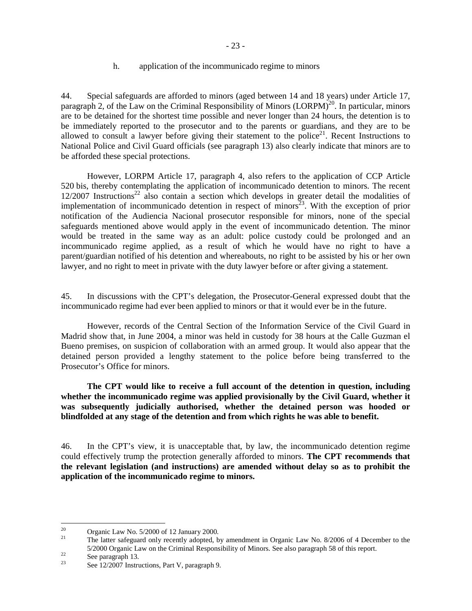#### h. application of the incommunicado regime to minors

44. Special safeguards are afforded to minors (aged between 14 and 18 years) under Article 17, paragraph 2, of the Law on the Criminal Responsibility of Minors  $(LORPM)^{20}$ . In particular, minors are to be detained for the shortest time possible and never longer than 24 hours, the detention is to be immediately reported to the prosecutor and to the parents or guardians, and they are to be allowed to consult a lawyer before giving their statement to the police<sup>21</sup>. Recent Instructions to National Police and Civil Guard officials (see paragraph 13) also clearly indicate that minors are to be afforded these special protections.

 However, LORPM Article 17, paragraph 4, also refers to the application of CCP Article 520 bis, thereby contemplating the application of incommunicado detention to minors. The recent  $12/2007$  Instructions<sup>22</sup> also contain a section which develops in greater detail the modalities of implementation of incommunicado detention in respect of minors<sup>23</sup>. With the exception of prior notification of the Audiencia Nacional prosecutor responsible for minors, none of the special safeguards mentioned above would apply in the event of incommunicado detention. The minor would be treated in the same way as an adult: police custody could be prolonged and an incommunicado regime applied, as a result of which he would have no right to have a parent/guardian notified of his detention and whereabouts, no right to be assisted by his or her own lawyer, and no right to meet in private with the duty lawyer before or after giving a statement.

45. In discussions with the CPT's delegation, the Prosecutor-General expressed doubt that the incommunicado regime had ever been applied to minors or that it would ever be in the future.

However, records of the Central Section of the Information Service of the Civil Guard in Madrid show that, in June 2004, a minor was held in custody for 38 hours at the Calle Guzman el Bueno premises, on suspicion of collaboration with an armed group. It would also appear that the detained person provided a lengthy statement to the police before being transferred to the Prosecutor's Office for minors.

**The CPT would like to receive a full account of the detention in question, including whether the incommunicado regime was applied provisionally by the Civil Guard, whether it was subsequently judicially authorised, whether the detained person was hooded or blindfolded at any stage of the detention and from which rights he was able to benefit.** 

46. In the CPT's view, it is unacceptable that, by law, the incommunicado detention regime could effectively trump the protection generally afforded to minors. **The CPT recommends that the relevant legislation (and instructions) are amended without delay so as to prohibit the application of the incommunicado regime to minors.**

 $20^{\circ}$ <sup>20</sup> Organic Law No. 5/2000 of 12 January 2000.

The latter safeguard only recently adopted, by amendment in Organic Law No. 8/2006 of 4 December to the 5/2000 Organic Law on the Criminal Responsibility of Minors. See also paragraph 58 of this report.

 $\frac{22}{23}$  See paragraph 13.

See 12/2007 Instructions, Part V, paragraph 9.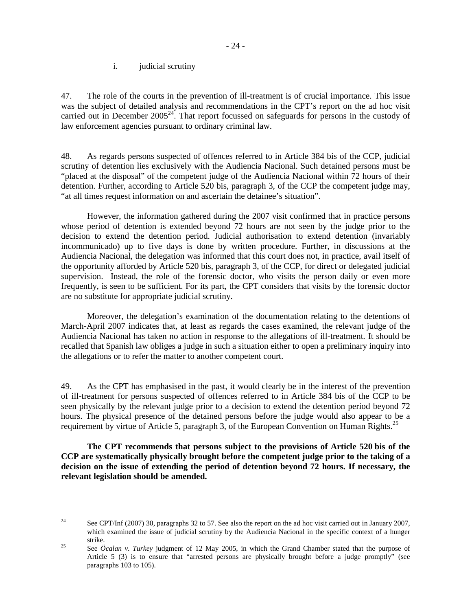i. judicial scrutiny

47. The role of the courts in the prevention of ill-treatment is of crucial importance. This issue was the subject of detailed analysis and recommendations in the CPT's report on the ad hoc visit carried out in December  $2005^{24}$ . That report focussed on safeguards for persons in the custody of law enforcement agencies pursuant to ordinary criminal law.

48. As regards persons suspected of offences referred to in Article 384 bis of the CCP, judicial scrutiny of detention lies exclusively with the Audiencia Nacional. Such detained persons must be "placed at the disposal" of the competent judge of the Audiencia Nacional within 72 hours of their detention. Further, according to Article 520 bis, paragraph 3, of the CCP the competent judge may, "at all times request information on and ascertain the detainee's situation".

 However, the information gathered during the 2007 visit confirmed that in practice persons whose period of detention is extended beyond 72 hours are not seen by the judge prior to the decision to extend the detention period. Judicial authorisation to extend detention (invariably incommunicado) up to five days is done by written procedure. Further, in discussions at the Audiencia Nacional, the delegation was informed that this court does not, in practice, avail itself of the opportunity afforded by Article 520 bis, paragraph 3, of the CCP, for direct or delegated judicial supervision. Instead, the role of the forensic doctor, who visits the person daily or even more frequently, is seen to be sufficient. For its part, the CPT considers that visits by the forensic doctor are no substitute for appropriate judicial scrutiny.

Moreover, the delegation's examination of the documentation relating to the detentions of March-April 2007 indicates that, at least as regards the cases examined, the relevant judge of the Audiencia Nacional has taken no action in response to the allegations of ill-treatment. It should be recalled that Spanish law obliges a judge in such a situation either to open a preliminary inquiry into the allegations or to refer the matter to another competent court.

49. As the CPT has emphasised in the past, it would clearly be in the interest of the prevention of ill-treatment for persons suspected of offences referred to in Article 384 bis of the CCP to be seen physically by the relevant judge prior to a decision to extend the detention period beyond 72 hours. The physical presence of the detained persons before the judge would also appear to be a requirement by virtue of Article 5, paragraph 3, of the European Convention on Human Rights.<sup>25</sup>

**The CPT recommends that persons subject to the provisions of Article 520 bis of the CCP are systematically physically brought before the competent judge prior to the taking of a decision on the issue of extending the period of detention beyond 72 hours. If necessary, the relevant legislation should be amended.** 

 $24$ <sup>24</sup> See CPT/Inf (2007) 30, paragraphs 32 to 57. See also the report on the ad hoc visit carried out in January 2007, which examined the issue of judicial scrutiny by the Audiencia Nacional in the specific context of a hunger strike.

<sup>&</sup>lt;sup>25</sup> See *Öcalan v. Turkey* judgment of 12 May 2005, in which the Grand Chamber stated that the purpose of Article 5 (3) is to ensure that "arrested persons are physically brought before a judge promptly" (see paragraphs 103 to 105).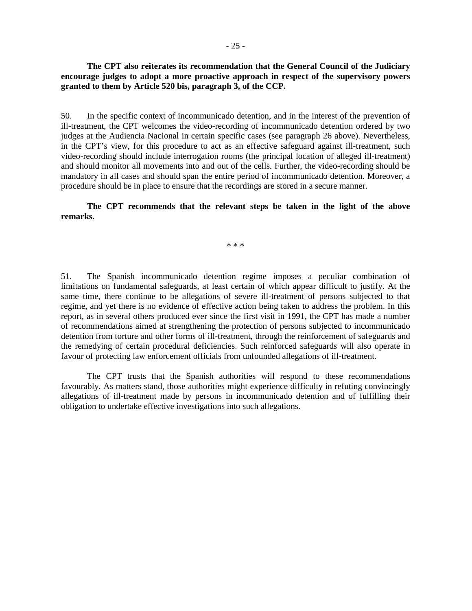**The CPT also reiterates its recommendation that the General Council of the Judiciary encourage judges to adopt a more proactive approach in respect of the supervisory powers granted to them by Article 520 bis, paragraph 3, of the CCP.** 

50. In the specific context of incommunicado detention, and in the interest of the prevention of ill-treatment, the CPT welcomes the video-recording of incommunicado detention ordered by two judges at the Audiencia Nacional in certain specific cases (see paragraph 26 above). Nevertheless, in the CPT's view, for this procedure to act as an effective safeguard against ill-treatment, such video-recording should include interrogation rooms (the principal location of alleged ill-treatment) and should monitor all movements into and out of the cells. Further, the video-recording should be mandatory in all cases and should span the entire period of incommunicado detention. Moreover, a procedure should be in place to ensure that the recordings are stored in a secure manner.

**The CPT recommends that the relevant steps be taken in the light of the above remarks.** 

\* \* \*

51. The Spanish incommunicado detention regime imposes a peculiar combination of limitations on fundamental safeguards, at least certain of which appear difficult to justify. At the same time, there continue to be allegations of severe ill-treatment of persons subjected to that regime, and yet there is no evidence of effective action being taken to address the problem. In this report, as in several others produced ever since the first visit in 1991, the CPT has made a number of recommendations aimed at strengthening the protection of persons subjected to incommunicado detention from torture and other forms of ill-treatment, through the reinforcement of safeguards and the remedying of certain procedural deficiencies. Such reinforced safeguards will also operate in favour of protecting law enforcement officials from unfounded allegations of ill-treatment.

The CPT trusts that the Spanish authorities will respond to these recommendations favourably. As matters stand, those authorities might experience difficulty in refuting convincingly allegations of ill-treatment made by persons in incommunicado detention and of fulfilling their obligation to undertake effective investigations into such allegations.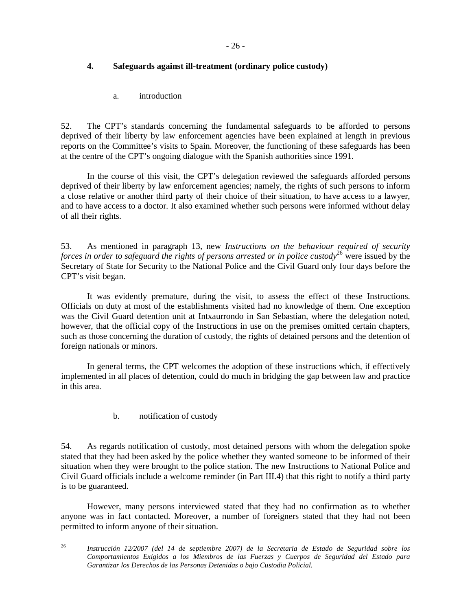### **4. Safeguards against ill-treatment (ordinary police custody)**

a. introduction

52. The CPT's standards concerning the fundamental safeguards to be afforded to persons deprived of their liberty by law enforcement agencies have been explained at length in previous reports on the Committee's visits to Spain. Moreover, the functioning of these safeguards has been at the centre of the CPT's ongoing dialogue with the Spanish authorities since 1991.

In the course of this visit, the CPT's delegation reviewed the safeguards afforded persons deprived of their liberty by law enforcement agencies; namely, the rights of such persons to inform a close relative or another third party of their choice of their situation, to have access to a lawyer, and to have access to a doctor. It also examined whether such persons were informed without delay of all their rights.

53. As mentioned in paragraph 13, new *Instructions on the behaviour required of security forces in order to safeguard the rights of persons arrested or in police custody*<sup>26</sup> were issued by the Secretary of State for Security to the National Police and the Civil Guard only four days before the CPT's visit began.

It was evidently premature, during the visit, to assess the effect of these Instructions. Officials on duty at most of the establishments visited had no knowledge of them. One exception was the Civil Guard detention unit at Intxaurrondo in San Sebastian, where the delegation noted, however, that the official copy of the Instructions in use on the premises omitted certain chapters, such as those concerning the duration of custody, the rights of detained persons and the detention of foreign nationals or minors.

In general terms, the CPT welcomes the adoption of these instructions which, if effectively implemented in all places of detention, could do much in bridging the gap between law and practice in this area.

b. notification of custody

<sup>26</sup>

54. As regards notification of custody, most detained persons with whom the delegation spoke stated that they had been asked by the police whether they wanted someone to be informed of their situation when they were brought to the police station. The new Instructions to National Police and Civil Guard officials include a welcome reminder (in Part III.4) that this right to notify a third party is to be guaranteed.

However, many persons interviewed stated that they had no confirmation as to whether anyone was in fact contacted. Moreover, a number of foreigners stated that they had not been permitted to inform anyone of their situation.

*Instrucción 12/2007 (del 14 de septiembre 2007) de la Secretaria de Estado de Seguridad sobre los Comportamientos Exigidos a los Miembros de las Fuerzas y Cuerpos de Seguridad del Estado para Garantizar los Derechos de las Personas Detenidas o bajo Custodia Policial.*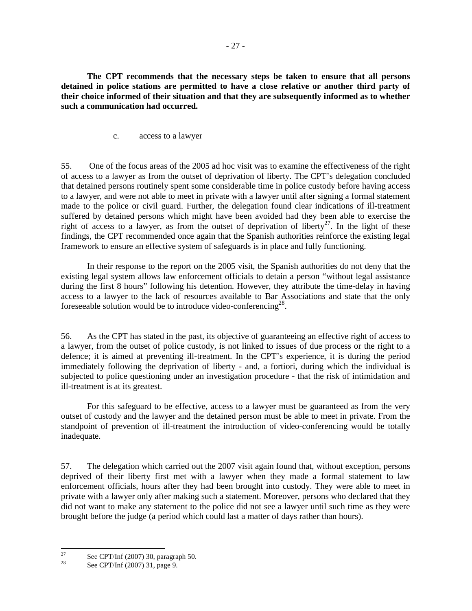**The CPT recommends that the necessary steps be taken to ensure that all persons detained in police stations are permitted to have a close relative or another third party of their choice informed of their situation and that they are subsequently informed as to whether such a communication had occurred.** 

c. access to a lawyer

55. One of the focus areas of the 2005 ad hoc visit was to examine the effectiveness of the right of access to a lawyer as from the outset of deprivation of liberty. The CPT's delegation concluded that detained persons routinely spent some considerable time in police custody before having access to a lawyer, and were not able to meet in private with a lawyer until after signing a formal statement made to the police or civil guard. Further, the delegation found clear indications of ill-treatment suffered by detained persons which might have been avoided had they been able to exercise the right of access to a lawyer, as from the outset of deprivation of liberty<sup>27</sup>. In the light of these findings, the CPT recommended once again that the Spanish authorities reinforce the existing legal framework to ensure an effective system of safeguards is in place and fully functioning.

 In their response to the report on the 2005 visit, the Spanish authorities do not deny that the existing legal system allows law enforcement officials to detain a person "without legal assistance during the first 8 hours" following his detention. However, they attribute the time-delay in having access to a lawyer to the lack of resources available to Bar Associations and state that the only foreseeable solution would be to introduce video-conferencing<sup>28</sup>.

56. As the CPT has stated in the past, its objective of guaranteeing an effective right of access to a lawyer, from the outset of police custody, is not linked to issues of due process or the right to a defence; it is aimed at preventing ill-treatment. In the CPT's experience, it is during the period immediately following the deprivation of liberty - and, a fortiori, during which the individual is subjected to police questioning under an investigation procedure - that the risk of intimidation and ill-treatment is at its greatest.

For this safeguard to be effective, access to a lawyer must be guaranteed as from the very outset of custody and the lawyer and the detained person must be able to meet in private. From the standpoint of prevention of ill-treatment the introduction of video-conferencing would be totally inadequate.

57. The delegation which carried out the 2007 visit again found that, without exception, persons deprived of their liberty first met with a lawyer when they made a formal statement to law enforcement officials, hours after they had been brought into custody. They were able to meet in private with a lawyer only after making such a statement. Moreover, persons who declared that they did not want to make any statement to the police did not see a lawyer until such time as they were brought before the judge (a period which could last a matter of days rather than hours).

 $27$ <sup>27</sup> See CPT/Inf (2007) 30, paragraph 50.

See CPT/Inf (2007) 31, page 9.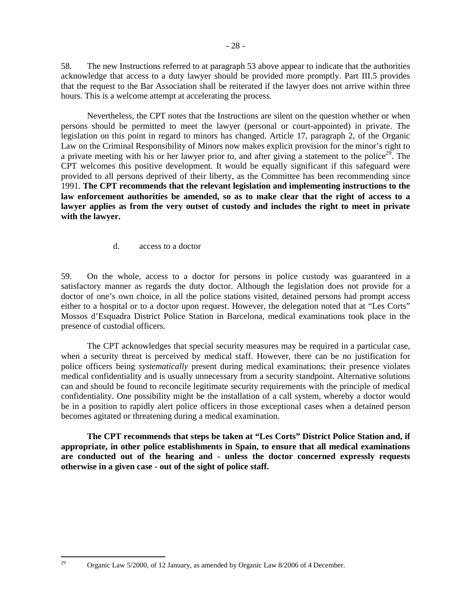58. The new Instructions referred to at paragraph 53 above appear to indicate that the authorities acknowledge that access to a duty lawyer should be provided more promptly. Part III.5 provides that the request to the Bar Association shall be reiterated if the lawyer does not arrive within three hours. This is a welcome attempt at accelerating the process.

Nevertheless, the CPT notes that the Instructions are silent on the question whether or when persons should be permitted to meet the lawyer (personal or court-appointed) in private. The legislation on this point in regard to minors has changed. Article 17, paragraph 2, of the Organic Law on the Criminal Responsibility of Minors now makes explicit provision for the minor's right to a private meeting with his or her lawyer prior to, and after giving a statement to the police<sup>29</sup>. The CPT welcomes this positive development. It would be equally significant if this safeguard were provided to all persons deprived of their liberty, as the Committee has been recommending since 1991. **The CPT recommends that the relevant legislation and implementing instructions to the law enforcement authorities be amended, so as to make clear that the right of access to a lawyer applies as from the very outset of custody and includes the right to meet in private with the lawyer.** 

d. access to a doctor

59. On the whole, access to a doctor for persons in police custody was guaranteed in a satisfactory manner as regards the duty doctor. Although the legislation does not provide for a doctor of one's own choice, in all the police stations visited, detained persons had prompt access either to a hospital or to a doctor upon request. However, the delegation noted that at "Les Corts" Mossos d'Esquadra District Police Station in Barcelona, medical examinations took place in the presence of custodial officers.

 The CPT acknowledges that special security measures may be required in a particular case, when a security threat is perceived by medical staff. However, there can be no justification for police officers being *systematically* present during medical examinations; their presence violates medical confidentiality and is usually unnecessary from a security standpoint. Alternative solutions can and should be found to reconcile legitimate security requirements with the principle of medical confidentiality. One possibility might be the installation of a call system, whereby a doctor would be in a position to rapidly alert police officers in those exceptional cases when a detained person becomes agitated or threatening during a medical examination.

**The CPT recommends that steps be taken at "Les Corts" District Police Station and, if appropriate, in other police establishments in Spain, to ensure that all medical examinations are conducted out of the hearing and - unless the doctor concerned expressly requests otherwise in a given case - out of the sight of police staff.**

29

<sup>29</sup> Organic Law 5/2000, of 12 January, as amended by Organic Law 8/2006 of 4 December.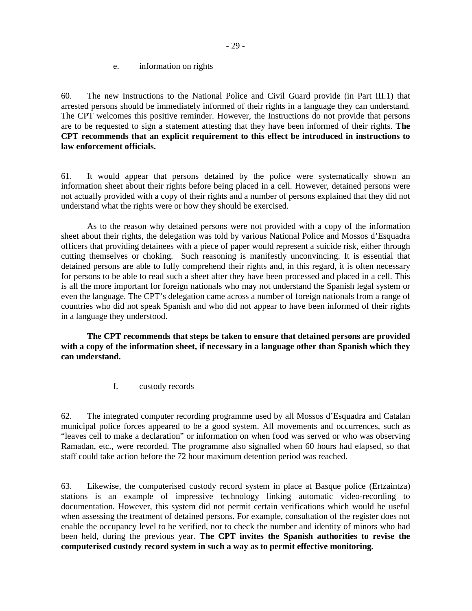e. information on rights

60. The new Instructions to the National Police and Civil Guard provide (in Part III.1) that arrested persons should be immediately informed of their rights in a language they can understand. The CPT welcomes this positive reminder. However, the Instructions do not provide that persons are to be requested to sign a statement attesting that they have been informed of their rights. **The CPT recommends that an explicit requirement to this effect be introduced in instructions to law enforcement officials.**

61. It would appear that persons detained by the police were systematically shown an information sheet about their rights before being placed in a cell. However, detained persons were not actually provided with a copy of their rights and a number of persons explained that they did not understand what the rights were or how they should be exercised.

 As to the reason why detained persons were not provided with a copy of the information sheet about their rights, the delegation was told by various National Police and Mossos d'Esquadra officers that providing detainees with a piece of paper would represent a suicide risk, either through cutting themselves or choking. Such reasoning is manifestly unconvincing. It is essential that detained persons are able to fully comprehend their rights and, in this regard, it is often necessary for persons to be able to read such a sheet after they have been processed and placed in a cell. This is all the more important for foreign nationals who may not understand the Spanish legal system or even the language. The CPT's delegation came across a number of foreign nationals from a range of countries who did not speak Spanish and who did not appear to have been informed of their rights in a language they understood.

**The CPT recommends that steps be taken to ensure that detained persons are provided with a copy of the information sheet, if necessary in a language other than Spanish which they can understand.** 

f. custody records

62. The integrated computer recording programme used by all Mossos d'Esquadra and Catalan municipal police forces appeared to be a good system. All movements and occurrences, such as "leaves cell to make a declaration" or information on when food was served or who was observing Ramadan, etc., were recorded. The programme also signalled when 60 hours had elapsed, so that staff could take action before the 72 hour maximum detention period was reached.

63. Likewise, the computerised custody record system in place at Basque police (Ertzaintza) stations is an example of impressive technology linking automatic video-recording to documentation. However, this system did not permit certain verifications which would be useful when assessing the treatment of detained persons. For example, consultation of the register does not enable the occupancy level to be verified, nor to check the number and identity of minors who had been held, during the previous year. **The CPT invites the Spanish authorities to revise the computerised custody record system in such a way as to permit effective monitoring.**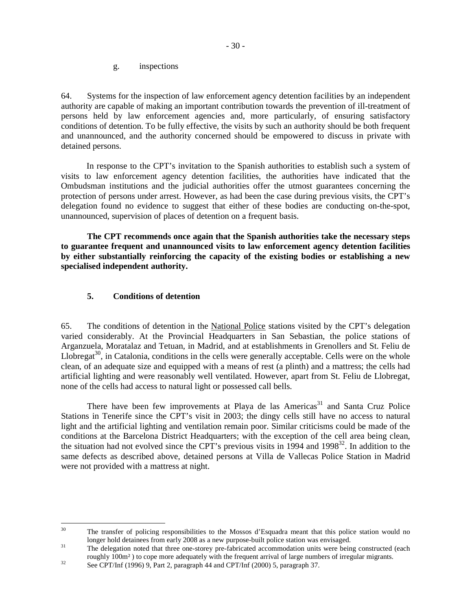g. inspections

64. Systems for the inspection of law enforcement agency detention facilities by an independent authority are capable of making an important contribution towards the prevention of ill-treatment of persons held by law enforcement agencies and, more particularly, of ensuring satisfactory conditions of detention. To be fully effective, the visits by such an authority should be both frequent and unannounced, and the authority concerned should be empowered to discuss in private with detained persons.

In response to the CPT's invitation to the Spanish authorities to establish such a system of visits to law enforcement agency detention facilities, the authorities have indicated that the Ombudsman institutions and the judicial authorities offer the utmost guarantees concerning the protection of persons under arrest. However, as had been the case during previous visits, the CPT's delegation found no evidence to suggest that either of these bodies are conducting on-the-spot, unannounced, supervision of places of detention on a frequent basis.

 **The CPT recommends once again that the Spanish authorities take the necessary steps to guarantee frequent and unannounced visits to law enforcement agency detention facilities by either substantially reinforcing the capacity of the existing bodies or establishing a new specialised independent authority.** 

#### **5. Conditions of detention**

65. The conditions of detention in the National Police stations visited by the CPT's delegation varied considerably. At the Provincial Headquarters in San Sebastian, the police stations of Arganzuela, Moratalaz and Tetuan, in Madrid, and at establishments in Grenollers and St. Feliu de Llobregat<sup>30</sup>, in Catalonia, conditions in the cells were generally acceptable. Cells were on the whole clean, of an adequate size and equipped with a means of rest (a plinth) and a mattress; the cells had artificial lighting and were reasonably well ventilated. However, apart from St. Feliu de Llobregat, none of the cells had access to natural light or possessed call bells.

There have been few improvements at Playa de las Americas<sup>31</sup> and Santa Cruz Police Stations in Tenerife since the CPT's visit in 2003; the dingy cells still have no access to natural light and the artificial lighting and ventilation remain poor. Similar criticisms could be made of the conditions at the Barcelona District Headquarters; with the exception of the cell area being clean, the situation had not evolved since the CPT's previous visits in  $1994$  and  $1998^{32}$ . In addition to the same defects as described above, detained persons at Villa de Vallecas Police Station in Madrid were not provided with a mattress at night.

 $30<sub>1</sub>$ <sup>30</sup> The transfer of policing responsibilities to the Mossos d'Esquadra meant that this police station would no longer hold detainees from early 2008 as a new purpose-built police station was envisaged.

<sup>&</sup>lt;sup>31</sup> The delegation noted that three one-storey pre-fabricated accommodation units were being constructed (each roughly 100m² ) to cope more adequately with the frequent arrival of large numbers of irregular migrants.

<sup>&</sup>lt;sup>32</sup> See CPT/Inf (1996) 9, Part 2, paragraph 44 and CPT/Inf (2000) 5, paragraph 37.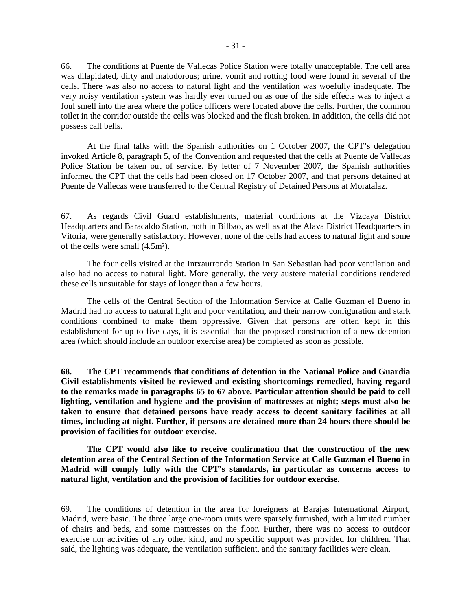66. The conditions at Puente de Vallecas Police Station were totally unacceptable. The cell area was dilapidated, dirty and malodorous; urine, vomit and rotting food were found in several of the cells. There was also no access to natural light and the ventilation was woefully inadequate. The very noisy ventilation system was hardly ever turned on as one of the side effects was to inject a foul smell into the area where the police officers were located above the cells. Further, the common toilet in the corridor outside the cells was blocked and the flush broken. In addition, the cells did not possess call bells.

At the final talks with the Spanish authorities on 1 October 2007, the CPT's delegation invoked Article 8, paragraph 5, of the Convention and requested that the cells at Puente de Vallecas Police Station be taken out of service. By letter of 7 November 2007, the Spanish authorities informed the CPT that the cells had been closed on 17 October 2007, and that persons detained at Puente de Vallecas were transferred to the Central Registry of Detained Persons at Moratalaz.

67. As regards Civil Guard establishments, material conditions at the Vizcaya District Headquarters and Baracaldo Station, both in Bilbao, as well as at the Alava District Headquarters in Vitoria, were generally satisfactory. However, none of the cells had access to natural light and some of the cells were small (4.5m²).

The four cells visited at the Intxaurrondo Station in San Sebastian had poor ventilation and also had no access to natural light. More generally, the very austere material conditions rendered these cells unsuitable for stays of longer than a few hours.

The cells of the Central Section of the Information Service at Calle Guzman el Bueno in Madrid had no access to natural light and poor ventilation, and their narrow configuration and stark conditions combined to make them oppressive. Given that persons are often kept in this establishment for up to five days, it is essential that the proposed construction of a new detention area (which should include an outdoor exercise area) be completed as soon as possible.

**68. The CPT recommends that conditions of detention in the National Police and Guardia Civil establishments visited be reviewed and existing shortcomings remedied, having regard to the remarks made in paragraphs 65 to 67 above. Particular attention should be paid to cell lighting, ventilation and hygiene and the provision of mattresses at night; steps must also be taken to ensure that detained persons have ready access to decent sanitary facilities at all times, including at night. Further, if persons are detained more than 24 hours there should be provision of facilities for outdoor exercise.** 

**The CPT would also like to receive confirmation that the construction of the new detention area of the Central Section of the Information Service at Calle Guzman el Bueno in Madrid will comply fully with the CPT's standards, in particular as concerns access to natural light, ventilation and the provision of facilities for outdoor exercise.** 

69. The conditions of detention in the area for foreigners at Barajas International Airport, Madrid, were basic. The three large one-room units were sparsely furnished, with a limited number of chairs and beds, and some mattresses on the floor. Further, there was no access to outdoor exercise nor activities of any other kind, and no specific support was provided for children. That said, the lighting was adequate, the ventilation sufficient, and the sanitary facilities were clean.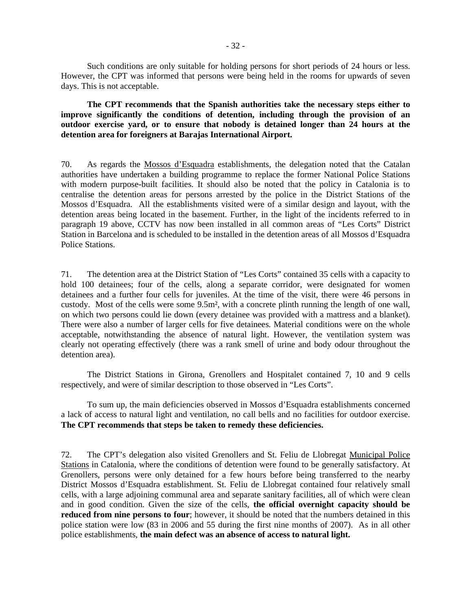Such conditions are only suitable for holding persons for short periods of 24 hours or less. However, the CPT was informed that persons were being held in the rooms for upwards of seven days. This is not acceptable.

**The CPT recommends that the Spanish authorities take the necessary steps either to improve significantly the conditions of detention, including through the provision of an outdoor exercise yard, or to ensure that nobody is detained longer than 24 hours at the detention area for foreigners at Barajas International Airport.** 

70. As regards the Mossos d'Esquadra establishments, the delegation noted that the Catalan authorities have undertaken a building programme to replace the former National Police Stations with modern purpose-built facilities. It should also be noted that the policy in Catalonia is to centralise the detention areas for persons arrested by the police in the District Stations of the Mossos d'Esquadra. All the establishments visited were of a similar design and layout, with the detention areas being located in the basement. Further, in the light of the incidents referred to in paragraph 19 above, CCTV has now been installed in all common areas of "Les Corts" District Station in Barcelona and is scheduled to be installed in the detention areas of all Mossos d'Esquadra Police Stations.

71. The detention area at the District Station of "Les Corts" contained 35 cells with a capacity to hold 100 detainees; four of the cells, along a separate corridor, were designated for women detainees and a further four cells for juveniles. At the time of the visit, there were 46 persons in custody. Most of the cells were some 9.5m², with a concrete plinth running the length of one wall, on which two persons could lie down (every detainee was provided with a mattress and a blanket). There were also a number of larger cells for five detainees. Material conditions were on the whole acceptable, notwithstanding the absence of natural light. However, the ventilation system was clearly not operating effectively (there was a rank smell of urine and body odour throughout the detention area).

 The District Stations in Girona, Grenollers and Hospitalet contained 7, 10 and 9 cells respectively, and were of similar description to those observed in "Les Corts".

To sum up, the main deficiencies observed in Mossos d'Esquadra establishments concerned a lack of access to natural light and ventilation, no call bells and no facilities for outdoor exercise. **The CPT recommends that steps be taken to remedy these deficiencies.** 

72. The CPT's delegation also visited Grenollers and St. Feliu de Llobregat Municipal Police Stations in Catalonia, where the conditions of detention were found to be generally satisfactory. At Grenollers, persons were only detained for a few hours before being transferred to the nearby District Mossos d'Esquadra establishment. St. Feliu de Llobregat contained four relatively small cells, with a large adjoining communal area and separate sanitary facilities, all of which were clean and in good condition. Given the size of the cells, **the official overnight capacity should be reduced from nine persons to four**; however, it should be noted that the numbers detained in this police station were low (83 in 2006 and 55 during the first nine months of 2007). As in all other police establishments, **the main defect was an absence of access to natural light.**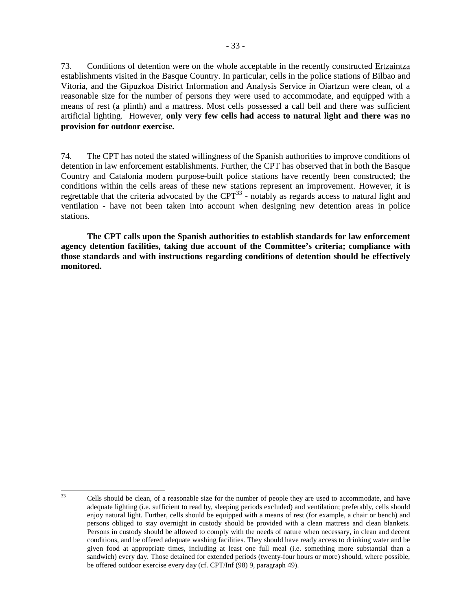73. Conditions of detention were on the whole acceptable in the recently constructed Ertzaintza establishments visited in the Basque Country. In particular, cells in the police stations of Bilbao and Vitoria, and the Gipuzkoa District Information and Analysis Service in Oiartzun were clean, of a reasonable size for the number of persons they were used to accommodate, and equipped with a means of rest (a plinth) and a mattress. Most cells possessed a call bell and there was sufficient artificial lighting. However, **only very few cells had access to natural light and there was no provision for outdoor exercise.** 

74. The CPT has noted the stated willingness of the Spanish authorities to improve conditions of detention in law enforcement establishments. Further, the CPT has observed that in both the Basque Country and Catalonia modern purpose-built police stations have recently been constructed; the conditions within the cells areas of these new stations represent an improvement. However, it is regrettable that the criteria advocated by the CPT<sup>33</sup> - notably as regards access to natural light and ventilation - have not been taken into account when designing new detention areas in police stations.

**The CPT calls upon the Spanish authorities to establish standards for law enforcement agency detention facilities, taking due account of the Committee's criteria; compliance with those standards and with instructions regarding conditions of detention should be effectively monitored.**

 $33$ Cells should be clean, of a reasonable size for the number of people they are used to accommodate, and have adequate lighting (i.e. sufficient to read by, sleeping periods excluded) and ventilation; preferably, cells should enjoy natural light. Further, cells should be equipped with a means of rest (for example, a chair or bench) and persons obliged to stay overnight in custody should be provided with a clean mattress and clean blankets. Persons in custody should be allowed to comply with the needs of nature when necessary, in clean and decent conditions, and be offered adequate washing facilities. They should have ready access to drinking water and be given food at appropriate times, including at least one full meal (i.e. something more substantial than a sandwich) every day. Those detained for extended periods (twenty-four hours or more) should, where possible, be offered outdoor exercise every day (cf. CPT/Inf (98) 9, paragraph 49).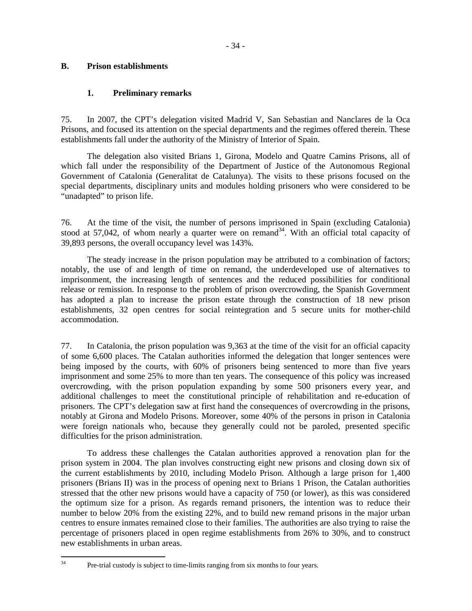#### **B. Prison establishments**

### **1. Preliminary remarks**

75. In 2007, the CPT's delegation visited Madrid V, San Sebastian and Nanclares de la Oca Prisons, and focused its attention on the special departments and the regimes offered therein. These establishments fall under the authority of the Ministry of Interior of Spain.

The delegation also visited Brians 1, Girona, Modelo and Quatre Camins Prisons, all of which fall under the responsibility of the Department of Justice of the Autonomous Regional Government of Catalonia (Generalitat de Catalunya). The visits to these prisons focused on the special departments, disciplinary units and modules holding prisoners who were considered to be "unadapted" to prison life.

76. At the time of the visit, the number of persons imprisoned in Spain (excluding Catalonia) stood at 57,042, of whom nearly a quarter were on remand<sup>34</sup>. With an official total capacity of 39,893 persons, the overall occupancy level was 143%.

 The steady increase in the prison population may be attributed to a combination of factors; notably, the use of and length of time on remand, the underdeveloped use of alternatives to imprisonment, the increasing length of sentences and the reduced possibilities for conditional release or remission. In response to the problem of prison overcrowding, the Spanish Government has adopted a plan to increase the prison estate through the construction of 18 new prison establishments, 32 open centres for social reintegration and 5 secure units for mother-child accommodation.

77. In Catalonia, the prison population was 9,363 at the time of the visit for an official capacity of some 6,600 places. The Catalan authorities informed the delegation that longer sentences were being imposed by the courts, with 60% of prisoners being sentenced to more than five years imprisonment and some 25% to more than ten years. The consequence of this policy was increased overcrowding, with the prison population expanding by some 500 prisoners every year, and additional challenges to meet the constitutional principle of rehabilitation and re-education of prisoners. The CPT's delegation saw at first hand the consequences of overcrowding in the prisons, notably at Girona and Modelo Prisons. Moreover, some 40% of the persons in prison in Catalonia were foreign nationals who, because they generally could not be paroled, presented specific difficulties for the prison administration.

To address these challenges the Catalan authorities approved a renovation plan for the prison system in 2004. The plan involves constructing eight new prisons and closing down six of the current establishments by 2010, including Modelo Prison. Although a large prison for 1,400 prisoners (Brians II) was in the process of opening next to Brians 1 Prison, the Catalan authorities stressed that the other new prisons would have a capacity of 750 (or lower), as this was considered the optimum size for a prison. As regards remand prisoners, the intention was to reduce their number to below 20% from the existing 22%, and to build new remand prisons in the major urban centres to ensure inmates remained close to their families. The authorities are also trying to raise the percentage of prisoners placed in open regime establishments from 26% to 30%, and to construct new establishments in urban areas.

Pre-trial custody is subject to time-limits ranging from six months to four years.

 $34$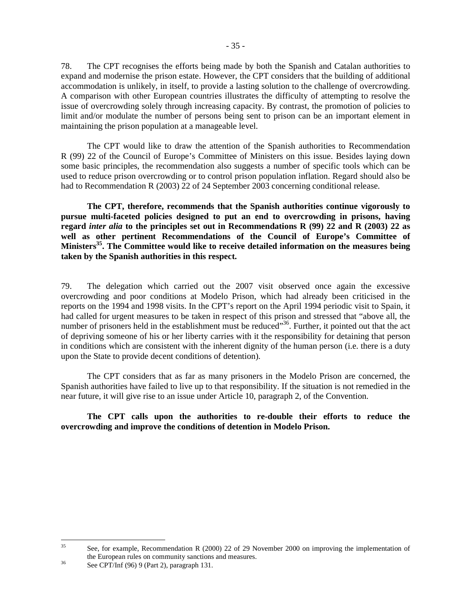78. The CPT recognises the efforts being made by both the Spanish and Catalan authorities to expand and modernise the prison estate. However, the CPT considers that the building of additional accommodation is unlikely, in itself, to provide a lasting solution to the challenge of overcrowding. A comparison with other European countries illustrates the difficulty of attempting to resolve the issue of overcrowding solely through increasing capacity. By contrast, the promotion of policies to limit and/or modulate the number of persons being sent to prison can be an important element in maintaining the prison population at a manageable level.

The CPT would like to draw the attention of the Spanish authorities to Recommendation R (99) 22 of the Council of Europe's Committee of Ministers on this issue. Besides laying down some basic principles, the recommendation also suggests a number of specific tools which can be used to reduce prison overcrowding or to control prison population inflation. Regard should also be had to Recommendation R (2003) 22 of 24 September 2003 concerning conditional release.

**The CPT, therefore, recommends that the Spanish authorities continue vigorously to pursue multi-faceted policies designed to put an end to overcrowding in prisons, having regard** *inter alia* **to the principles set out in Recommendations R (99) 22 and R (2003) 22 as well as other pertinent Recommendations of the Council of Europe's Committee of Ministers<sup>35</sup>. The Committee would like to receive detailed information on the measures being taken by the Spanish authorities in this respect.** 

79. The delegation which carried out the 2007 visit observed once again the excessive overcrowding and poor conditions at Modelo Prison, which had already been criticised in the reports on the 1994 and 1998 visits. In the CPT's report on the April 1994 periodic visit to Spain, it had called for urgent measures to be taken in respect of this prison and stressed that "above all, the number of prisoners held in the establishment must be reduced"<sup>36</sup>. Further, it pointed out that the act of depriving someone of his or her liberty carries with it the responsibility for detaining that person in conditions which are consistent with the inherent dignity of the human person (i.e. there is a duty upon the State to provide decent conditions of detention).

The CPT considers that as far as many prisoners in the Modelo Prison are concerned, the Spanish authorities have failed to live up to that responsibility. If the situation is not remedied in the near future, it will give rise to an issue under Article 10, paragraph 2, of the Convention.

**The CPT calls upon the authorities to re-double their efforts to reduce the overcrowding and improve the conditions of detention in Modelo Prison.** 

<sup>35</sup> See, for example, Recommendation R (2000) 22 of 29 November 2000 on improving the implementation of the European rules on community sanctions and measures.

<sup>36</sup> See CPT/Inf (96) 9 (Part 2), paragraph 131.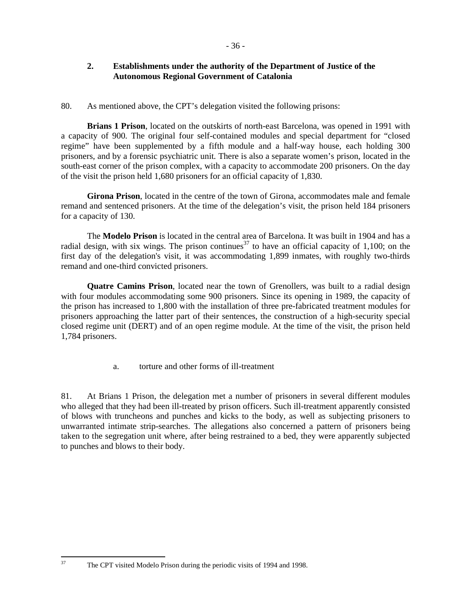### **2. Establishments under the authority of the Department of Justice of the Autonomous Regional Government of Catalonia**

80. As mentioned above, the CPT's delegation visited the following prisons:

**Brians 1 Prison**, located on the outskirts of north-east Barcelona, was opened in 1991 with a capacity of 900. The original four self-contained modules and special department for "closed regime" have been supplemented by a fifth module and a half-way house, each holding 300 prisoners, and by a forensic psychiatric unit. There is also a separate women's prison, located in the south-east corner of the prison complex, with a capacity to accommodate 200 prisoners. On the day of the visit the prison held 1,680 prisoners for an official capacity of 1,830.

**Girona Prison**, located in the centre of the town of Girona, accommodates male and female remand and sentenced prisoners. At the time of the delegation's visit, the prison held 184 prisoners for a capacity of 130.

The **Modelo Prison** is located in the central area of Barcelona. It was built in 1904 and has a radial design, with six wings. The prison continues<sup>37</sup> to have an official capacity of 1,100; on the first day of the delegation's visit, it was accommodating 1,899 inmates, with roughly two-thirds remand and one-third convicted prisoners.

**Quatre Camins Prison**, located near the town of Grenollers, was built to a radial design with four modules accommodating some 900 prisoners. Since its opening in 1989, the capacity of the prison has increased to 1,800 with the installation of three pre-fabricated treatment modules for prisoners approaching the latter part of their sentences, the construction of a high-security special closed regime unit (DERT) and of an open regime module. At the time of the visit, the prison held 1,784 prisoners.

a. torture and other forms of ill-treatment

81. At Brians 1 Prison, the delegation met a number of prisoners in several different modules who alleged that they had been ill-treated by prison officers. Such ill-treatment apparently consisted of blows with truncheons and punches and kicks to the body, as well as subjecting prisoners to unwarranted intimate strip-searches. The allegations also concerned a pattern of prisoners being taken to the segregation unit where, after being restrained to a bed, they were apparently subjected to punches and blows to their body.

37

<sup>37</sup> The CPT visited Modelo Prison during the periodic visits of 1994 and 1998.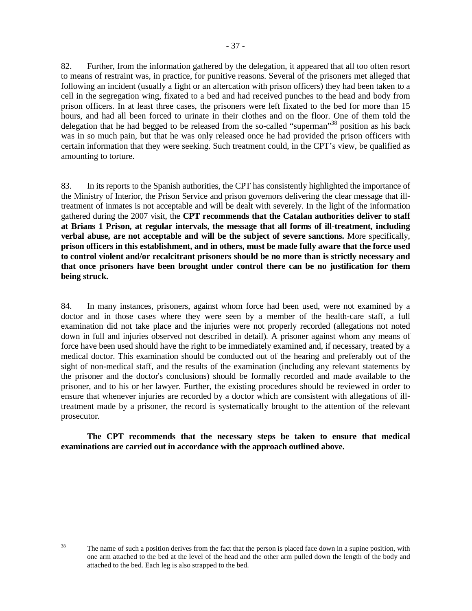82. Further, from the information gathered by the delegation, it appeared that all too often resort to means of restraint was, in practice, for punitive reasons. Several of the prisoners met alleged that following an incident (usually a fight or an altercation with prison officers) they had been taken to a cell in the segregation wing, fixated to a bed and had received punches to the head and body from prison officers. In at least three cases, the prisoners were left fixated to the bed for more than 15 hours, and had all been forced to urinate in their clothes and on the floor. One of them told the delegation that he had begged to be released from the so-called "superman"<sup>38</sup> position as his back was in so much pain, but that he was only released once he had provided the prison officers with certain information that they were seeking. Such treatment could, in the CPT's view, be qualified as amounting to torture.

83. In its reports to the Spanish authorities, the CPT has consistently highlighted the importance of the Ministry of Interior, the Prison Service and prison governors delivering the clear message that illtreatment of inmates is not acceptable and will be dealt with severely. In the light of the information gathered during the 2007 visit, the **CPT recommends that the Catalan authorities deliver to staff at Brians 1 Prison, at regular intervals, the message that all forms of ill-treatment, including verbal abuse, are not acceptable and will be the subject of severe sanctions.** More specifically, **prison officers in this establishment, and in others, must be made fully aware that the force used to control violent and/or recalcitrant prisoners should be no more than is strictly necessary and that once prisoners have been brought under control there can be no justification for them being struck.**

84. In many instances, prisoners, against whom force had been used, were not examined by a doctor and in those cases where they were seen by a member of the health-care staff, a full examination did not take place and the injuries were not properly recorded (allegations not noted down in full and injuries observed not described in detail). A prisoner against whom any means of force have been used should have the right to be immediately examined and, if necessary, treated by a medical doctor. This examination should be conducted out of the hearing and preferably out of the sight of non-medical staff, and the results of the examination (including any relevant statements by the prisoner and the doctor's conclusions) should be formally recorded and made available to the prisoner, and to his or her lawyer. Further, the existing procedures should be reviewed in order to ensure that whenever injuries are recorded by a doctor which are consistent with allegations of illtreatment made by a prisoner, the record is systematically brought to the attention of the relevant prosecutor.

**The CPT recommends that the necessary steps be taken to ensure that medical examinations are carried out in accordance with the approach outlined above.**

The name of such a position derives from the fact that the person is placed face down in a supine position, with one arm attached to the bed at the level of the head and the other arm pulled down the length of the body and attached to the bed. Each leg is also strapped to the bed.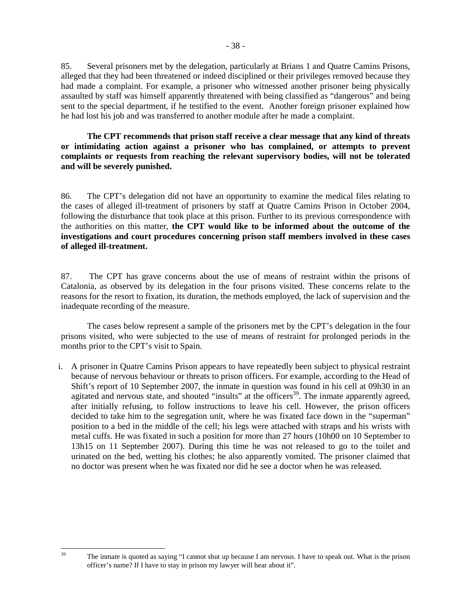85. Several prisoners met by the delegation, particularly at Brians 1 and Quatre Camins Prisons, alleged that they had been threatened or indeed disciplined or their privileges removed because they had made a complaint. For example, a prisoner who witnessed another prisoner being physically assaulted by staff was himself apparently threatened with being classified as "dangerous" and being sent to the special department, if he testified to the event. Another foreign prisoner explained how he had lost his job and was transferred to another module after he made a complaint.

**The CPT recommends that prison staff receive a clear message that any kind of threats or intimidating action against a prisoner who has complained, or attempts to prevent complaints or requests from reaching the relevant supervisory bodies, will not be tolerated and will be severely punished.** 

86. The CPT's delegation did not have an opportunity to examine the medical files relating to the cases of alleged ill-treatment of prisoners by staff at Quatre Camins Prison in October 2004, following the disturbance that took place at this prison. Further to its previous correspondence with the authorities on this matter, **the CPT would like to be informed about the outcome of the investigations and court procedures concerning prison staff members involved in these cases of alleged ill-treatment.** 

87. The CPT has grave concerns about the use of means of restraint within the prisons of Catalonia, as observed by its delegation in the four prisons visited. These concerns relate to the reasons for the resort to fixation, its duration, the methods employed, the lack of supervision and the inadequate recording of the measure.

The cases below represent a sample of the prisoners met by the CPT's delegation in the four prisons visited, who were subjected to the use of means of restraint for prolonged periods in the months prior to the CPT's visit to Spain.

i. A prisoner in Quatre Camins Prison appears to have repeatedly been subject to physical restraint because of nervous behaviour or threats to prison officers. For example, according to the Head of Shift's report of 10 September 2007, the inmate in question was found in his cell at 09h30 in an agitated and nervous state, and shouted "insults" at the officers<sup>39</sup>. The inmate apparently agreed, after initially refusing, to follow instructions to leave his cell. However, the prison officers decided to take him to the segregation unit, where he was fixated face down in the "superman" position to a bed in the middle of the cell; his legs were attached with straps and his wrists with metal cuffs. He was fixated in such a position for more than 27 hours (10h00 on 10 September to 13h15 on 11 September 2007). During this time he was not released to go to the toilet and urinated on the bed, wetting his clothes; he also apparently vomited. The prisoner claimed that no doctor was present when he was fixated nor did he see a doctor when he was released.

The inmate is quoted as saying "I cannot shut up because I am nervous. I have to speak out. What is the prison officer's name? If I have to stay in prison my lawyer will hear about it".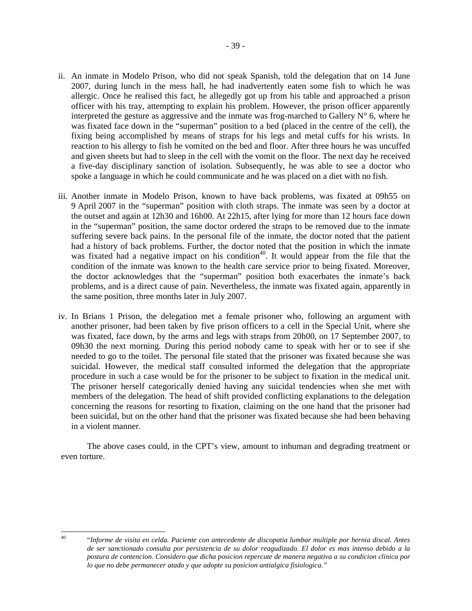- ii. An inmate in Modelo Prison, who did not speak Spanish, told the delegation that on 14 June 2007, during lunch in the mess hall, he had inadvertently eaten some fish to which he was allergic. Once he realised this fact, he allegedly got up from his table and approached a prison officer with his tray, attempting to explain his problem. However, the prison officer apparently interpreted the gesture as aggressive and the inmate was frog-marched to Gallery  $N^{\circ}$  6, where he was fixated face down in the "superman" position to a bed (placed in the centre of the cell), the fixing being accomplished by means of straps for his legs and metal cuffs for his wrists. In reaction to his allergy to fish he vomited on the bed and floor. After three hours he was uncuffed and given sheets but had to sleep in the cell with the vomit on the floor. The next day he received a five-day disciplinary sanction of isolation. Subsequently, he was able to see a doctor who spoke a language in which he could communicate and he was placed on a diet with no fish.
- iii. Another inmate in Modelo Prison, known to have back problems, was fixated at 09h55 on 9 April 2007 in the "superman" position with cloth straps. The inmate was seen by a doctor at the outset and again at 12h30 and 16h00. At 22h15, after lying for more than 12 hours face down in the "superman" position, the same doctor ordered the straps to be removed due to the inmate suffering severe back pains. In the personal file of the inmate, the doctor noted that the patient had a history of back problems. Further, the doctor noted that the position in which the inmate was fixated had a negative impact on his condition<sup>40</sup>. It would appear from the file that the condition of the inmate was known to the health care service prior to being fixated. Moreover, the doctor acknowledges that the "superman" position both exacerbates the inmate's back problems, and is a direct cause of pain. Nevertheless, the inmate was fixated again, apparently in the same position, three months later in July 2007.
- iv. In Brians 1 Prison, the delegation met a female prisoner who, following an argument with another prisoner, had been taken by five prison officers to a cell in the Special Unit, where she was fixated, face down, by the arms and legs with straps from 20h00, on 17 September 2007, to 09h30 the next morning. During this period nobody came to speak with her or to see if she needed to go to the toilet. The personal file stated that the prisoner was fixated because she was suicidal. However, the medical staff consulted informed the delegation that the appropriate procedure in such a case would be for the prisoner to be subject to fixation in the medical unit. The prisoner herself categorically denied having any suicidal tendencies when she met with members of the delegation. The head of shift provided conflicting explanations to the delegation concerning the reasons for resorting to fixation, claiming on the one hand that the prisoner had been suicidal, but on the other hand that the prisoner was fixated because she had been behaving in a violent manner.

 The above cases could, in the CPT's view, amount to inhuman and degrading treatment or even torture.

 $40<sup>2</sup>$ 

<sup>40</sup> "*Informe de visita en celda. Paciente con antecedente de discopatia lumbar multiple por hernia discal. Antes de ser sanctionado consulta por persistencia de su dolor reagudizado. El dolor es mas intenso debido a la postura de contencion. Considero que dicha posicion repercute de manera negativa a su condicion clinica por lo que no debe permanecer atado y que adopte su posicion antialgica fisiologica."*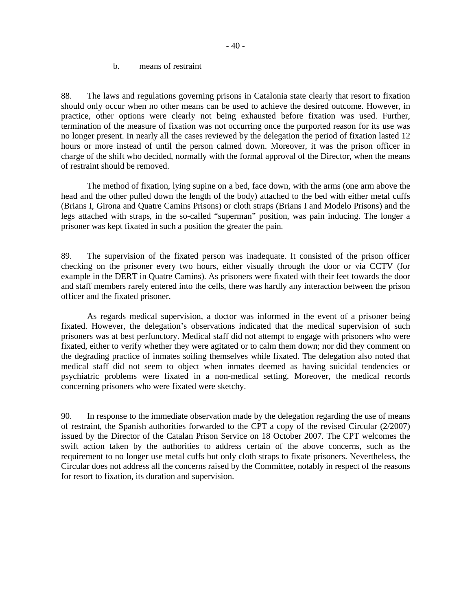#### b. means of restraint

88. The laws and regulations governing prisons in Catalonia state clearly that resort to fixation should only occur when no other means can be used to achieve the desired outcome. However, in practice, other options were clearly not being exhausted before fixation was used. Further, termination of the measure of fixation was not occurring once the purported reason for its use was no longer present. In nearly all the cases reviewed by the delegation the period of fixation lasted 12 hours or more instead of until the person calmed down. Moreover, it was the prison officer in charge of the shift who decided, normally with the formal approval of the Director, when the means of restraint should be removed.

 The method of fixation, lying supine on a bed, face down, with the arms (one arm above the head and the other pulled down the length of the body) attached to the bed with either metal cuffs (Brians I, Girona and Quatre Camins Prisons) or cloth straps (Brians I and Modelo Prisons) and the legs attached with straps, in the so-called "superman" position, was pain inducing. The longer a prisoner was kept fixated in such a position the greater the pain.

89. The supervision of the fixated person was inadequate. It consisted of the prison officer checking on the prisoner every two hours, either visually through the door or via CCTV (for example in the DERT in Quatre Camins). As prisoners were fixated with their feet towards the door and staff members rarely entered into the cells, there was hardly any interaction between the prison officer and the fixated prisoner.

 As regards medical supervision, a doctor was informed in the event of a prisoner being fixated. However, the delegation's observations indicated that the medical supervision of such prisoners was at best perfunctory. Medical staff did not attempt to engage with prisoners who were fixated, either to verify whether they were agitated or to calm them down; nor did they comment on the degrading practice of inmates soiling themselves while fixated. The delegation also noted that medical staff did not seem to object when inmates deemed as having suicidal tendencies or psychiatric problems were fixated in a non-medical setting. Moreover, the medical records concerning prisoners who were fixated were sketchy.

90. In response to the immediate observation made by the delegation regarding the use of means of restraint, the Spanish authorities forwarded to the CPT a copy of the revised Circular (2/2007) issued by the Director of the Catalan Prison Service on 18 October 2007. The CPT welcomes the swift action taken by the authorities to address certain of the above concerns, such as the requirement to no longer use metal cuffs but only cloth straps to fixate prisoners. Nevertheless, the Circular does not address all the concerns raised by the Committee, notably in respect of the reasons for resort to fixation, its duration and supervision.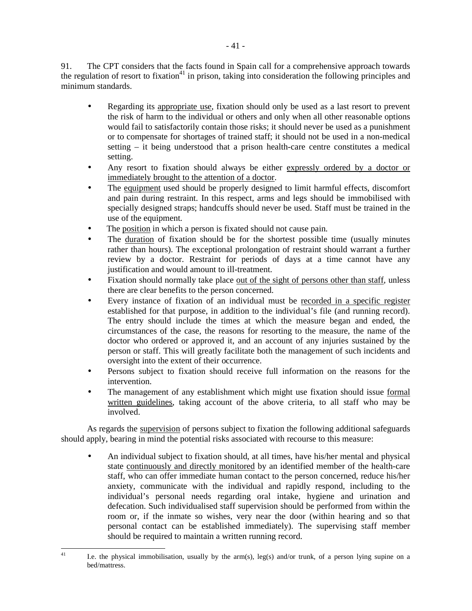91. The CPT considers that the facts found in Spain call for a comprehensive approach towards the regulation of resort to fixation<sup>41</sup> in prison, taking into consideration the following principles and minimum standards.

- Regarding its appropriate use, fixation should only be used as a last resort to prevent the risk of harm to the individual or others and only when all other reasonable options would fail to satisfactorily contain those risks; it should never be used as a punishment or to compensate for shortages of trained staff; it should not be used in a non-medical setting – it being understood that a prison health-care centre constitutes a medical setting.
- Any resort to fixation should always be either expressly ordered by a doctor or immediately brought to the attention of a doctor.
- The equipment used should be properly designed to limit harmful effects, discomfort and pain during restraint. In this respect, arms and legs should be immobilised with specially designed straps; handcuffs should never be used. Staff must be trained in the use of the equipment.
- The position in which a person is fixated should not cause pain.
- The duration of fixation should be for the shortest possible time (usually minutes rather than hours). The exceptional prolongation of restraint should warrant a further review by a doctor. Restraint for periods of days at a time cannot have any justification and would amount to ill-treatment.
- Fixation should normally take place <u>out of the sight of persons other than staff</u>, unless there are clear benefits to the person concerned.
- Every instance of fixation of an individual must be recorded in a specific register established for that purpose, in addition to the individual's file (and running record). The entry should include the times at which the measure began and ended, the circumstances of the case, the reasons for resorting to the measure, the name of the doctor who ordered or approved it, and an account of any injuries sustained by the person or staff. This will greatly facilitate both the management of such incidents and oversight into the extent of their occurrence.
- Persons subject to fixation should receive full information on the reasons for the intervention.
- The management of any establishment which might use fixation should issue formal written guidelines, taking account of the above criteria, to all staff who may be involved.

 As regards the supervision of persons subject to fixation the following additional safeguards should apply, bearing in mind the potential risks associated with recourse to this measure:

• An individual subject to fixation should, at all times, have his/her mental and physical state continuously and directly monitored by an identified member of the health-care staff, who can offer immediate human contact to the person concerned, reduce his/her anxiety, communicate with the individual and rapidly respond, including to the individual's personal needs regarding oral intake, hygiene and urination and defecation. Such individualised staff supervision should be performed from within the room or, if the inmate so wishes, very near the door (within hearing and so that personal contact can be established immediately). The supervising staff member should be required to maintain a written running record.

 $41$ I.e. the physical immobilisation, usually by the arm(s), leg(s) and/or trunk, of a person lying supine on a bed/mattress.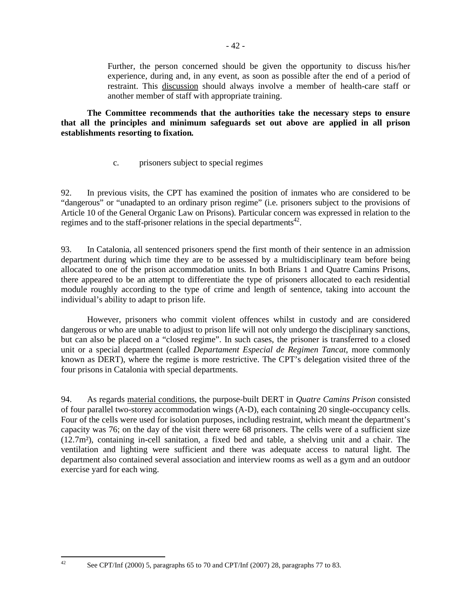Further, the person concerned should be given the opportunity to discuss his/her experience, during and, in any event, as soon as possible after the end of a period of

restraint. This discussion should always involve a member of health-care staff or another member of staff with appropriate training.

**The Committee recommends that the authorities take the necessary steps to ensure that all the principles and minimum safeguards set out above are applied in all prison establishments resorting to fixation***.*

c. prisoners subject to special regimes

92. In previous visits, the CPT has examined the position of inmates who are considered to be "dangerous" or "unadapted to an ordinary prison regime" (i.e. prisoners subject to the provisions of Article 10 of the General Organic Law on Prisons). Particular concern was expressed in relation to the regimes and to the staff-prisoner relations in the special departments $42$ .

93. In Catalonia, all sentenced prisoners spend the first month of their sentence in an admission department during which time they are to be assessed by a multidisciplinary team before being allocated to one of the prison accommodation units. In both Brians 1 and Quatre Camins Prisons, there appeared to be an attempt to differentiate the type of prisoners allocated to each residential module roughly according to the type of crime and length of sentence, taking into account the individual's ability to adapt to prison life.

However, prisoners who commit violent offences whilst in custody and are considered dangerous or who are unable to adjust to prison life will not only undergo the disciplinary sanctions, but can also be placed on a "closed regime". In such cases, the prisoner is transferred to a closed unit or a special department (called *Departament Especial de Regimen Tancat*, more commonly known as DERT), where the regime is more restrictive. The CPT's delegation visited three of the four prisons in Catalonia with special departments.

94. As regards material conditions, the purpose-built DERT in *Quatre Camins Prison* consisted of four parallel two-storey accommodation wings (A-D), each containing 20 single-occupancy cells. Four of the cells were used for isolation purposes, including restraint, which meant the department's capacity was 76; on the day of the visit there were 68 prisoners. The cells were of a sufficient size (12.7m²), containing in-cell sanitation, a fixed bed and table, a shelving unit and a chair. The ventilation and lighting were sufficient and there was adequate access to natural light. The department also contained several association and interview rooms as well as a gym and an outdoor exercise yard for each wing.

See CPT/Inf (2000) 5, paragraphs 65 to 70 and CPT/Inf (2007) 28, paragraphs 77 to 83.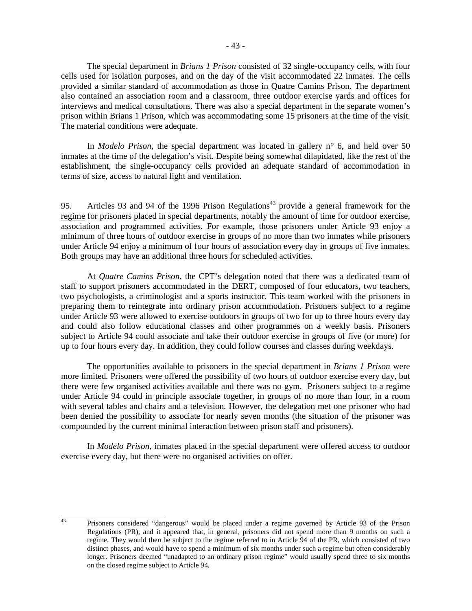The special department in *Brians 1 Prison* consisted of 32 single-occupancy cells, with four cells used for isolation purposes, and on the day of the visit accommodated 22 inmates. The cells provided a similar standard of accommodation as those in Quatre Camins Prison. The department also contained an association room and a classroom, three outdoor exercise yards and offices for interviews and medical consultations. There was also a special department in the separate women's prison within Brians 1 Prison, which was accommodating some 15 prisoners at the time of the visit. The material conditions were adequate.

 In *Modelo Prison*, the special department was located in gallery n° 6, and held over 50 inmates at the time of the delegation's visit. Despite being somewhat dilapidated, like the rest of the establishment, the single-occupancy cells provided an adequate standard of accommodation in terms of size, access to natural light and ventilation.

95. Articles 93 and 94 of the 1996 Prison Regulations<sup>43</sup> provide a general framework for the regime for prisoners placed in special departments, notably the amount of time for outdoor exercise, association and programmed activities. For example, those prisoners under Article 93 enjoy a minimum of three hours of outdoor exercise in groups of no more than two inmates while prisoners under Article 94 enjoy a minimum of four hours of association every day in groups of five inmates. Both groups may have an additional three hours for scheduled activities.

At *Quatre Camins Prison*, the CPT's delegation noted that there was a dedicated team of staff to support prisoners accommodated in the DERT, composed of four educators, two teachers, two psychologists, a criminologist and a sports instructor. This team worked with the prisoners in preparing them to reintegrate into ordinary prison accommodation. Prisoners subject to a regime under Article 93 were allowed to exercise outdoors in groups of two for up to three hours every day and could also follow educational classes and other programmes on a weekly basis. Prisoners subject to Article 94 could associate and take their outdoor exercise in groups of five (or more) for up to four hours every day. In addition, they could follow courses and classes during weekdays.

The opportunities available to prisoners in the special department in *Brians 1 Prison* were more limited. Prisoners were offered the possibility of two hours of outdoor exercise every day, but there were few organised activities available and there was no gym. Prisoners subject to a regime under Article 94 could in principle associate together, in groups of no more than four, in a room with several tables and chairs and a television. However, the delegation met one prisoner who had been denied the possibility to associate for nearly seven months (the situation of the prisoner was compounded by the current minimal interaction between prison staff and prisoners).

In *Modelo Prison*, inmates placed in the special department were offered access to outdoor exercise every day, but there were no organised activities on offer.

 $43$ 

<sup>43</sup> Prisoners considered "dangerous" would be placed under a regime governed by Article 93 of the Prison Regulations (PR), and it appeared that, in general, prisoners did not spend more than 9 months on such a regime. They would then be subject to the regime referred to in Article 94 of the PR, which consisted of two distinct phases, and would have to spend a minimum of six months under such a regime but often considerably longer. Prisoners deemed "unadapted to an ordinary prison regime" would usually spend three to six months on the closed regime subject to Article 94.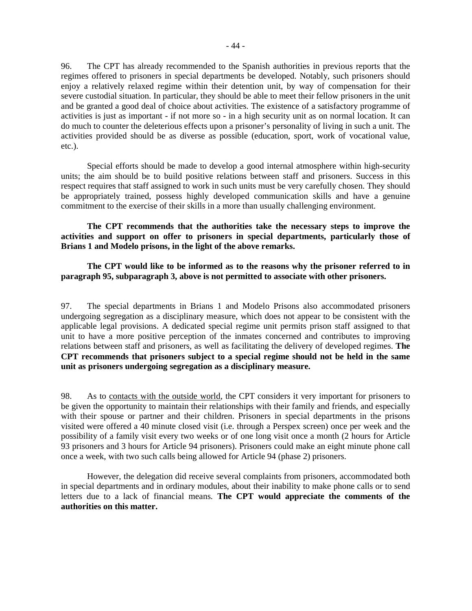96. The CPT has already recommended to the Spanish authorities in previous reports that the regimes offered to prisoners in special departments be developed. Notably, such prisoners should enjoy a relatively relaxed regime within their detention unit, by way of compensation for their severe custodial situation. In particular, they should be able to meet their fellow prisoners in the unit and be granted a good deal of choice about activities. The existence of a satisfactory programme of activities is just as important - if not more so - in a high security unit as on normal location. It can do much to counter the deleterious effects upon a prisoner's personality of living in such a unit. The activities provided should be as diverse as possible (education, sport, work of vocational value, etc.).

Special efforts should be made to develop a good internal atmosphere within high-security units; the aim should be to build positive relations between staff and prisoners. Success in this respect requires that staff assigned to work in such units must be very carefully chosen. They should be appropriately trained, possess highly developed communication skills and have a genuine commitment to the exercise of their skills in a more than usually challenging environment.

**The CPT recommends that the authorities take the necessary steps to improve the activities and support on offer to prisoners in special departments, particularly those of Brians 1 and Modelo prisons, in the light of the above remarks.** 

**The CPT would like to be informed as to the reasons why the prisoner referred to in paragraph 95, subparagraph 3, above is not permitted to associate with other prisoners.** 

97. The special departments in Brians 1 and Modelo Prisons also accommodated prisoners undergoing segregation as a disciplinary measure, which does not appear to be consistent with the applicable legal provisions. A dedicated special regime unit permits prison staff assigned to that unit to have a more positive perception of the inmates concerned and contributes to improving relations between staff and prisoners, as well as facilitating the delivery of developed regimes. **The CPT recommends that prisoners subject to a special regime should not be held in the same unit as prisoners undergoing segregation as a disciplinary measure.** 

98. As to contacts with the outside world, the CPT considers it very important for prisoners to be given the opportunity to maintain their relationships with their family and friends, and especially with their spouse or partner and their children. Prisoners in special departments in the prisons visited were offered a 40 minute closed visit (i.e. through a Perspex screen) once per week and the possibility of a family visit every two weeks or of one long visit once a month (2 hours for Article 93 prisoners and 3 hours for Article 94 prisoners). Prisoners could make an eight minute phone call once a week, with two such calls being allowed for Article 94 (phase 2) prisoners.

However, the delegation did receive several complaints from prisoners, accommodated both in special departments and in ordinary modules, about their inability to make phone calls or to send letters due to a lack of financial means. **The CPT would appreciate the comments of the authorities on this matter.**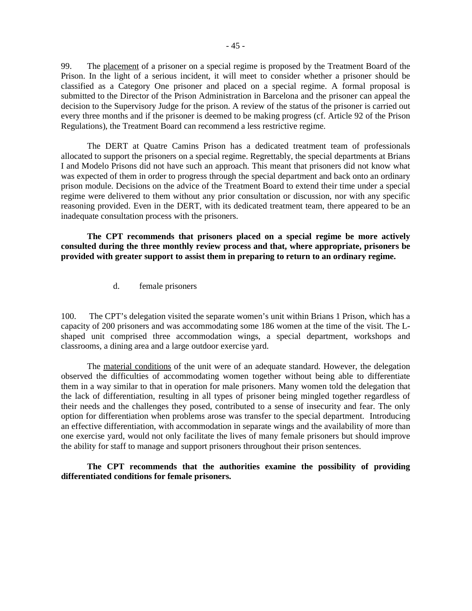99. The placement of a prisoner on a special regime is proposed by the Treatment Board of the Prison. In the light of a serious incident, it will meet to consider whether a prisoner should be classified as a Category One prisoner and placed on a special regime. A formal proposal is submitted to the Director of the Prison Administration in Barcelona and the prisoner can appeal the decision to the Supervisory Judge for the prison. A review of the status of the prisoner is carried out every three months and if the prisoner is deemed to be making progress (cf. Article 92 of the Prison Regulations), the Treatment Board can recommend a less restrictive regime.

 The DERT at Quatre Camins Prison has a dedicated treatment team of professionals allocated to support the prisoners on a special regime. Regrettably, the special departments at Brians I and Modelo Prisons did not have such an approach. This meant that prisoners did not know what was expected of them in order to progress through the special department and back onto an ordinary prison module. Decisions on the advice of the Treatment Board to extend their time under a special regime were delivered to them without any prior consultation or discussion, nor with any specific reasoning provided. Even in the DERT, with its dedicated treatment team, there appeared to be an inadequate consultation process with the prisoners.

**The CPT recommends that prisoners placed on a special regime be more actively consulted during the three monthly review process and that, where appropriate, prisoners be provided with greater support to assist them in preparing to return to an ordinary regime.** 

d. female prisoners

100. The CPT's delegation visited the separate women's unit within Brians 1 Prison, which has a capacity of 200 prisoners and was accommodating some 186 women at the time of the visit. The Lshaped unit comprised three accommodation wings, a special department, workshops and classrooms, a dining area and a large outdoor exercise yard.

The material conditions of the unit were of an adequate standard. However, the delegation observed the difficulties of accommodating women together without being able to differentiate them in a way similar to that in operation for male prisoners. Many women told the delegation that the lack of differentiation, resulting in all types of prisoner being mingled together regardless of their needs and the challenges they posed, contributed to a sense of insecurity and fear. The only option for differentiation when problems arose was transfer to the special department. Introducing an effective differentiation, with accommodation in separate wings and the availability of more than one exercise yard, would not only facilitate the lives of many female prisoners but should improve the ability for staff to manage and support prisoners throughout their prison sentences.

**The CPT recommends that the authorities examine the possibility of providing differentiated conditions for female prisoners.**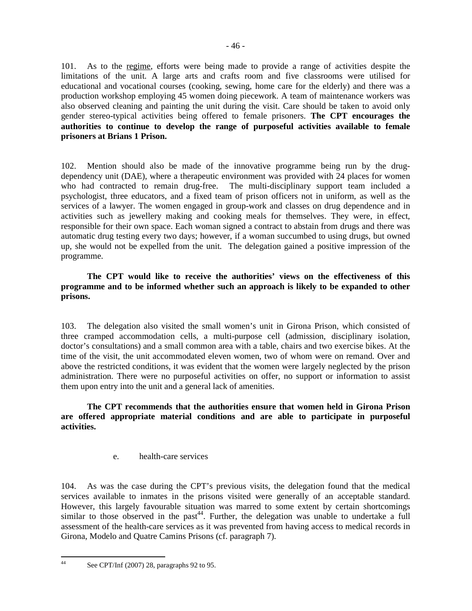101. As to the regime, efforts were being made to provide a range of activities despite the limitations of the unit. A large arts and crafts room and five classrooms were utilised for educational and vocational courses (cooking, sewing, home care for the elderly) and there was a production workshop employing 45 women doing piecework. A team of maintenance workers was also observed cleaning and painting the unit during the visit. Care should be taken to avoid only gender stereo-typical activities being offered to female prisoners. **The CPT encourages the authorities to continue to develop the range of purposeful activities available to female prisoners at Brians 1 Prison.**

102. Mention should also be made of the innovative programme being run by the drugdependency unit (DAE), where a therapeutic environment was provided with 24 places for women who had contracted to remain drug-free. The multi-disciplinary support team included a psychologist, three educators, and a fixed team of prison officers not in uniform, as well as the services of a lawyer. The women engaged in group-work and classes on drug dependence and in activities such as jewellery making and cooking meals for themselves. They were, in effect, responsible for their own space. Each woman signed a contract to abstain from drugs and there was automatic drug testing every two days; however, if a woman succumbed to using drugs, but owned up, she would not be expelled from the unit. The delegation gained a positive impression of the programme.

**The CPT would like to receive the authorities' views on the effectiveness of this programme and to be informed whether such an approach is likely to be expanded to other prisons.** 

103. The delegation also visited the small women's unit in Girona Prison, which consisted of three cramped accommodation cells, a multi-purpose cell (admission, disciplinary isolation, doctor's consultations) and a small common area with a table, chairs and two exercise bikes. At the time of the visit, the unit accommodated eleven women, two of whom were on remand. Over and above the restricted conditions, it was evident that the women were largely neglected by the prison administration. There were no purposeful activities on offer, no support or information to assist them upon entry into the unit and a general lack of amenities.

**The CPT recommends that the authorities ensure that women held in Girona Prison are offered appropriate material conditions and are able to participate in purposeful activities.** 

e. health-care services

104. As was the case during the CPT's previous visits, the delegation found that the medical services available to inmates in the prisons visited were generally of an acceptable standard. However, this largely favourable situation was marred to some extent by certain shortcomings similar to those observed in the past<sup>44</sup>. Further, the delegation was unable to undertake a full assessment of the health-care services as it was prevented from having access to medical records in Girona, Modelo and Quatre Camins Prisons (cf. paragraph 7).

 $44$ See CPT/Inf (2007) 28, paragraphs 92 to 95.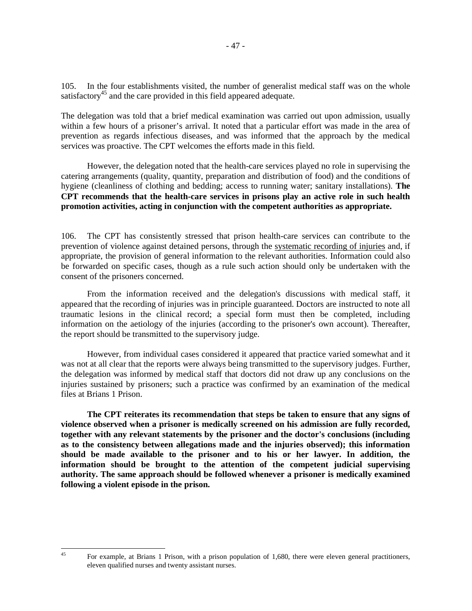105. In the four establishments visited, the number of generalist medical staff was on the whole satisfactory<sup>45</sup> and the care provided in this field appeared adequate.

The delegation was told that a brief medical examination was carried out upon admission, usually within a few hours of a prisoner's arrival. It noted that a particular effort was made in the area of prevention as regards infectious diseases, and was informed that the approach by the medical services was proactive. The CPT welcomes the efforts made in this field.

 However, the delegation noted that the health-care services played no role in supervising the catering arrangements (quality, quantity, preparation and distribution of food) and the conditions of hygiene (cleanliness of clothing and bedding; access to running water; sanitary installations). **The CPT recommends that the health-care services in prisons play an active role in such health promotion activities, acting in conjunction with the competent authorities as appropriate.** 

106. The CPT has consistently stressed that prison health-care services can contribute to the prevention of violence against detained persons, through the systematic recording of injuries and, if appropriate, the provision of general information to the relevant authorities. Information could also be forwarded on specific cases, though as a rule such action should only be undertaken with the consent of the prisoners concerned.

 From the information received and the delegation's discussions with medical staff, it appeared that the recording of injuries was in principle guaranteed. Doctors are instructed to note all traumatic lesions in the clinical record; a special form must then be completed, including information on the aetiology of the injuries (according to the prisoner's own account). Thereafter, the report should be transmitted to the supervisory judge.

 However, from individual cases considered it appeared that practice varied somewhat and it was not at all clear that the reports were always being transmitted to the supervisory judges. Further, the delegation was informed by medical staff that doctors did not draw up any conclusions on the injuries sustained by prisoners; such a practice was confirmed by an examination of the medical files at Brians 1 Prison.

 **The CPT reiterates its recommendation that steps be taken to ensure that any signs of violence observed when a prisoner is medically screened on his admission are fully recorded, together with any relevant statements by the prisoner and the doctor's conclusions (including as to the consistency between allegations made and the injuries observed); this information should be made available to the prisoner and to his or her lawyer. In addition, the information should be brought to the attention of the competent judicial supervising authority. The same approach should be followed whenever a prisoner is medically examined following a violent episode in the prison.** 

<sup>45</sup> For example, at Brians 1 Prison, with a prison population of 1,680, there were eleven general practitioners, eleven qualified nurses and twenty assistant nurses.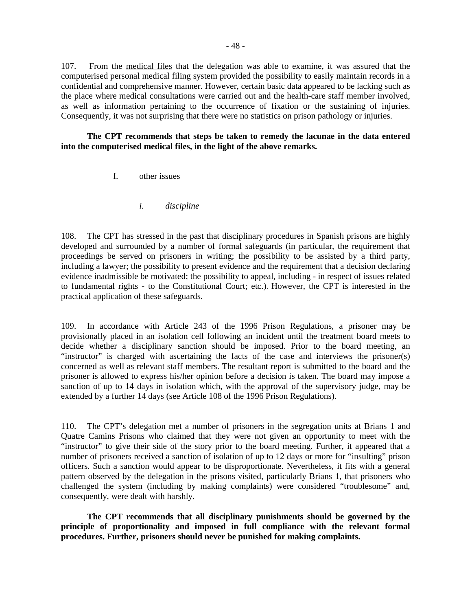107. From the medical files that the delegation was able to examine, it was assured that the computerised personal medical filing system provided the possibility to easily maintain records in a confidential and comprehensive manner. However, certain basic data appeared to be lacking such as the place where medical consultations were carried out and the health-care staff member involved, as well as information pertaining to the occurrence of fixation or the sustaining of injuries. Consequently, it was not surprising that there were no statistics on prison pathology or injuries.

## **The CPT recommends that steps be taken to remedy the lacunae in the data entered into the computerised medical files, in the light of the above remarks.**

f. other issues

*i. discipline* 

108. The CPT has stressed in the past that disciplinary procedures in Spanish prisons are highly developed and surrounded by a number of formal safeguards (in particular, the requirement that proceedings be served on prisoners in writing; the possibility to be assisted by a third party, including a lawyer; the possibility to present evidence and the requirement that a decision declaring evidence inadmissible be motivated; the possibility to appeal, including - in respect of issues related to fundamental rights - to the Constitutional Court; etc.). However, the CPT is interested in the practical application of these safeguards.

109. In accordance with Article 243 of the 1996 Prison Regulations, a prisoner may be provisionally placed in an isolation cell following an incident until the treatment board meets to decide whether a disciplinary sanction should be imposed. Prior to the board meeting, an "instructor" is charged with ascertaining the facts of the case and interviews the prisoner(s) concerned as well as relevant staff members. The resultant report is submitted to the board and the prisoner is allowed to express his/her opinion before a decision is taken. The board may impose a sanction of up to 14 days in isolation which, with the approval of the supervisory judge, may be extended by a further 14 days (see Article 108 of the 1996 Prison Regulations).

110. The CPT's delegation met a number of prisoners in the segregation units at Brians 1 and Quatre Camins Prisons who claimed that they were not given an opportunity to meet with the "instructor" to give their side of the story prior to the board meeting. Further, it appeared that a number of prisoners received a sanction of isolation of up to 12 days or more for "insulting" prison officers. Such a sanction would appear to be disproportionate. Nevertheless, it fits with a general pattern observed by the delegation in the prisons visited, particularly Brians 1, that prisoners who challenged the system (including by making complaints) were considered "troublesome" and, consequently, were dealt with harshly.

 **The CPT recommends that all disciplinary punishments should be governed by the principle of proportionality and imposed in full compliance with the relevant formal procedures. Further, prisoners should never be punished for making complaints.**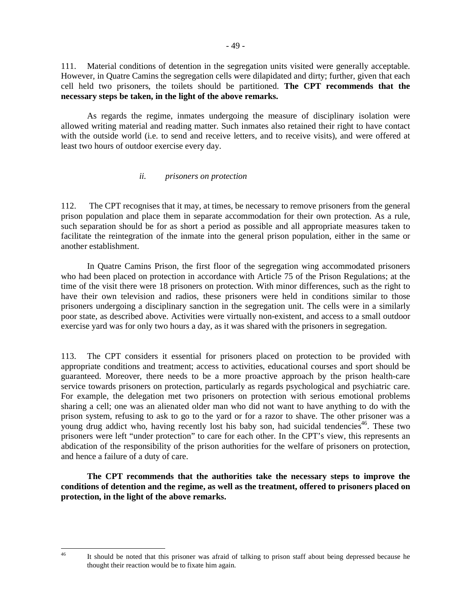111. Material conditions of detention in the segregation units visited were generally acceptable. However, in Quatre Camins the segregation cells were dilapidated and dirty; further, given that each cell held two prisoners, the toilets should be partitioned. **The CPT recommends that the necessary steps be taken, in the light of the above remarks.** 

As regards the regime, inmates undergoing the measure of disciplinary isolation were allowed writing material and reading matter. Such inmates also retained their right to have contact with the outside world (i.e. to send and receive letters, and to receive visits), and were offered at least two hours of outdoor exercise every day.

## *ii. prisoners on protection*

112. The CPT recognises that it may, at times, be necessary to remove prisoners from the general prison population and place them in separate accommodation for their own protection. As a rule, such separation should be for as short a period as possible and all appropriate measures taken to facilitate the reintegration of the inmate into the general prison population, either in the same or another establishment.

 In Quatre Camins Prison, the first floor of the segregation wing accommodated prisoners who had been placed on protection in accordance with Article 75 of the Prison Regulations; at the time of the visit there were 18 prisoners on protection. With minor differences, such as the right to have their own television and radios, these prisoners were held in conditions similar to those prisoners undergoing a disciplinary sanction in the segregation unit. The cells were in a similarly poor state, as described above. Activities were virtually non-existent, and access to a small outdoor exercise yard was for only two hours a day, as it was shared with the prisoners in segregation.

113. The CPT considers it essential for prisoners placed on protection to be provided with appropriate conditions and treatment; access to activities, educational courses and sport should be guaranteed. Moreover, there needs to be a more proactive approach by the prison health-care service towards prisoners on protection, particularly as regards psychological and psychiatric care. For example, the delegation met two prisoners on protection with serious emotional problems sharing a cell; one was an alienated older man who did not want to have anything to do with the prison system, refusing to ask to go to the yard or for a razor to shave. The other prisoner was a young drug addict who, having recently lost his baby son, had suicidal tendencies<sup>46</sup>. These two prisoners were left "under protection" to care for each other. In the CPT's view, this represents an abdication of the responsibility of the prison authorities for the welfare of prisoners on protection, and hence a failure of a duty of care.

**The CPT recommends that the authorities take the necessary steps to improve the conditions of detention and the regime, as well as the treatment, offered to prisoners placed on protection, in the light of the above remarks.**

 $46$ 

It should be noted that this prisoner was afraid of talking to prison staff about being depressed because he thought their reaction would be to fixate him again.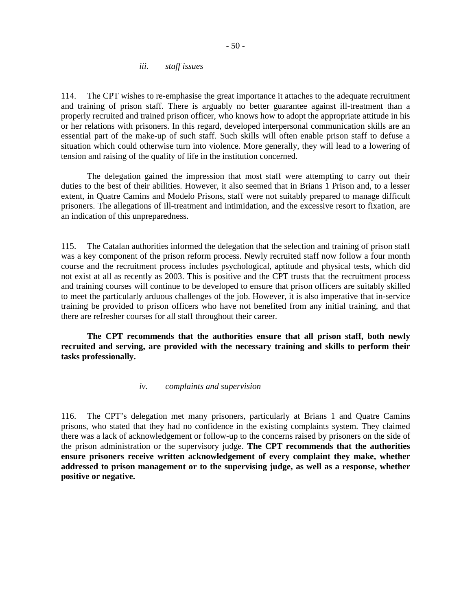### *iii. staff issues*

114. The CPT wishes to re-emphasise the great importance it attaches to the adequate recruitment and training of prison staff. There is arguably no better guarantee against ill-treatment than a properly recruited and trained prison officer, who knows how to adopt the appropriate attitude in his or her relations with prisoners. In this regard, developed interpersonal communication skills are an essential part of the make-up of such staff. Such skills will often enable prison staff to defuse a situation which could otherwise turn into violence. More generally, they will lead to a lowering of tension and raising of the quality of life in the institution concerned.

The delegation gained the impression that most staff were attempting to carry out their duties to the best of their abilities. However, it also seemed that in Brians 1 Prison and, to a lesser extent, in Quatre Camins and Modelo Prisons, staff were not suitably prepared to manage difficult prisoners. The allegations of ill-treatment and intimidation, and the excessive resort to fixation, are an indication of this unpreparedness.

115. The Catalan authorities informed the delegation that the selection and training of prison staff was a key component of the prison reform process. Newly recruited staff now follow a four month course and the recruitment process includes psychological, aptitude and physical tests, which did not exist at all as recently as 2003. This is positive and the CPT trusts that the recruitment process and training courses will continue to be developed to ensure that prison officers are suitably skilled to meet the particularly arduous challenges of the job. However, it is also imperative that in-service training be provided to prison officers who have not benefited from any initial training, and that there are refresher courses for all staff throughout their career.

**The CPT recommends that the authorities ensure that all prison staff, both newly recruited and serving, are provided with the necessary training and skills to perform their tasks professionally.** 

#### *iv. complaints and supervision*

116. The CPT's delegation met many prisoners, particularly at Brians 1 and Quatre Camins prisons, who stated that they had no confidence in the existing complaints system. They claimed there was a lack of acknowledgement or follow-up to the concerns raised by prisoners on the side of the prison administration or the supervisory judge. **The CPT recommends that the authorities ensure prisoners receive written acknowledgement of every complaint they make, whether addressed to prison management or to the supervising judge, as well as a response, whether positive or negative.**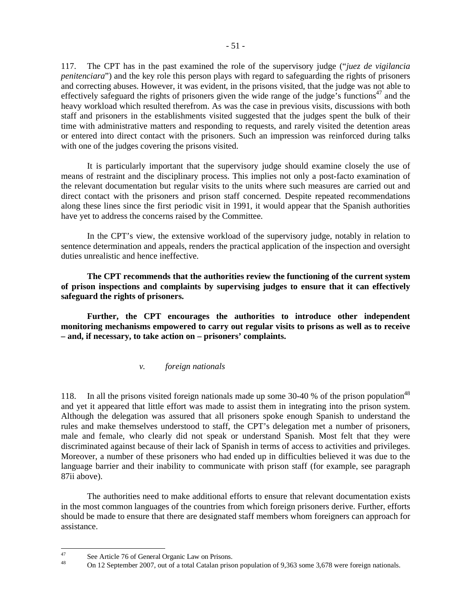117. The CPT has in the past examined the role of the supervisory judge ("*juez de vigilancia penitenciara*") and the key role this person plays with regard to safeguarding the rights of prisoners and correcting abuses. However, it was evident, in the prisons visited, that the judge was not able to effectively safeguard the rights of prisoners given the wide range of the judge's functions<sup>47</sup> and the heavy workload which resulted therefrom. As was the case in previous visits, discussions with both staff and prisoners in the establishments visited suggested that the judges spent the bulk of their time with administrative matters and responding to requests, and rarely visited the detention areas or entered into direct contact with the prisoners. Such an impression was reinforced during talks with one of the judges covering the prisons visited.

 It is particularly important that the supervisory judge should examine closely the use of means of restraint and the disciplinary process. This implies not only a post-facto examination of the relevant documentation but regular visits to the units where such measures are carried out and direct contact with the prisoners and prison staff concerned. Despite repeated recommendations along these lines since the first periodic visit in 1991, it would appear that the Spanish authorities have yet to address the concerns raised by the Committee.

 In the CPT's view, the extensive workload of the supervisory judge, notably in relation to sentence determination and appeals, renders the practical application of the inspection and oversight duties unrealistic and hence ineffective.

**The CPT recommends that the authorities review the functioning of the current system of prison inspections and complaints by supervising judges to ensure that it can effectively safeguard the rights of prisoners.** 

**Further, the CPT encourages the authorities to introduce other independent monitoring mechanisms empowered to carry out regular visits to prisons as well as to receive – and, if necessary, to take action on – prisoners' complaints.**

## *v. foreign nationals*

118. In all the prisons visited foreign nationals made up some 30-40 % of the prison population<sup>48</sup> and yet it appeared that little effort was made to assist them in integrating into the prison system. Although the delegation was assured that all prisoners spoke enough Spanish to understand the rules and make themselves understood to staff, the CPT's delegation met a number of prisoners, male and female, who clearly did not speak or understand Spanish. Most felt that they were discriminated against because of their lack of Spanish in terms of access to activities and privileges. Moreover, a number of these prisoners who had ended up in difficulties believed it was due to the language barrier and their inability to communicate with prison staff (for example, see paragraph 87ii above).

The authorities need to make additional efforts to ensure that relevant documentation exists in the most common languages of the countries from which foreign prisoners derive. Further, efforts should be made to ensure that there are designated staff members whom foreigners can approach for assistance.

 $47$ <sup>47</sup> See Article 76 of General Organic Law on Prisons.

On 12 September 2007, out of a total Catalan prison population of 9,363 some 3,678 were foreign nationals.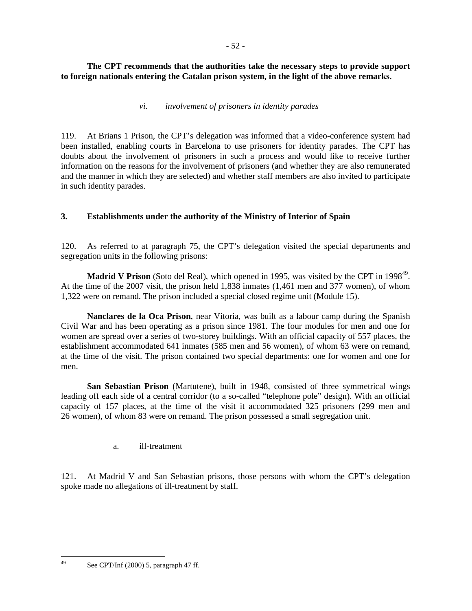# **The CPT recommends that the authorities take the necessary steps to provide support to foreign nationals entering the Catalan prison system, in the light of the above remarks.**

# *vi. involvement of prisoners in identity parades*

119. At Brians 1 Prison, the CPT's delegation was informed that a video-conference system had been installed, enabling courts in Barcelona to use prisoners for identity parades. The CPT has doubts about the involvement of prisoners in such a process and would like to receive further information on the reasons for the involvement of prisoners (and whether they are also remunerated and the manner in which they are selected) and whether staff members are also invited to participate in such identity parades.

# **3. Establishments under the authority of the Ministry of Interior of Spain**

120. As referred to at paragraph 75, the CPT's delegation visited the special departments and segregation units in the following prisons:

Madrid V Prison (Soto del Real), which opened in 1995, was visited by the CPT in 1998<sup>49</sup>. At the time of the 2007 visit, the prison held 1,838 inmates (1,461 men and 377 women), of whom 1,322 were on remand. The prison included a special closed regime unit (Module 15).

**Nanclares de la Oca Prison**, near Vitoria, was built as a labour camp during the Spanish Civil War and has been operating as a prison since 1981. The four modules for men and one for women are spread over a series of two-storey buildings. With an official capacity of 557 places, the establishment accommodated 641 inmates (585 men and 56 women), of whom 63 were on remand, at the time of the visit. The prison contained two special departments: one for women and one for men.

**San Sebastian Prison** (Martutene), built in 1948, consisted of three symmetrical wings leading off each side of a central corridor (to a so-called "telephone pole" design). With an official capacity of 157 places, at the time of the visit it accommodated 325 prisoners (299 men and 26 women), of whom 83 were on remand. The prison possessed a small segregation unit.

## a. ill-treatment

121. At Madrid V and San Sebastian prisons, those persons with whom the CPT's delegation spoke made no allegations of ill-treatment by staff.

See CPT/Inf (2000) 5, paragraph 47 ff.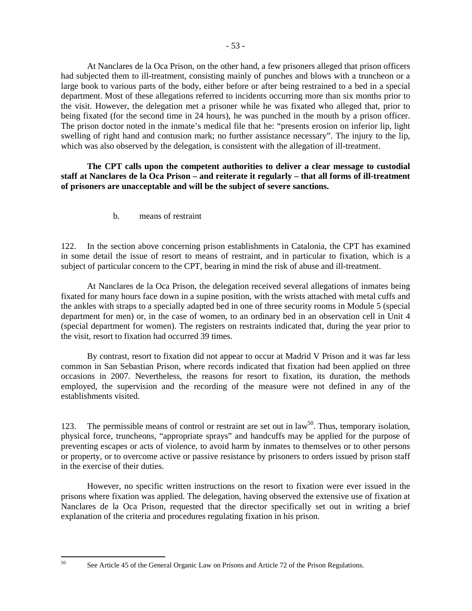At Nanclares de la Oca Prison, on the other hand, a few prisoners alleged that prison officers had subjected them to ill-treatment, consisting mainly of punches and blows with a truncheon or a large book to various parts of the body, either before or after being restrained to a bed in a special department. Most of these allegations referred to incidents occurring more than six months prior to the visit. However, the delegation met a prisoner while he was fixated who alleged that, prior to being fixated (for the second time in 24 hours), he was punched in the mouth by a prison officer. The prison doctor noted in the inmate's medical file that he: "presents erosion on inferior lip, light swelling of right hand and contusion mark; no further assistance necessary". The injury to the lip, which was also observed by the delegation, is consistent with the allegation of ill-treatment.

**The CPT calls upon the competent authorities to deliver a clear message to custodial staff at Nanclares de la Oca Prison – and reiterate it regularly – that all forms of ill-treatment of prisoners are unacceptable and will be the subject of severe sanctions.** 

b. means of restraint

122. In the section above concerning prison establishments in Catalonia, the CPT has examined in some detail the issue of resort to means of restraint, and in particular to fixation, which is a subject of particular concern to the CPT, bearing in mind the risk of abuse and ill-treatment.

At Nanclares de la Oca Prison, the delegation received several allegations of inmates being fixated for many hours face down in a supine position, with the wrists attached with metal cuffs and the ankles with straps to a specially adapted bed in one of three security rooms in Module 5 (special department for men) or, in the case of women, to an ordinary bed in an observation cell in Unit 4 (special department for women). The registers on restraints indicated that, during the year prior to the visit, resort to fixation had occurred 39 times.

 By contrast, resort to fixation did not appear to occur at Madrid V Prison and it was far less common in San Sebastian Prison, where records indicated that fixation had been applied on three occasions in 2007. Nevertheless, the reasons for resort to fixation, its duration, the methods employed, the supervision and the recording of the measure were not defined in any of the establishments visited.

123. The permissible means of control or restraint are set out in  $law<sup>50</sup>$ . Thus, temporary isolation, physical force, truncheons, "appropriate sprays" and handcuffs may be applied for the purpose of preventing escapes or acts of violence, to avoid harm by inmates to themselves or to other persons or property, or to overcome active or passive resistance by prisoners to orders issued by prison staff in the exercise of their duties.

 However, no specific written instructions on the resort to fixation were ever issued in the prisons where fixation was applied. The delegation, having observed the extensive use of fixation at Nanclares de la Oca Prison, requested that the director specifically set out in writing a brief explanation of the criteria and procedures regulating fixation in his prison.

See Article 45 of the General Organic Law on Prisons and Article 72 of the Prison Regulations.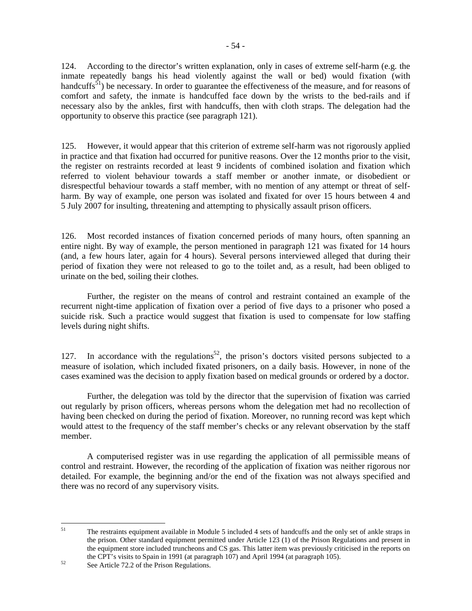124. According to the director's written explanation, only in cases of extreme self-harm (e.g. the inmate repeatedly bangs his head violently against the wall or bed) would fixation (with handcuffs<sup>51</sup>) be necessary. In order to guarantee the effectiveness of the measure, and for reasons of comfort and safety, the inmate is handcuffed face down by the wrists to the bed-rails and if necessary also by the ankles, first with handcuffs, then with cloth straps. The delegation had the opportunity to observe this practice (see paragraph 121).

125. However, it would appear that this criterion of extreme self-harm was not rigorously applied in practice and that fixation had occurred for punitive reasons. Over the 12 months prior to the visit, the register on restraints recorded at least 9 incidents of combined isolation and fixation which referred to violent behaviour towards a staff member or another inmate, or disobedient or disrespectful behaviour towards a staff member, with no mention of any attempt or threat of selfharm. By way of example, one person was isolated and fixated for over 15 hours between 4 and 5 July 2007 for insulting, threatening and attempting to physically assault prison officers.

126. Most recorded instances of fixation concerned periods of many hours, often spanning an entire night. By way of example, the person mentioned in paragraph 121 was fixated for 14 hours (and, a few hours later, again for 4 hours). Several persons interviewed alleged that during their period of fixation they were not released to go to the toilet and, as a result, had been obliged to urinate on the bed, soiling their clothes.

Further, the register on the means of control and restraint contained an example of the recurrent night-time application of fixation over a period of five days to a prisoner who posed a suicide risk. Such a practice would suggest that fixation is used to compensate for low staffing levels during night shifts.

127. In accordance with the regulations<sup>52</sup>, the prison's doctors visited persons subjected to a measure of isolation, which included fixated prisoners, on a daily basis. However, in none of the cases examined was the decision to apply fixation based on medical grounds or ordered by a doctor.

Further, the delegation was told by the director that the supervision of fixation was carried out regularly by prison officers, whereas persons whom the delegation met had no recollection of having been checked on during the period of fixation. Moreover, no running record was kept which would attest to the frequency of the staff member's checks or any relevant observation by the staff member.

 A computerised register was in use regarding the application of all permissible means of control and restraint. However, the recording of the application of fixation was neither rigorous nor detailed. For example, the beginning and/or the end of the fixation was not always specified and there was no record of any supervisory visits.

 $51$ 

The restraints equipment available in Module 5 included 4 sets of handcuffs and the only set of ankle straps in the prison. Other standard equipment permitted under Article 123 (1) of the Prison Regulations and present in the equipment store included truncheons and CS gas. This latter item was previously criticised in the reports on the CPT's visits to Spain in 1991 (at paragraph 107) and April 1994 (at paragraph 105).

 $52$  See Article 72.2 of the Prison Regulations.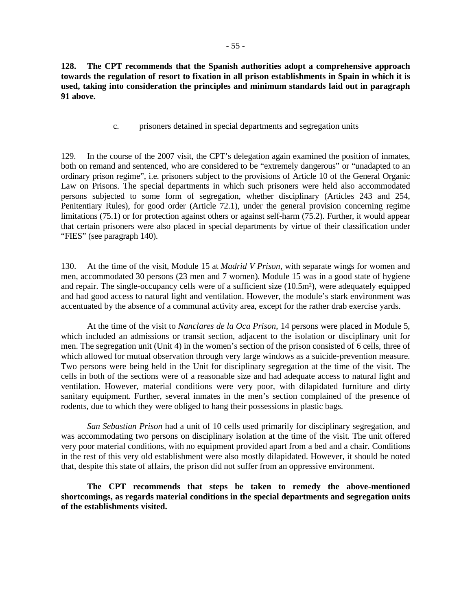## **128. The CPT recommends that the Spanish authorities adopt a comprehensive approach towards the regulation of resort to fixation in all prison establishments in Spain in which it is used, taking into consideration the principles and minimum standards laid out in paragraph 91 above.**

#### c. prisoners detained in special departments and segregation units

129. In the course of the 2007 visit, the CPT's delegation again examined the position of inmates, both on remand and sentenced, who are considered to be "extremely dangerous" or "unadapted to an ordinary prison regime", i.e. prisoners subject to the provisions of Article 10 of the General Organic Law on Prisons. The special departments in which such prisoners were held also accommodated persons subjected to some form of segregation, whether disciplinary (Articles 243 and 254, Penitentiary Rules), for good order (Article 72.1), under the general provision concerning regime limitations (75.1) or for protection against others or against self-harm (75.2). Further, it would appear that certain prisoners were also placed in special departments by virtue of their classification under "FIES" (see paragraph 140).

130. At the time of the visit, Module 15 at *Madrid V Prison*, with separate wings for women and men, accommodated 30 persons (23 men and 7 women). Module 15 was in a good state of hygiene and repair. The single-occupancy cells were of a sufficient size (10.5m²), were adequately equipped and had good access to natural light and ventilation. However, the module's stark environment was accentuated by the absence of a communal activity area, except for the rather drab exercise yards.

 At the time of the visit to *Nanclares de la Oca Prison*, 14 persons were placed in Module 5, which included an admissions or transit section, adjacent to the isolation or disciplinary unit for men. The segregation unit (Unit 4) in the women's section of the prison consisted of 6 cells, three of which allowed for mutual observation through very large windows as a suicide-prevention measure. Two persons were being held in the Unit for disciplinary segregation at the time of the visit. The cells in both of the sections were of a reasonable size and had adequate access to natural light and ventilation. However, material conditions were very poor, with dilapidated furniture and dirty sanitary equipment. Further, several inmates in the men's section complained of the presence of rodents, due to which they were obliged to hang their possessions in plastic bags.

*San Sebastian Prison* had a unit of 10 cells used primarily for disciplinary segregation, and was accommodating two persons on disciplinary isolation at the time of the visit. The unit offered very poor material conditions, with no equipment provided apart from a bed and a chair. Conditions in the rest of this very old establishment were also mostly dilapidated. However, it should be noted that, despite this state of affairs, the prison did not suffer from an oppressive environment.

**The CPT recommends that steps be taken to remedy the above-mentioned shortcomings, as regards material conditions in the special departments and segregation units of the establishments visited.**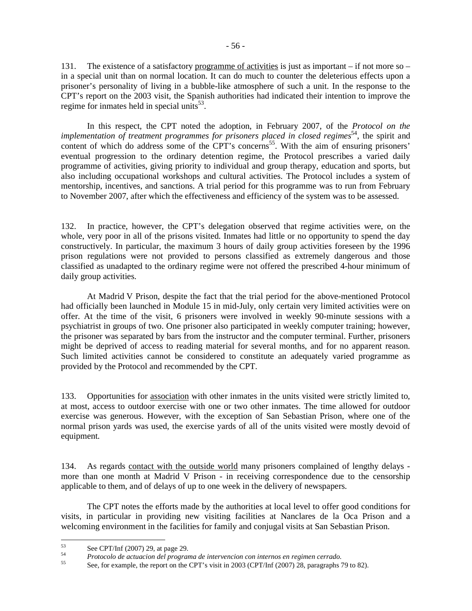131. The existence of a satisfactory programme of activities is just as important – if not more so – in a special unit than on normal location. It can do much to counter the deleterious effects upon a prisoner's personality of living in a bubble-like atmosphere of such a unit. In the response to the CPT's report on the 2003 visit, the Spanish authorities had indicated their intention to improve the regime for inmates held in special units<sup>53</sup>.

In this respect, the CPT noted the adoption, in February 2007, of the *Protocol on the implementation of treatment programmes for prisoners placed in closed regimes*<sup>54</sup>, the spirit and content of which do address some of the CPT's concerns<sup>55</sup>. With the aim of ensuring prisoners' eventual progression to the ordinary detention regime, the Protocol prescribes a varied daily programme of activities, giving priority to individual and group therapy, education and sports, but also including occupational workshops and cultural activities. The Protocol includes a system of mentorship, incentives, and sanctions. A trial period for this programme was to run from February to November 2007, after which the effectiveness and efficiency of the system was to be assessed.

132. In practice, however, the CPT's delegation observed that regime activities were, on the whole, very poor in all of the prisons visited. Inmates had little or no opportunity to spend the day constructively. In particular, the maximum 3 hours of daily group activities foreseen by the 1996 prison regulations were not provided to persons classified as extremely dangerous and those classified as unadapted to the ordinary regime were not offered the prescribed 4-hour minimum of daily group activities.

At Madrid V Prison, despite the fact that the trial period for the above-mentioned Protocol had officially been launched in Module 15 in mid-July, only certain very limited activities were on offer. At the time of the visit, 6 prisoners were involved in weekly 90-minute sessions with a psychiatrist in groups of two. One prisoner also participated in weekly computer training; however, the prisoner was separated by bars from the instructor and the computer terminal. Further, prisoners might be deprived of access to reading material for several months, and for no apparent reason. Such limited activities cannot be considered to constitute an adequately varied programme as provided by the Protocol and recommended by the CPT.

133. Opportunities for association with other inmates in the units visited were strictly limited to, at most, access to outdoor exercise with one or two other inmates. The time allowed for outdoor exercise was generous. However, with the exception of San Sebastian Prison, where one of the normal prison yards was used, the exercise yards of all of the units visited were mostly devoid of equipment.

134. As regards contact with the outside world many prisoners complained of lengthy delays more than one month at Madrid V Prison - in receiving correspondence due to the censorship applicable to them, and of delays of up to one week in the delivery of newspapers.

The CPT notes the efforts made by the authorities at local level to offer good conditions for visits, in particular in providing new visiting facilities at Nanclares de la Oca Prison and a welcoming environment in the facilities for family and conjugal visits at San Sebastian Prison.

<sup>53</sup> See CPT/Inf (2007) 29, at page 29.

<sup>54</sup> *Protocolo de actuacion del programa de intervencion con internos en regimen cerrado*.

See, for example, the report on the CPT's visit in 2003 (CPT/Inf (2007) 28, paragraphs 79 to 82).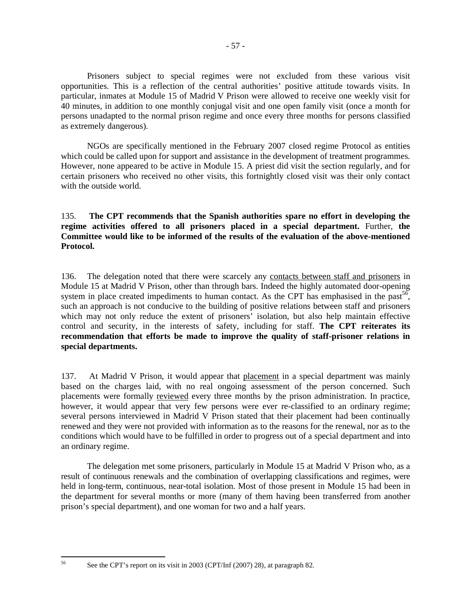Prisoners subject to special regimes were not excluded from these various visit opportunities. This is a reflection of the central authorities' positive attitude towards visits. In particular, inmates at Module 15 of Madrid V Prison were allowed to receive one weekly visit for 40 minutes, in addition to one monthly conjugal visit and one open family visit (once a month for persons unadapted to the normal prison regime and once every three months for persons classified as extremely dangerous).

NGOs are specifically mentioned in the February 2007 closed regime Protocol as entities which could be called upon for support and assistance in the development of treatment programmes. However, none appeared to be active in Module 15. A priest did visit the section regularly, and for certain prisoners who received no other visits, this fortnightly closed visit was their only contact with the outside world.

135. **The CPT recommends that the Spanish authorities spare no effort in developing the regime activities offered to all prisoners placed in a special department.** Further, **the Committee would like to be informed of the results of the evaluation of the above-mentioned Protocol.**

136. The delegation noted that there were scarcely any contacts between staff and prisoners in Module 15 at Madrid V Prison, other than through bars. Indeed the highly automated door-opening system in place created impediments to human contact. As the CPT has emphasised in the past<sup>56</sup>, such an approach is not conducive to the building of positive relations between staff and prisoners which may not only reduce the extent of prisoners' isolation, but also help maintain effective control and security, in the interests of safety, including for staff. **The CPT reiterates its recommendation that efforts be made to improve the quality of staff-prisoner relations in special departments.**

137. At Madrid V Prison, it would appear that placement in a special department was mainly based on the charges laid, with no real ongoing assessment of the person concerned. Such placements were formally reviewed every three months by the prison administration. In practice, however, it would appear that very few persons were ever re-classified to an ordinary regime; several persons interviewed in Madrid V Prison stated that their placement had been continually renewed and they were not provided with information as to the reasons for the renewal, nor as to the conditions which would have to be fulfilled in order to progress out of a special department and into an ordinary regime.

 The delegation met some prisoners, particularly in Module 15 at Madrid V Prison who, as a result of continuous renewals and the combination of overlapping classifications and regimes, were held in long-term, continuous, near-total isolation. Most of those present in Module 15 had been in the department for several months or more (many of them having been transferred from another prison's special department), and one woman for two and a half years.

See the CPT's report on its visit in 2003 (CPT/Inf (2007) 28), at paragraph 82.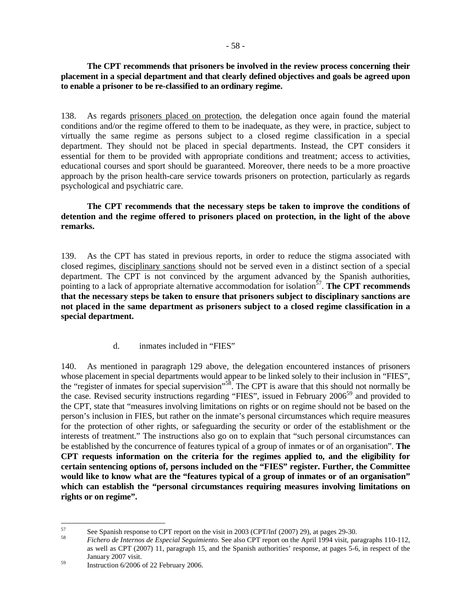**The CPT recommends that prisoners be involved in the review process concerning their placement in a special department and that clearly defined objectives and goals be agreed upon to enable a prisoner to be re-classified to an ordinary regime.** 

138. As regards prisoners placed on protection, the delegation once again found the material conditions and/or the regime offered to them to be inadequate, as they were, in practice, subject to virtually the same regime as persons subject to a closed regime classification in a special department. They should not be placed in special departments. Instead, the CPT considers it essential for them to be provided with appropriate conditions and treatment; access to activities, educational courses and sport should be guaranteed. Moreover, there needs to be a more proactive approach by the prison health-care service towards prisoners on protection, particularly as regards psychological and psychiatric care.

**The CPT recommends that the necessary steps be taken to improve the conditions of detention and the regime offered to prisoners placed on protection, in the light of the above remarks.**

139. As the CPT has stated in previous reports, in order to reduce the stigma associated with closed regimes, disciplinary sanctions should not be served even in a distinct section of a special department. The CPT is not convinced by the argument advanced by the Spanish authorities, pointing to a lack of appropriate alternative accommodation for isolation<sup>57</sup>. The CPT recommends **that the necessary steps be taken to ensure that prisoners subject to disciplinary sanctions are not placed in the same department as prisoners subject to a closed regime classification in a special department.** 

d. inmates included in "FIES"

140. As mentioned in paragraph 129 above, the delegation encountered instances of prisoners whose placement in special departments would appear to be linked solely to their inclusion in "FIES", the "register of inmates for special supervision"<sup>58</sup>. The CPT is aware that this should not normally be the case. Revised security instructions regarding "FIES", issued in February 2006<sup>59</sup> and provided to the CPT, state that "measures involving limitations on rights or on regime should not be based on the person's inclusion in FIES, but rather on the inmate's personal circumstances which require measures for the protection of other rights, or safeguarding the security or order of the establishment or the interests of treatment." The instructions also go on to explain that "such personal circumstances can be established by the concurrence of features typical of a group of inmates or of an organisation". **The CPT requests information on the criteria for the regimes applied to, and the eligibility for certain sentencing options of, persons included on the "FIES" register. Further, the Committee would like to know what are the "features typical of a group of inmates or of an organisation" which can establish the "personal circumstances requiring measures involving limitations on rights or on regime".** 

 $57$ <sup>57</sup> See Spanish response to CPT report on the visit in 2003 (CPT/Inf (2007) 29), at pages 29-30.

<sup>58</sup> *Fichero de Internos de Especial Seguimiento.* See also CPT report on the April 1994 visit, paragraphs 110-112, as well as CPT (2007) 11, paragraph 15, and the Spanish authorities' response, at pages 5-6, in respect of the January 2007 visit.

 $59$  Instruction  $6/2006$  of 22 February 2006.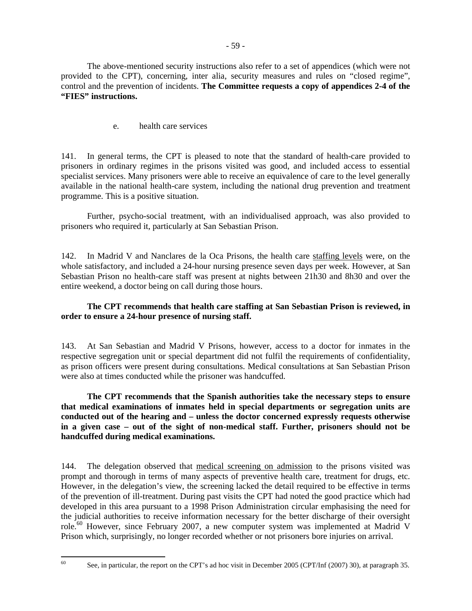The above-mentioned security instructions also refer to a set of appendices (which were not provided to the CPT), concerning, inter alia, security measures and rules on "closed regime", control and the prevention of incidents. **The Committee requests a copy of appendices 2-4 of the "FIES" instructions.**

e. health care services

141. In general terms, the CPT is pleased to note that the standard of health-care provided to prisoners in ordinary regimes in the prisons visited was good, and included access to essential specialist services. Many prisoners were able to receive an equivalence of care to the level generally available in the national health-care system, including the national drug prevention and treatment programme. This is a positive situation.

 Further, psycho-social treatment, with an individualised approach, was also provided to prisoners who required it, particularly at San Sebastian Prison.

142. In Madrid V and Nanclares de la Oca Prisons, the health care staffing levels were, on the whole satisfactory, and included a 24-hour nursing presence seven days per week. However, at San Sebastian Prison no health-care staff was present at nights between 21h30 and 8h30 and over the entire weekend, a doctor being on call during those hours.

## **The CPT recommends that health care staffing at San Sebastian Prison is reviewed, in order to ensure a 24-hour presence of nursing staff.**

143. At San Sebastian and Madrid V Prisons, however, access to a doctor for inmates in the respective segregation unit or special department did not fulfil the requirements of confidentiality, as prison officers were present during consultations. Medical consultations at San Sebastian Prison were also at times conducted while the prisoner was handcuffed.

 **The CPT recommends that the Spanish authorities take the necessary steps to ensure that medical examinations of inmates held in special departments or segregation units are conducted out of the hearing and – unless the doctor concerned expressly requests otherwise in a given case – out of the sight of non-medical staff. Further, prisoners should not be handcuffed during medical examinations.** 

144. The delegation observed that medical screening on admission to the prisons visited was prompt and thorough in terms of many aspects of preventive health care, treatment for drugs, etc. However, in the delegation's view, the screening lacked the detail required to be effective in terms of the prevention of ill-treatment. During past visits the CPT had noted the good practice which had developed in this area pursuant to a 1998 Prison Administration circular emphasising the need for the judicial authorities to receive information necessary for the better discharge of their oversight role.<sup>60</sup> However, since February 2007, a new computer system was implemented at Madrid V Prison which, surprisingly, no longer recorded whether or not prisoners bore injuries on arrival.

See, in particular, the report on the CPT's ad hoc visit in December 2005 (CPT/Inf (2007) 30), at paragraph 35.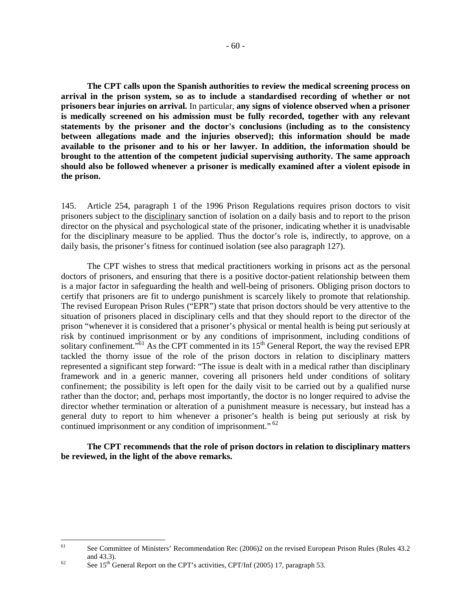**The CPT calls upon the Spanish authorities to review the medical screening process on arrival in the prison system, so as to include a standardised recording of whether or not prisoners bear injuries on arrival.** In particular, **any signs of violence observed when a prisoner is medically screened on his admission must be fully recorded, together with any relevant statements by the prisoner and the doctor's conclusions (including as to the consistency between allegations made and the injuries observed); this information should be made available to the prisoner and to his or her lawyer. In addition, the information should be brought to the attention of the competent judicial supervising authority. The same approach should also be followed whenever a prisoner is medically examined after a violent episode in the prison.** 

145. Article 254, paragraph 1 of the 1996 Prison Regulations requires prison doctors to visit prisoners subject to the disciplinary sanction of isolation on a daily basis and to report to the prison director on the physical and psychological state of the prisoner, indicating whether it is unadvisable for the disciplinary measure to be applied. Thus the doctor's role is, indirectly, to approve, on a daily basis, the prisoner's fitness for continued isolation (see also paragraph 127).

The CPT wishes to stress that medical practitioners working in prisons act as the personal doctors of prisoners, and ensuring that there is a positive doctor-patient relationship between them is a major factor in safeguarding the health and well-being of prisoners. Obliging prison doctors to certify that prisoners are fit to undergo punishment is scarcely likely to promote that relationship. The revised European Prison Rules ("EPR") state that prison doctors should be very attentive to the situation of prisoners placed in disciplinary cells and that they should report to the director of the prison "whenever it is considered that a prisoner's physical or mental health is being put seriously at risk by continued imprisonment or by any conditions of imprisonment, including conditions of solitary confinement."<sup>61</sup> As the CPT commented in its 15<sup>th</sup> General Report, the way the revised EPR tackled the thorny issue of the role of the prison doctors in relation to disciplinary matters represented a significant step forward: "The issue is dealt with in a medical rather than disciplinary framework and in a generic manner, covering all prisoners held under conditions of solitary confinement; the possibility is left open for the daily visit to be carried out by a qualified nurse rather than the doctor; and, perhaps most importantly, the doctor is no longer required to advise the director whether termination or alteration of a punishment measure is necessary, but instead has a general duty to report to him whenever a prisoner's health is being put seriously at risk by continued imprisonment or any condition of imprisonment."  $62$ 

**The CPT recommends that the role of prison doctors in relation to disciplinary matters be reviewed, in the light of the above remarks.** 

<sup>61</sup> <sup>61</sup> See Committee of Ministers' Recommendation Rec (2006)2 on the revised European Prison Rules (Rules 43.2 and 43.3).

 $\frac{62}{15}$  See 15<sup>th</sup> General Report on the CPT's activities, CPT/Inf (2005) 17, paragraph 53.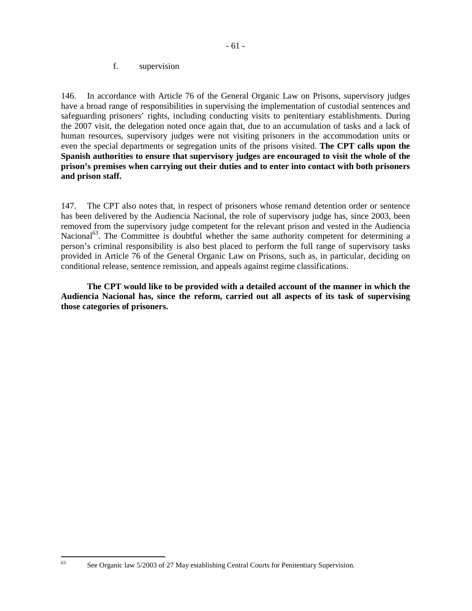### f. supervision

146. In accordance with Article 76 of the General Organic Law on Prisons, supervisory judges have a broad range of responsibilities in supervising the implementation of custodial sentences and safeguarding prisoners' rights, including conducting visits to penitentiary establishments. During the 2007 visit, the delegation noted once again that, due to an accumulation of tasks and a lack of human resources, supervisory judges were not visiting prisoners in the accommodation units or even the special departments or segregation units of the prisons visited. **The CPT calls upon the Spanish authorities to ensure that supervisory judges are encouraged to visit the whole of the prison's premises when carrying out their duties and to enter into contact with both prisoners and prison staff.**

147. The CPT also notes that, in respect of prisoners whose remand detention order or sentence has been delivered by the Audiencia Nacional, the role of supervisory judge has, since 2003, been removed from the supervisory judge competent for the relevant prison and vested in the Audiencia Nacional<sup>63</sup>. The Committee is doubtful whether the same authority competent for determining a person's criminal responsibility is also best placed to perform the full range of supervisory tasks provided in Article 76 of the General Organic Law on Prisons, such as, in particular, deciding on conditional release, sentence remission, and appeals against regime classifications.

**The CPT would like to be provided with a detailed account of the manner in which the Audiencia Nacional has, since the reform, carried out all aspects of its task of supervising those categories of prisoners.** 

63

- 61 -

See Organic law 5/2003 of 27 May establishing Central Courts for Penitentiary Supervision.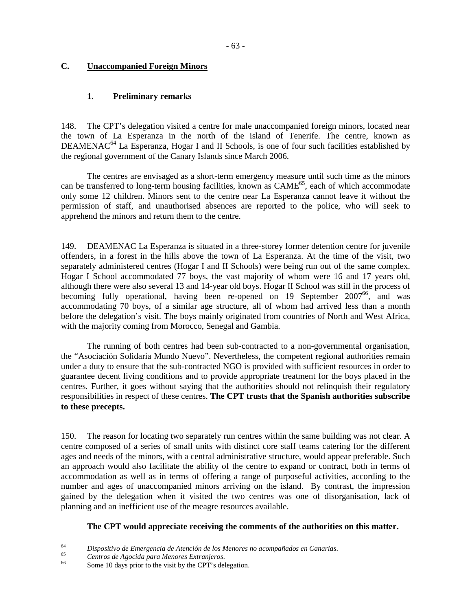## **C. Unaccompanied Foreign Minors**

## **1. Preliminary remarks**

148. The CPT's delegation visited a centre for male unaccompanied foreign minors, located near the town of La Esperanza in the north of the island of Tenerife. The centre, known as DEAMENAC $^{64}$  La Esperanza, Hogar I and II Schools, is one of four such facilities established by the regional government of the Canary Islands since March 2006.

The centres are envisaged as a short-term emergency measure until such time as the minors can be transferred to long-term housing facilities, known as  $CAME^{65}$ , each of which accommodate only some 12 children. Minors sent to the centre near La Esperanza cannot leave it without the permission of staff, and unauthorised absences are reported to the police, who will seek to apprehend the minors and return them to the centre.

149. DEAMENAC La Esperanza is situated in a three-storey former detention centre for juvenile offenders, in a forest in the hills above the town of La Esperanza. At the time of the visit, two separately administered centres (Hogar I and II Schools) were being run out of the same complex. Hogar I School accommodated 77 boys, the vast majority of whom were 16 and 17 years old, although there were also several 13 and 14-year old boys. Hogar II School was still in the process of becoming fully operational, having been re-opened on 19 September  $2007^{66}$ , and was accommodating 70 boys, of a similar age structure, all of whom had arrived less than a month before the delegation's visit. The boys mainly originated from countries of North and West Africa, with the majority coming from Morocco, Senegal and Gambia.

The running of both centres had been sub-contracted to a non-governmental organisation, the "Asociación Solidaria Mundo Nuevo". Nevertheless, the competent regional authorities remain under a duty to ensure that the sub-contracted NGO is provided with sufficient resources in order to guarantee decent living conditions and to provide appropriate treatment for the boys placed in the centres. Further, it goes without saying that the authorities should not relinquish their regulatory responsibilities in respect of these centres. **The CPT trusts that the Spanish authorities subscribe to these precepts.** 

150. The reason for locating two separately run centres within the same building was not clear. A centre composed of a series of small units with distinct core staff teams catering for the different ages and needs of the minors, with a central administrative structure, would appear preferable. Such an approach would also facilitate the ability of the centre to expand or contract, both in terms of accommodation as well as in terms of offering a range of purposeful activities, according to the number and ages of unaccompanied minors arriving on the island. By contrast, the impression gained by the delegation when it visited the two centres was one of disorganisation, lack of planning and an inefficient use of the meagre resources available.

## **The CPT would appreciate receiving the comments of the authorities on this matter.**

 64 *Dispositivo de Emergencia de Atención de los Menores no acompañados en Canarias*.

<sup>65</sup> *Centros de Agocida para Menores Extranjeros*.

Some 10 days prior to the visit by the CPT's delegation.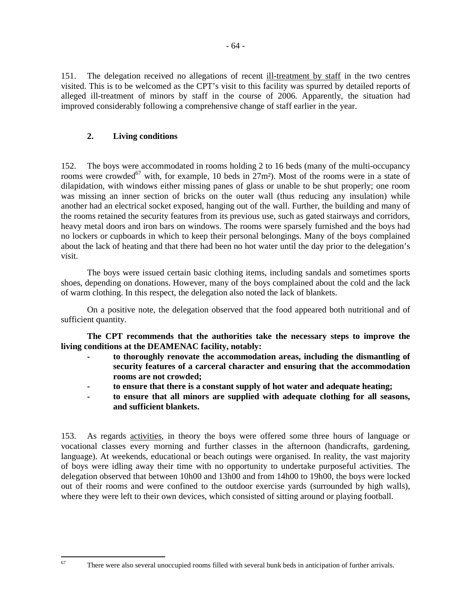151. The delegation received no allegations of recent ill-treatment by staff in the two centres visited. This is to be welcomed as the CPT's visit to this facility was spurred by detailed reports of alleged ill-treatment of minors by staff in the course of 2006. Apparently, the situation had improved considerably following a comprehensive change of staff earlier in the year.

## **2. Living conditions**

152. The boys were accommodated in rooms holding 2 to 16 beds (many of the multi-occupancy rooms were crowded<sup>67</sup> with, for example, 10 beds in  $27m^2$ ). Most of the rooms were in a state of dilapidation, with windows either missing panes of glass or unable to be shut properly; one room was missing an inner section of bricks on the outer wall (thus reducing any insulation) while another had an electrical socket exposed, hanging out of the wall. Further, the building and many of the rooms retained the security features from its previous use, such as gated stairways and corridors, heavy metal doors and iron bars on windows. The rooms were sparsely furnished and the boys had no lockers or cupboards in which to keep their personal belongings. Many of the boys complained about the lack of heating and that there had been no hot water until the day prior to the delegation's visit.

 The boys were issued certain basic clothing items, including sandals and sometimes sports shoes, depending on donations. However, many of the boys complained about the cold and the lack of warm clothing. In this respect, the delegation also noted the lack of blankets.

On a positive note, the delegation observed that the food appeared both nutritional and of sufficient quantity.

**The CPT recommends that the authorities take the necessary steps to improve the living conditions at the DEAMENAC facility, notably:** 

- **to thoroughly renovate the accommodation areas, including the dismantling of security features of a carceral character and ensuring that the accommodation rooms are not crowded;**
- **to ensure that there is a constant supply of hot water and adequate heating;**
- **to ensure that all minors are supplied with adequate clothing for all seasons, and sufficient blankets.**

153. As regards activities, in theory the boys were offered some three hours of language or vocational classes every morning and further classes in the afternoon (handicrafts, gardening, language). At weekends, educational or beach outings were organised. In reality, the vast majority of boys were idling away their time with no opportunity to undertake purposeful activities. The delegation observed that between 10h00 and 13h00 and from 14h00 to 19h00, the boys were locked out of their rooms and were confined to the outdoor exercise yards (surrounded by high walls), where they were left to their own devices, which consisted of sitting around or playing football.

There were also several unoccupied rooms filled with several bunk beds in anticipation of further arrivals.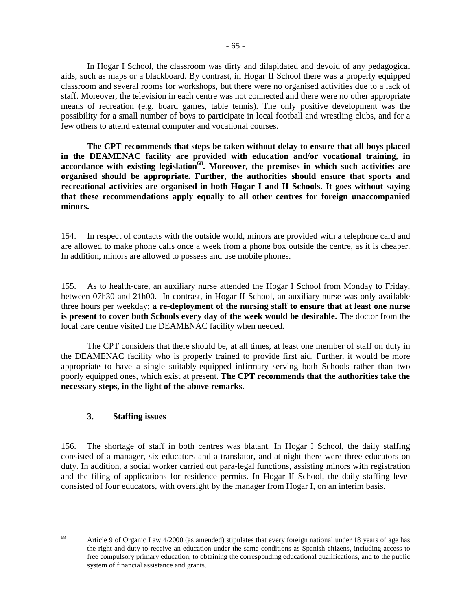In Hogar I School, the classroom was dirty and dilapidated and devoid of any pedagogical aids, such as maps or a blackboard. By contrast, in Hogar II School there was a properly equipped classroom and several rooms for workshops, but there were no organised activities due to a lack of staff. Moreover, the television in each centre was not connected and there were no other appropriate means of recreation (e.g. board games, table tennis). The only positive development was the possibility for a small number of boys to participate in local football and wrestling clubs, and for a few others to attend external computer and vocational courses.

**The CPT recommends that steps be taken without delay to ensure that all boys placed in the DEAMENAC facility are provided with education and/or vocational training, in accordance with existing legislation<sup>68</sup>. Moreover, the premises in which such activities are organised should be appropriate. Further, the authorities should ensure that sports and recreational activities are organised in both Hogar I and II Schools. It goes without saying that these recommendations apply equally to all other centres for foreign unaccompanied minors.** 

154. In respect of contacts with the outside world, minors are provided with a telephone card and are allowed to make phone calls once a week from a phone box outside the centre, as it is cheaper. In addition, minors are allowed to possess and use mobile phones.

155. As to health-care, an auxiliary nurse attended the Hogar I School from Monday to Friday, between 07h30 and 21h00. In contrast, in Hogar II School, an auxiliary nurse was only available three hours per weekday; **a re-deployment of the nursing staff to ensure that at least one nurse is present to cover both Schools every day of the week would be desirable.** The doctor from the local care centre visited the DEAMENAC facility when needed.

The CPT considers that there should be, at all times, at least one member of staff on duty in the DEAMENAC facility who is properly trained to provide first aid. Further, it would be more appropriate to have a single suitably-equipped infirmary serving both Schools rather than two poorly equipped ones, which exist at present. **The CPT recommends that the authorities take the necessary steps, in the light of the above remarks.** 

## **3. Staffing issues**

156. The shortage of staff in both centres was blatant. In Hogar I School, the daily staffing consisted of a manager, six educators and a translator, and at night there were three educators on duty. In addition, a social worker carried out para-legal functions, assisting minors with registration and the filing of applications for residence permits. In Hogar II School, the daily staffing level consisted of four educators, with oversight by the manager from Hogar I, on an interim basis.

<sup>68</sup> 

<sup>68</sup> Article 9 of Organic Law 4/2000 (as amended) stipulates that every foreign national under 18 years of age has the right and duty to receive an education under the same conditions as Spanish citizens, including access to free compulsory primary education, to obtaining the corresponding educational qualifications, and to the public system of financial assistance and grants.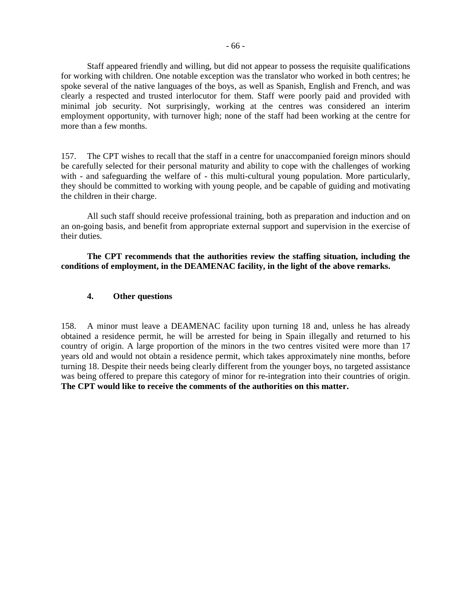Staff appeared friendly and willing, but did not appear to possess the requisite qualifications for working with children. One notable exception was the translator who worked in both centres; he spoke several of the native languages of the boys, as well as Spanish, English and French, and was clearly a respected and trusted interlocutor for them. Staff were poorly paid and provided with minimal job security. Not surprisingly, working at the centres was considered an interim employment opportunity, with turnover high; none of the staff had been working at the centre for more than a few months.

157. The CPT wishes to recall that the staff in a centre for unaccompanied foreign minors should be carefully selected for their personal maturity and ability to cope with the challenges of working with - and safeguarding the welfare of - this multi-cultural young population. More particularly, they should be committed to working with young people, and be capable of guiding and motivating the children in their charge.

All such staff should receive professional training, both as preparation and induction and on an on-going basis, and benefit from appropriate external support and supervision in the exercise of their duties.

**The CPT recommends that the authorities review the staffing situation, including the conditions of employment, in the DEAMENAC facility, in the light of the above remarks.** 

#### **4. Other questions**

158. A minor must leave a DEAMENAC facility upon turning 18 and, unless he has already obtained a residence permit, he will be arrested for being in Spain illegally and returned to his country of origin. A large proportion of the minors in the two centres visited were more than 17 years old and would not obtain a residence permit, which takes approximately nine months, before turning 18. Despite their needs being clearly different from the younger boys, no targeted assistance was being offered to prepare this category of minor for re-integration into their countries of origin. **The CPT would like to receive the comments of the authorities on this matter.**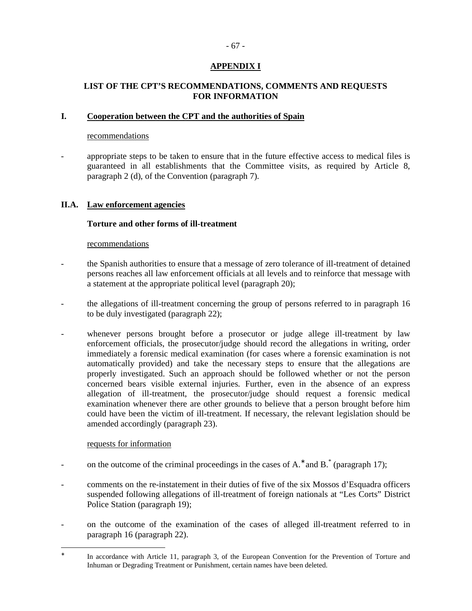# **APPENDIX I**

# **LIST OF THE CPT'S RECOMMENDATIONS, COMMENTS AND REQUESTS FOR INFORMATION**

## **I. Cooperation between the CPT and the authorities of Spain**

## recommendations

- appropriate steps to be taken to ensure that in the future effective access to medical files is guaranteed in all establishments that the Committee visits, as required by Article 8, paragraph 2 (d), of the Convention (paragraph 7).

## **II.A. Law enforcement agencies**

### **Torture and other forms of ill-treatment**

### recommendations

- the Spanish authorities to ensure that a message of zero tolerance of ill-treatment of detained persons reaches all law enforcement officials at all levels and to reinforce that message with a statement at the appropriate political level (paragraph 20);
- the allegations of ill-treatment concerning the group of persons referred to in paragraph 16 to be duly investigated (paragraph 22);
- whenever persons brought before a prosecutor or judge allege ill-treatment by law enforcement officials, the prosecutor/judge should record the allegations in writing, order immediately a forensic medical examination (for cases where a forensic examination is not automatically provided) and take the necessary steps to ensure that the allegations are properly investigated. Such an approach should be followed whether or not the person concerned bears visible external injuries. Further, even in the absence of an express allegation of ill-treatment, the prosecutor/judge should request a forensic medical examination whenever there are other grounds to believe that a person brought before him could have been the victim of ill-treatment. If necessary, the relevant legislation should be amended accordingly (paragraph 23).

## requests for information

- on the outcome of the criminal proceedings in the cases of A.<sup>\*</sup> and B.<sup>\*</sup> (paragraph 17);
- comments on the re-instatement in their duties of five of the six Mossos d'Esquadra officers suspended following allegations of ill-treatment of foreign nationals at "Les Corts" District Police Station (paragraph 19);
- on the outcome of the examination of the cases of alleged ill-treatment referred to in paragraph 16 (paragraph 22).

 $\overline{a}$ ∗ In accordance with Article 11, paragraph 3, of the European Convention for the Prevention of Torture and Inhuman or Degrading Treatment or Punishment, certain names have been deleted.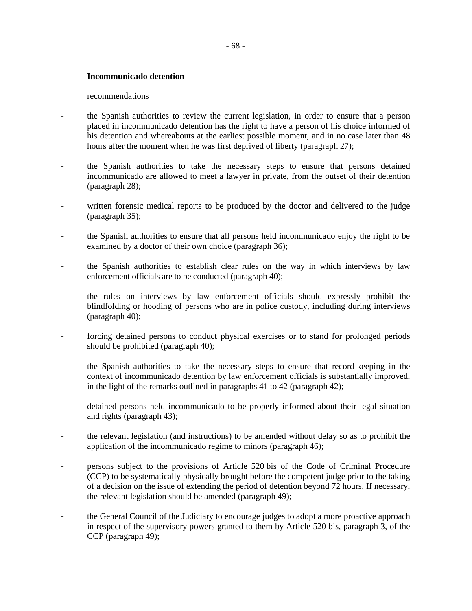### **Incommunicado detention**

#### recommendations

- the Spanish authorities to review the current legislation, in order to ensure that a person placed in incommunicado detention has the right to have a person of his choice informed of his detention and whereabouts at the earliest possible moment, and in no case later than 48 hours after the moment when he was first deprived of liberty (paragraph 27);
- the Spanish authorities to take the necessary steps to ensure that persons detained incommunicado are allowed to meet a lawyer in private, from the outset of their detention (paragraph 28);
- written forensic medical reports to be produced by the doctor and delivered to the judge (paragraph 35);
- the Spanish authorities to ensure that all persons held incommunicado enjoy the right to be examined by a doctor of their own choice (paragraph 36);
- the Spanish authorities to establish clear rules on the way in which interviews by law enforcement officials are to be conducted (paragraph 40);
- the rules on interviews by law enforcement officials should expressly prohibit the blindfolding or hooding of persons who are in police custody, including during interviews (paragraph 40);
- forcing detained persons to conduct physical exercises or to stand for prolonged periods should be prohibited (paragraph 40);
- the Spanish authorities to take the necessary steps to ensure that record-keeping in the context of incommunicado detention by law enforcement officials is substantially improved, in the light of the remarks outlined in paragraphs 41 to 42 (paragraph 42);
- detained persons held incommunicado to be properly informed about their legal situation and rights (paragraph 43);
- the relevant legislation (and instructions) to be amended without delay so as to prohibit the application of the incommunicado regime to minors (paragraph 46);
- persons subject to the provisions of Article 520 bis of the Code of Criminal Procedure (CCP) to be systematically physically brought before the competent judge prior to the taking of a decision on the issue of extending the period of detention beyond 72 hours. If necessary, the relevant legislation should be amended (paragraph 49);
- the General Council of the Judiciary to encourage judges to adopt a more proactive approach in respect of the supervisory powers granted to them by Article 520 bis, paragraph 3, of the CCP (paragraph 49);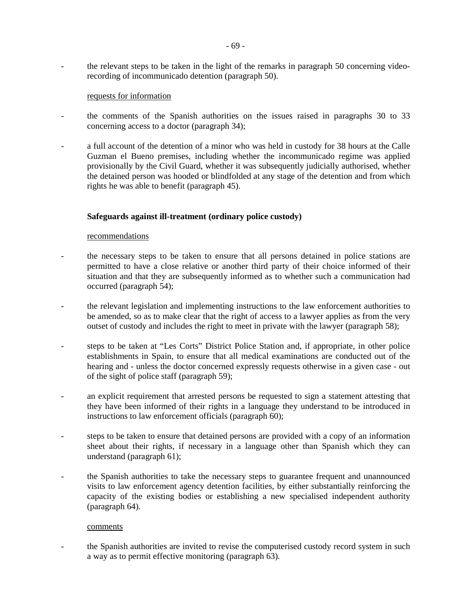- the relevant steps to be taken in the light of the remarks in paragraph 50 concerning videorecording of incommunicado detention (paragraph 50).

### requests for information

- the comments of the Spanish authorities on the issues raised in paragraphs 30 to 33 concerning access to a doctor (paragraph 34);
- a full account of the detention of a minor who was held in custody for 38 hours at the Calle Guzman el Bueno premises, including whether the incommunicado regime was applied provisionally by the Civil Guard, whether it was subsequently judicially authorised, whether the detained person was hooded or blindfolded at any stage of the detention and from which rights he was able to benefit (paragraph 45).

## **Safeguards against ill-treatment (ordinary police custody)**

### recommendations

- the necessary steps to be taken to ensure that all persons detained in police stations are permitted to have a close relative or another third party of their choice informed of their situation and that they are subsequently informed as to whether such a communication had occurred (paragraph 54);
- the relevant legislation and implementing instructions to the law enforcement authorities to be amended, so as to make clear that the right of access to a lawyer applies as from the very outset of custody and includes the right to meet in private with the lawyer (paragraph 58);
- steps to be taken at "Les Corts" District Police Station and, if appropriate, in other police establishments in Spain, to ensure that all medical examinations are conducted out of the hearing and - unless the doctor concerned expressly requests otherwise in a given case - out of the sight of police staff (paragraph 59);
- an explicit requirement that arrested persons be requested to sign a statement attesting that they have been informed of their rights in a language they understand to be introduced in instructions to law enforcement officials (paragraph 60);
- steps to be taken to ensure that detained persons are provided with a copy of an information sheet about their rights, if necessary in a language other than Spanish which they can understand (paragraph 61);
- the Spanish authorities to take the necessary steps to guarantee frequent and unannounced visits to law enforcement agency detention facilities, by either substantially reinforcing the capacity of the existing bodies or establishing a new specialised independent authority (paragraph 64).

#### comments

- the Spanish authorities are invited to revise the computerised custody record system in such a way as to permit effective monitoring (paragraph 63).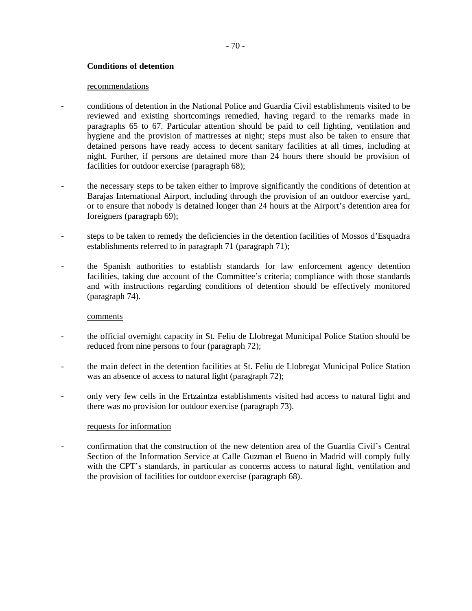### **Conditions of detention**

#### recommendations

- conditions of detention in the National Police and Guardia Civil establishments visited to be reviewed and existing shortcomings remedied, having regard to the remarks made in paragraphs 65 to 67. Particular attention should be paid to cell lighting, ventilation and hygiene and the provision of mattresses at night; steps must also be taken to ensure that detained persons have ready access to decent sanitary facilities at all times, including at night. Further, if persons are detained more than 24 hours there should be provision of facilities for outdoor exercise (paragraph 68);
- the necessary steps to be taken either to improve significantly the conditions of detention at Barajas International Airport, including through the provision of an outdoor exercise yard, or to ensure that nobody is detained longer than 24 hours at the Airport's detention area for foreigners (paragraph 69);
- steps to be taken to remedy the deficiencies in the detention facilities of Mossos d'Esquadra establishments referred to in paragraph 71 (paragraph 71);
- the Spanish authorities to establish standards for law enforcement agency detention facilities, taking due account of the Committee's criteria; compliance with those standards and with instructions regarding conditions of detention should be effectively monitored (paragraph 74).

#### comments

- the official overnight capacity in St. Feliu de Llobregat Municipal Police Station should be reduced from nine persons to four (paragraph 72);
- the main defect in the detention facilities at St. Feliu de Llobregat Municipal Police Station was an absence of access to natural light (paragraph 72);
- only very few cells in the Ertzaintza establishments visited had access to natural light and there was no provision for outdoor exercise (paragraph 73).

#### requests for information

- confirmation that the construction of the new detention area of the Guardia Civil's Central Section of the Information Service at Calle Guzman el Bueno in Madrid will comply fully with the CPT's standards, in particular as concerns access to natural light, ventilation and the provision of facilities for outdoor exercise (paragraph 68).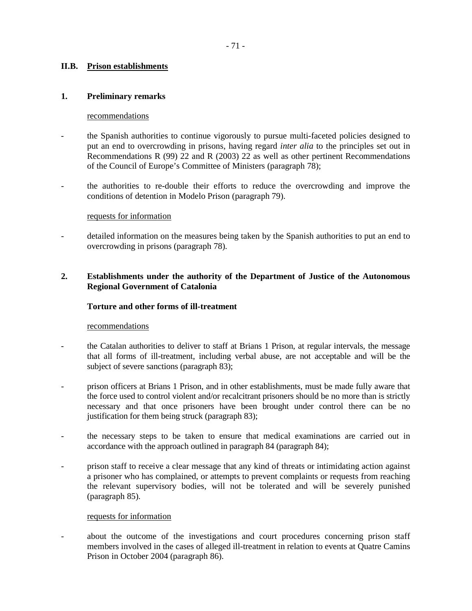## **II.B. Prison establishments**

### **1. Preliminary remarks**

#### recommendations

- the Spanish authorities to continue vigorously to pursue multi-faceted policies designed to put an end to overcrowding in prisons, having regard *inter alia* to the principles set out in Recommendations R (99) 22 and R (2003) 22 as well as other pertinent Recommendations of the Council of Europe's Committee of Ministers (paragraph 78);
- the authorities to re-double their efforts to reduce the overcrowding and improve the conditions of detention in Modelo Prison (paragraph 79).

### requests for information

detailed information on the measures being taken by the Spanish authorities to put an end to overcrowding in prisons (paragraph 78).

## **2. Establishments under the authority of the Department of Justice of the Autonomous Regional Government of Catalonia**

### **Torture and other forms of ill-treatment**

### recommendations

- the Catalan authorities to deliver to staff at Brians 1 Prison, at regular intervals, the message that all forms of ill-treatment, including verbal abuse, are not acceptable and will be the subject of severe sanctions (paragraph 83);
- prison officers at Brians 1 Prison, and in other establishments, must be made fully aware that the force used to control violent and/or recalcitrant prisoners should be no more than is strictly necessary and that once prisoners have been brought under control there can be no justification for them being struck (paragraph 83);
- the necessary steps to be taken to ensure that medical examinations are carried out in accordance with the approach outlined in paragraph 84 (paragraph 84);
- prison staff to receive a clear message that any kind of threats or intimidating action against a prisoner who has complained, or attempts to prevent complaints or requests from reaching the relevant supervisory bodies, will not be tolerated and will be severely punished (paragraph 85).

#### requests for information

- about the outcome of the investigations and court procedures concerning prison staff members involved in the cases of alleged ill-treatment in relation to events at Quatre Camins Prison in October 2004 (paragraph 86).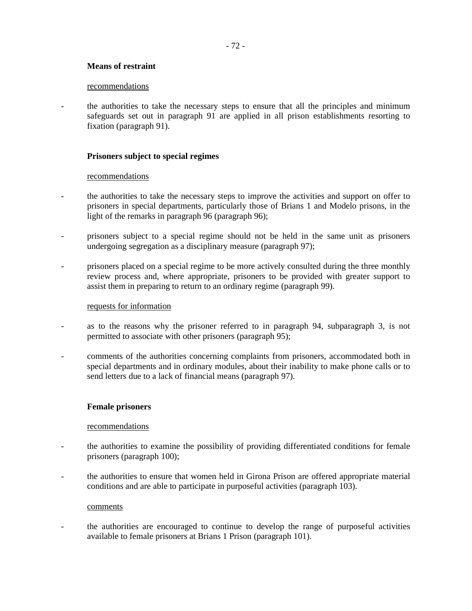### **Means of restraint**

#### recommendations

the authorities to take the necessary steps to ensure that all the principles and minimum safeguards set out in paragraph 91 are applied in all prison establishments resorting to fixation (paragraph 91).

### **Prisoners subject to special regimes**

#### recommendations

- the authorities to take the necessary steps to improve the activities and support on offer to prisoners in special departments, particularly those of Brians 1 and Modelo prisons, in the light of the remarks in paragraph 96 (paragraph 96);
- prisoners subject to a special regime should not be held in the same unit as prisoners undergoing segregation as a disciplinary measure (paragraph 97);
- prisoners placed on a special regime to be more actively consulted during the three monthly review process and, where appropriate, prisoners to be provided with greater support to assist them in preparing to return to an ordinary regime (paragraph 99).

### requests for information

- as to the reasons why the prisoner referred to in paragraph 94, subparagraph 3, is not permitted to associate with other prisoners (paragraph 95);
- comments of the authorities concerning complaints from prisoners, accommodated both in special departments and in ordinary modules, about their inability to make phone calls or to send letters due to a lack of financial means (paragraph 97).

### **Female prisoners**

#### recommendations

- the authorities to examine the possibility of providing differentiated conditions for female prisoners (paragraph 100);
- the authorities to ensure that women held in Girona Prison are offered appropriate material conditions and are able to participate in purposeful activities (paragraph 103).

#### comments

- the authorities are encouraged to continue to develop the range of purposeful activities available to female prisoners at Brians 1 Prison (paragraph 101).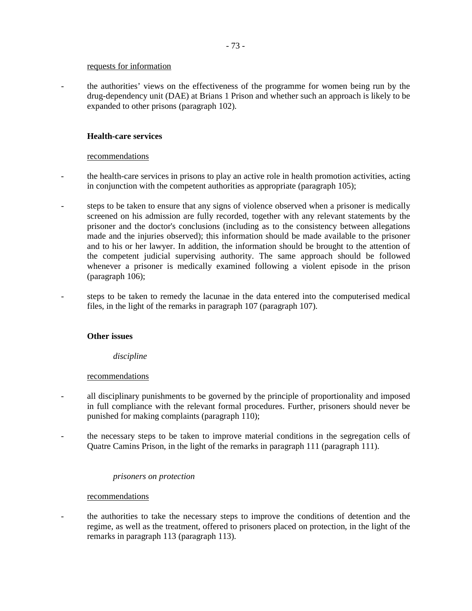#### requests for information

- the authorities' views on the effectiveness of the programme for women being run by the drug-dependency unit (DAE) at Brians 1 Prison and whether such an approach is likely to be expanded to other prisons (paragraph 102).

## **Health-care services**

### recommendations

- the health-care services in prisons to play an active role in health promotion activities, acting in conjunction with the competent authorities as appropriate (paragraph 105);
- steps to be taken to ensure that any signs of violence observed when a prisoner is medically screened on his admission are fully recorded, together with any relevant statements by the prisoner and the doctor's conclusions (including as to the consistency between allegations made and the injuries observed); this information should be made available to the prisoner and to his or her lawyer. In addition, the information should be brought to the attention of the competent judicial supervising authority. The same approach should be followed whenever a prisoner is medically examined following a violent episode in the prison (paragraph 106);
- steps to be taken to remedy the lacunae in the data entered into the computerised medical files, in the light of the remarks in paragraph 107 (paragraph 107).

### **Other issues**

### *discipline*

### recommendations

- all disciplinary punishments to be governed by the principle of proportionality and imposed in full compliance with the relevant formal procedures. Further, prisoners should never be punished for making complaints (paragraph 110);
- the necessary steps to be taken to improve material conditions in the segregation cells of Quatre Camins Prison, in the light of the remarks in paragraph 111 (paragraph 111).

### *prisoners on protection*

### recommendations

- the authorities to take the necessary steps to improve the conditions of detention and the regime, as well as the treatment, offered to prisoners placed on protection, in the light of the remarks in paragraph 113 (paragraph 113).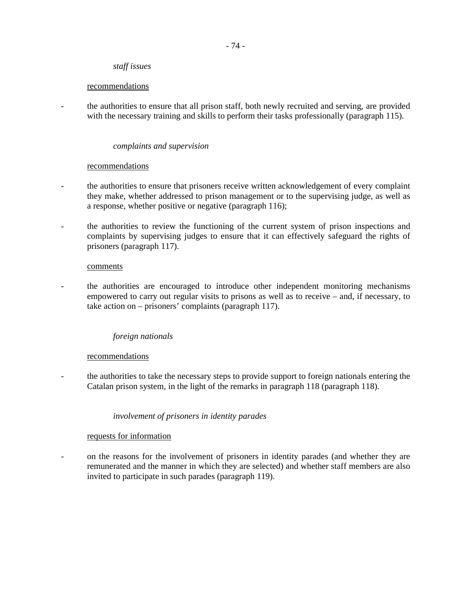#### *staff issues*

#### recommendations

the authorities to ensure that all prison staff, both newly recruited and serving, are provided with the necessary training and skills to perform their tasks professionally (paragraph 115).

### *complaints and supervision*

#### recommendations

- the authorities to ensure that prisoners receive written acknowledgement of every complaint they make, whether addressed to prison management or to the supervising judge, as well as a response, whether positive or negative (paragraph 116);
- the authorities to review the functioning of the current system of prison inspections and complaints by supervising judges to ensure that it can effectively safeguard the rights of prisoners (paragraph 117).

#### comments

- the authorities are encouraged to introduce other independent monitoring mechanisms empowered to carry out regular visits to prisons as well as to receive – and, if necessary, to take action on – prisoners' complaints (paragraph 117).

### *foreign nationals*

#### recommendations

- the authorities to take the necessary steps to provide support to foreign nationals entering the Catalan prison system, in the light of the remarks in paragraph 118 (paragraph 118).

## *involvement of prisoners in identity parades*

### requests for information

- on the reasons for the involvement of prisoners in identity parades (and whether they are remunerated and the manner in which they are selected) and whether staff members are also invited to participate in such parades (paragraph 119).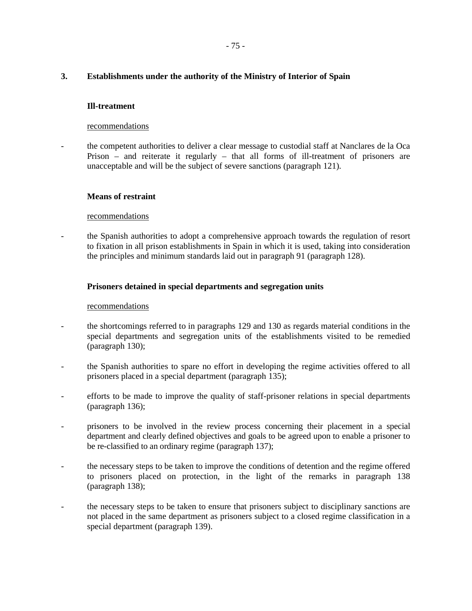# **3. Establishments under the authority of the Ministry of Interior of Spain**

## **Ill-treatment**

### recommendations

- the competent authorities to deliver a clear message to custodial staff at Nanclares de la Oca Prison – and reiterate it regularly – that all forms of ill-treatment of prisoners are unacceptable and will be the subject of severe sanctions (paragraph 121).

## **Means of restraint**

## recommendations

- the Spanish authorities to adopt a comprehensive approach towards the regulation of resort to fixation in all prison establishments in Spain in which it is used, taking into consideration the principles and minimum standards laid out in paragraph 91 (paragraph 128).

# **Prisoners detained in special departments and segregation units**

### recommendations

- the shortcomings referred to in paragraphs 129 and 130 as regards material conditions in the special departments and segregation units of the establishments visited to be remedied (paragraph 130);
- the Spanish authorities to spare no effort in developing the regime activities offered to all prisoners placed in a special department (paragraph 135);
- efforts to be made to improve the quality of staff-prisoner relations in special departments (paragraph 136);
- prisoners to be involved in the review process concerning their placement in a special department and clearly defined objectives and goals to be agreed upon to enable a prisoner to be re-classified to an ordinary regime (paragraph 137);
- the necessary steps to be taken to improve the conditions of detention and the regime offered to prisoners placed on protection, in the light of the remarks in paragraph 138 (paragraph 138);
- the necessary steps to be taken to ensure that prisoners subject to disciplinary sanctions are not placed in the same department as prisoners subject to a closed regime classification in a special department (paragraph 139).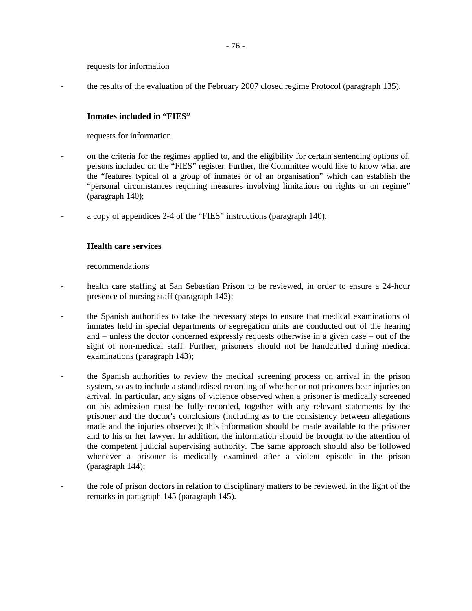#### requests for information

- the results of the evaluation of the February 2007 closed regime Protocol (paragraph 135).

## **Inmates included in "FIES"**

### requests for information

- on the criteria for the regimes applied to, and the eligibility for certain sentencing options of, persons included on the "FIES" register. Further, the Committee would like to know what are the "features typical of a group of inmates or of an organisation" which can establish the "personal circumstances requiring measures involving limitations on rights or on regime" (paragraph 140);
- a copy of appendices 2-4 of the "FIES" instructions (paragraph 140).

## **Health care services**

### recommendations

- health care staffing at San Sebastian Prison to be reviewed, in order to ensure a 24-hour presence of nursing staff (paragraph 142);
- the Spanish authorities to take the necessary steps to ensure that medical examinations of inmates held in special departments or segregation units are conducted out of the hearing and – unless the doctor concerned expressly requests otherwise in a given case – out of the sight of non-medical staff. Further, prisoners should not be handcuffed during medical examinations (paragraph 143);
- the Spanish authorities to review the medical screening process on arrival in the prison system, so as to include a standardised recording of whether or not prisoners bear injuries on arrival. In particular, any signs of violence observed when a prisoner is medically screened on his admission must be fully recorded, together with any relevant statements by the prisoner and the doctor's conclusions (including as to the consistency between allegations made and the injuries observed); this information should be made available to the prisoner and to his or her lawyer. In addition, the information should be brought to the attention of the competent judicial supervising authority. The same approach should also be followed whenever a prisoner is medically examined after a violent episode in the prison (paragraph 144);
- the role of prison doctors in relation to disciplinary matters to be reviewed, in the light of the remarks in paragraph 145 (paragraph 145).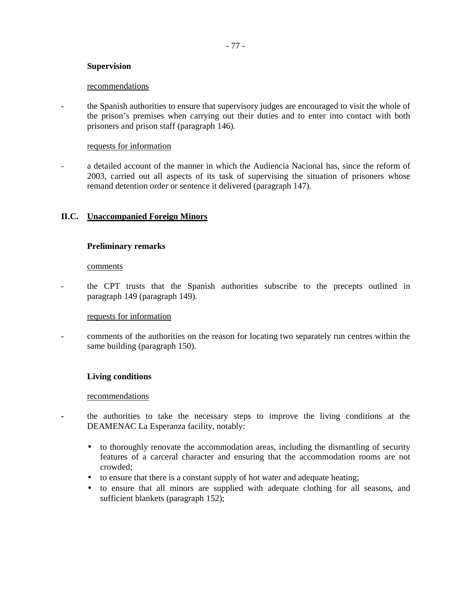## **Supervision**

#### recommendations

the Spanish authorities to ensure that supervisory judges are encouraged to visit the whole of the prison's premises when carrying out their duties and to enter into contact with both prisoners and prison staff (paragraph 146).

### requests for information

a detailed account of the manner in which the Audiencia Nacional has, since the reform of 2003, carried out all aspects of its task of supervising the situation of prisoners whose remand detention order or sentence it delivered (paragraph 147).

# **II.C. Unaccompanied Foreign Minors**

## **Preliminary remarks**

### comments

- the CPT trusts that the Spanish authorities subscribe to the precepts outlined in paragraph 149 (paragraph 149).

### requests for information

- comments of the authorities on the reason for locating two separately run centres within the same building (paragraph 150).

# **Living conditions**

### recommendations

- **-** the authorities to take the necessary steps to improve the living conditions at the DEAMENAC La Esperanza facility, notably:
	- to thoroughly renovate the accommodation areas, including the dismantling of security features of a carceral character and ensuring that the accommodation rooms are not crowded;
	- to ensure that there is a constant supply of hot water and adequate heating;
	- to ensure that all minors are supplied with adequate clothing for all seasons, and sufficient blankets (paragraph 152);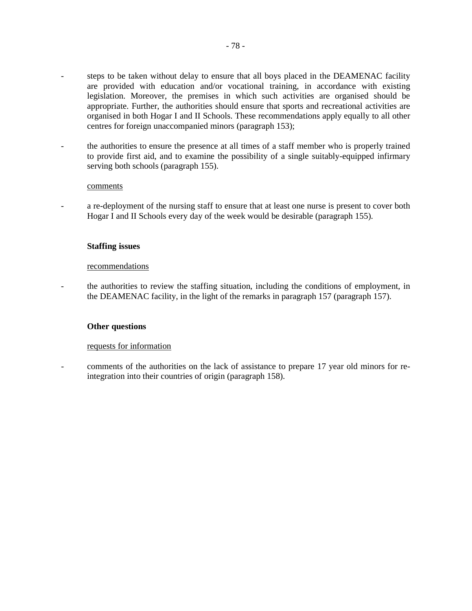- steps to be taken without delay to ensure that all boys placed in the DEAMENAC facility are provided with education and/or vocational training, in accordance with existing legislation. Moreover, the premises in which such activities are organised should be appropriate. Further, the authorities should ensure that sports and recreational activities are organised in both Hogar I and II Schools. These recommendations apply equally to all other centres for foreign unaccompanied minors (paragraph 153);
- the authorities to ensure the presence at all times of a staff member who is properly trained to provide first aid, and to examine the possibility of a single suitably-equipped infirmary serving both schools (paragraph 155).

#### comments

- a re-deployment of the nursing staff to ensure that at least one nurse is present to cover both Hogar I and II Schools every day of the week would be desirable (paragraph 155).

#### **Staffing issues**

#### recommendations

- the authorities to review the staffing situation, including the conditions of employment, in the DEAMENAC facility, in the light of the remarks in paragraph 157 (paragraph 157).

### **Other questions**

## requests for information

- comments of the authorities on the lack of assistance to prepare 17 year old minors for reintegration into their countries of origin (paragraph 158).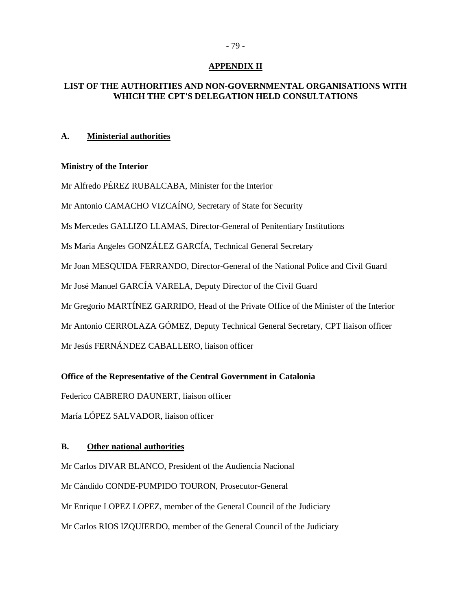# **APPENDIX II**

# **LIST OF THE AUTHORITIES AND NON-GOVERNMENTAL ORGANISATIONS WITH WHICH THE CPT'S DELEGATION HELD CONSULTATIONS**

# **A. Ministerial authorities**

## **Ministry of the Interior**

Mr Alfredo PÉREZ RUBALCABA, Minister for the Interior

Mr Antonio CAMACHO VIZCAÍNO, Secretary of State for Security

Ms Mercedes GALLIZO LLAMAS, Director-General of Penitentiary Institutions

Ms Maria Angeles GONZÁLEZ GARCÍA, Technical General Secretary

Mr Joan MESQUIDA FERRANDO, Director-General of the National Police and Civil Guard

Mr José Manuel GARCÍA VARELA, Deputy Director of the Civil Guard

Mr Gregorio MARTÍNEZ GARRIDO, Head of the Private Office of the Minister of the Interior

Mr Antonio CERROLAZA GÓMEZ, Deputy Technical General Secretary, CPT liaison officer

Mr Jesús FERNÁNDEZ CABALLERO, liaison officer

### **Office of the Representative of the Central Government in Catalonia**

Federico CABRERO DAUNERT, liaison officer

María LÓPEZ SALVADOR, liaison officer

## **B. Other national authorities**

Mr Carlos DIVAR BLANCO, President of the Audiencia Nacional Mr Cándido CONDE-PUMPIDO TOURON, Prosecutor-General

Mr Enrique LOPEZ LOPEZ, member of the General Council of the Judiciary

Mr Carlos RIOS IZQUIERDO, member of the General Council of the Judiciary